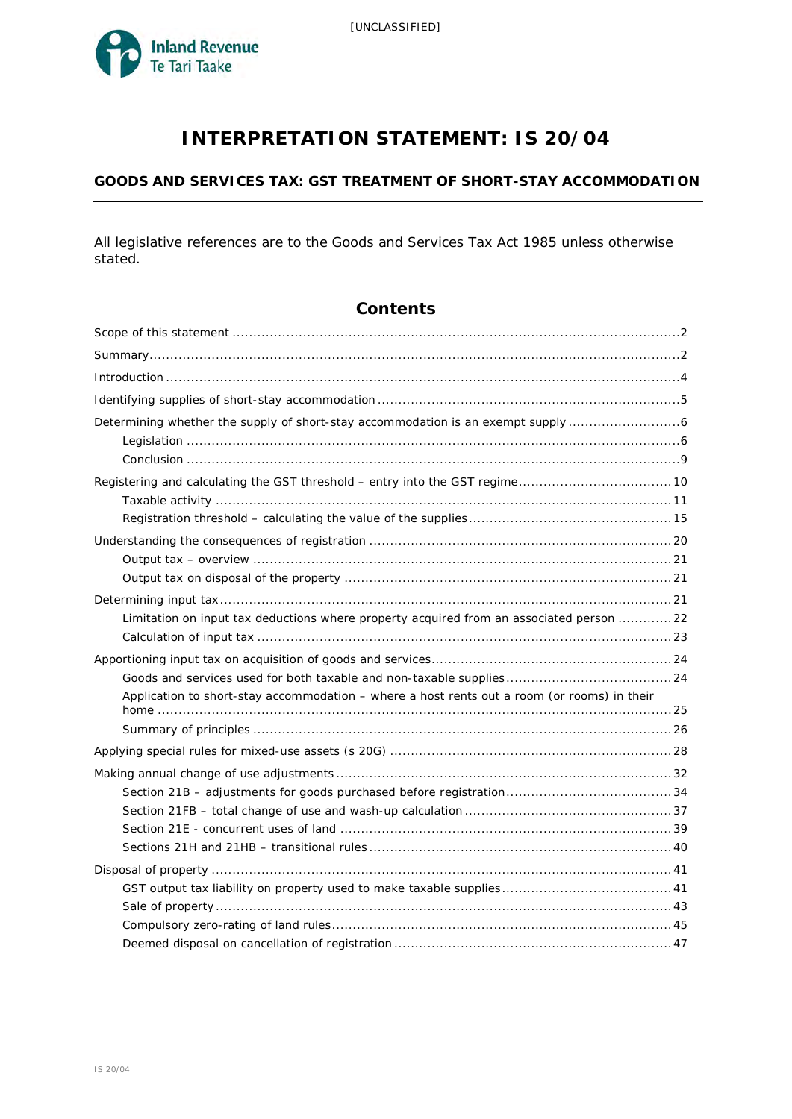

# **INTERPRETATION STATEMENT: IS 20/04**

## **GOODS AND SERVICES TAX: GST TREATMENT OF SHORT-STAY ACCOMMODATION**

All legislative references are to the Goods and Services Tax Act 1985 unless otherwise stated.

# **Contents**

| Determining whether the supply of short-stay accommodation is an exempt supply 6            |  |
|---------------------------------------------------------------------------------------------|--|
|                                                                                             |  |
|                                                                                             |  |
|                                                                                             |  |
|                                                                                             |  |
|                                                                                             |  |
|                                                                                             |  |
|                                                                                             |  |
|                                                                                             |  |
| Limitation on input tax deductions where property acquired from an associated person 22     |  |
|                                                                                             |  |
|                                                                                             |  |
|                                                                                             |  |
| Application to short-stay accommodation - where a host rents out a room (or rooms) in their |  |
|                                                                                             |  |
|                                                                                             |  |
|                                                                                             |  |
|                                                                                             |  |
|                                                                                             |  |
|                                                                                             |  |
|                                                                                             |  |
|                                                                                             |  |
|                                                                                             |  |
|                                                                                             |  |
|                                                                                             |  |
|                                                                                             |  |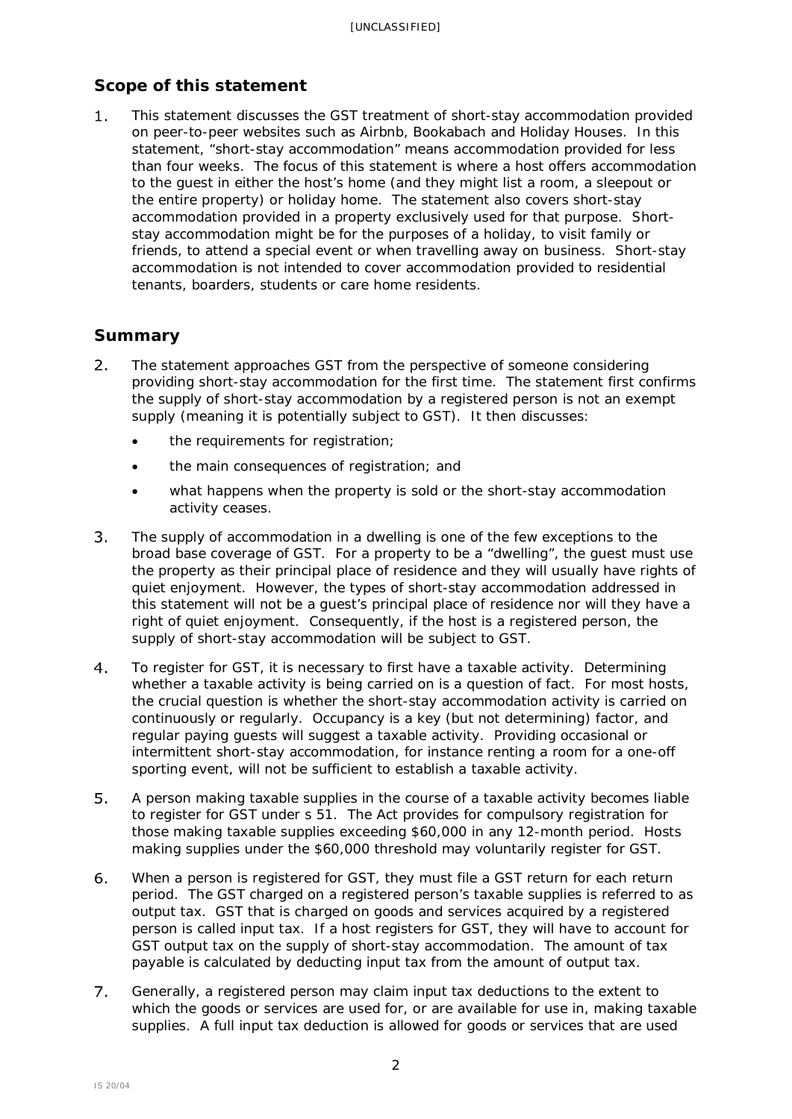# <span id="page-1-0"></span>**Scope of this statement**

 $1.$ This statement discusses the GST treatment of short-stay accommodation provided on peer-to-peer websites such as Airbnb, Bookabach and Holiday Houses. In this statement, "short-stay accommodation" means accommodation provided for less than four weeks. The focus of this statement is where a host offers accommodation to the guest in either the host's home (and they might list a room, a sleepout or the entire property) or holiday home. The statement also covers short-stay accommodation provided in a property exclusively used for that purpose. Shortstay accommodation might be for the purposes of a holiday, to visit family or friends, to attend a special event or when travelling away on business. Short-stay accommodation is not intended to cover accommodation provided to residential tenants, boarders, students or care home residents.

# <span id="page-1-1"></span>**Summary**

- $2.$ The statement approaches GST from the perspective of someone considering providing short-stay accommodation for the first time. The statement first confirms the supply of short-stay accommodation by a registered person is not an exempt supply (meaning it is potentially subject to GST). It then discusses:
	- the requirements for registration;
	- the main consequences of registration; and
	- what happens when the property is sold or the short-stay accommodation activity ceases.
- $3<sub>1</sub>$ The supply of accommodation in a dwelling is one of the few exceptions to the broad base coverage of GST. For a property to be a "dwelling", the guest must use the property as their principal place of residence and they will usually have rights of quiet enjoyment. However, the types of short-stay accommodation addressed in this statement will not be a guest's principal place of residence nor will they have a right of quiet enjoyment. Consequently, if the host is a registered person, the supply of short-stay accommodation will be subject to GST.
- $4.$ To register for GST, it is necessary to first have a taxable activity. Determining whether a taxable activity is being carried on is a question of fact. For most hosts, the crucial question is whether the short-stay accommodation activity is carried on continuously or regularly. Occupancy is a key (but not determining) factor, and regular paying guests will suggest a taxable activity. Providing occasional or intermittent short-stay accommodation, for instance renting a room for a one-off sporting event, will not be sufficient to establish a taxable activity.
- $5<sub>1</sub>$ A person making taxable supplies in the course of a taxable activity becomes liable to register for GST under s 51. The Act provides for compulsory registration for those making taxable supplies exceeding \$60,000 in any 12-month period. Hosts making supplies under the \$60,000 threshold may voluntarily register for GST.
- 6. When a person is registered for GST, they must file a GST return for each return period. The GST charged on a registered person's taxable supplies is referred to as output tax. GST that is charged on goods and services acquired by a registered person is called input tax. If a host registers for GST, they will have to account for GST output tax on the supply of short-stay accommodation. The amount of tax payable is calculated by deducting input tax from the amount of output tax.
- $7.$ Generally, a registered person may claim input tax deductions to the extent to which the goods or services are used for, or are available for use in, making taxable supplies. A full input tax deduction is allowed for goods or services that are used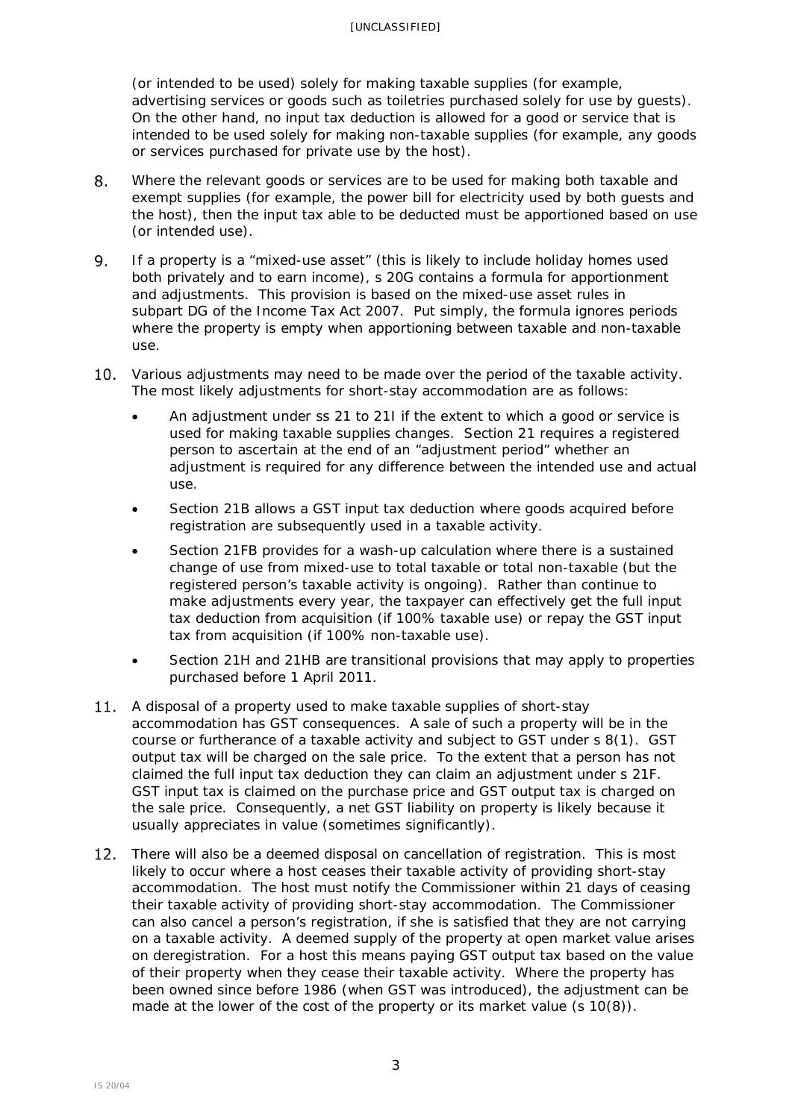(or intended to be used) solely for making taxable supplies (for example, advertising services or goods such as toiletries purchased solely for use by guests). On the other hand, no input tax deduction is allowed for a good or service that is intended to be used solely for making non-taxable supplies (for example, any goods or services purchased for private use by the host).

- 8. Where the relevant goods or services are to be used for making both taxable and exempt supplies (for example, the power bill for electricity used by both guests and the host), then the input tax able to be deducted must be apportioned based on use (or intended use).
- 9. If a property is a "mixed-use asset" (this is likely to include holiday homes used both privately and to earn income), s 20G contains a formula for apportionment and adjustments. This provision is based on the mixed-use asset rules in subpart DG of the Income Tax Act 2007. Put simply, the formula ignores periods where the property is empty when apportioning between taxable and non-taxable use.
- Various adjustments may need to be made over the period of the taxable activity. The most likely adjustments for short-stay accommodation are as follows:
	- An adjustment under ss 21 to 21I if the extent to which a good or service is used for making taxable supplies changes. Section 21 requires a registered person to ascertain at the end of an "adjustment period" whether an adjustment is required for any difference between the intended use and actual use.
	- Section 21B allows a GST input tax deduction where goods acquired before registration are subsequently used in a taxable activity.
	- Section 21FB provides for a wash-up calculation where there is a sustained change of use from mixed-use to total taxable or total non-taxable (but the registered person's taxable activity is ongoing). Rather than continue to make adjustments every year, the taxpayer can effectively get the full input tax deduction from acquisition (if 100% taxable use) or repay the GST input tax from acquisition (if 100% non-taxable use).
	- Section 21H and 21HB are transitional provisions that may apply to properties purchased before 1 April 2011.
- A disposal of a property used to make taxable supplies of short-stay accommodation has GST consequences. A sale of such a property will be in the course or furtherance of a taxable activity and subject to GST under s 8(1). GST output tax will be charged on the sale price. To the extent that a person has not claimed the full input tax deduction they can claim an adjustment under s 21F. GST input tax is claimed on the purchase price and GST output tax is charged on the sale price. Consequently, a net GST liability on property is likely because it usually appreciates in value (sometimes significantly).
- There will also be a deemed disposal on cancellation of registration. This is most likely to occur where a host ceases their taxable activity of providing short-stay accommodation. The host must notify the Commissioner within 21 days of ceasing their taxable activity of providing short-stay accommodation. The Commissioner can also cancel a person's registration, if she is satisfied that they are not carrying on a taxable activity. A deemed supply of the property at open market value arises on deregistration. For a host this means paying GST output tax based on the value of their property when they cease their taxable activity. Where the property has been owned since before 1986 (when GST was introduced), the adjustment can be made at the lower of the cost of the property or its market value (s 10(8)).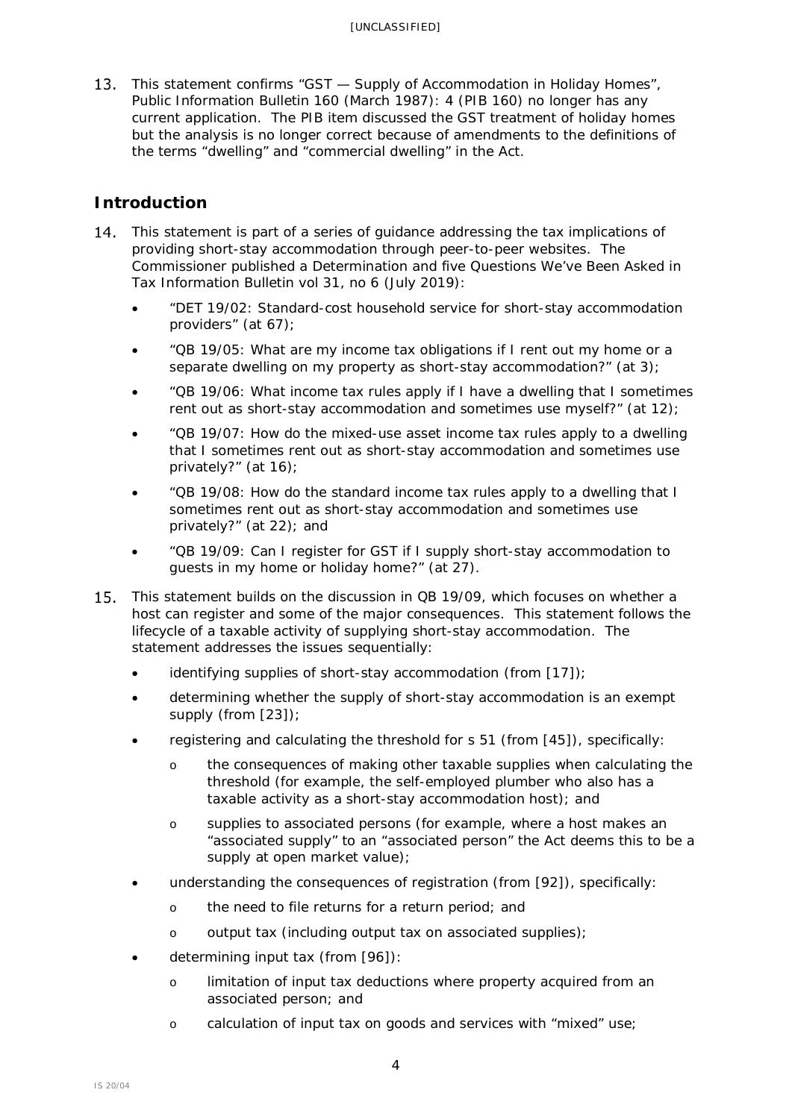13. This statement confirms "GST — Supply of Accommodation in Holiday Homes". *Public Information Bulletin* 160 (March 1987): 4 (PIB 160) no longer has any current application. The PIB item discussed the GST treatment of holiday homes but the analysis is no longer correct because of amendments to the definitions of the terms "dwelling" and "commercial dwelling" in the Act.

# <span id="page-3-0"></span>**Introduction**

- 14. This statement is part of a series of guidance addressing the tax implications of providing short-stay accommodation through peer-to-peer websites. The Commissioner published a Determination and five Questions We've Been Asked in *Tax Information Bulletin* vol 31, no 6 (July 2019):
	- "DET 19/02: Standard-cost household service for short-stay accommodation providers" (at 67);
	- "QB 19/05: What are my income tax obligations if I rent out my home or a separate dwelling on my property as short-stay accommodation?" (at 3);
	- "QB 19/06: What income tax rules apply if I have a dwelling that I sometimes rent out as short-stay accommodation and sometimes use myself?" (at 12);
	- "QB 19/07: How do the mixed-use asset income tax rules apply to a dwelling that I sometimes rent out as short-stay accommodation and sometimes use privately?" (at 16);
	- "QB 19/08: How do the standard income tax rules apply to a dwelling that I sometimes rent out as short-stay accommodation and sometimes use privately?" (at 22); and
	- "QB 19/09: Can I register for GST if I supply short-stay accommodation to guests in my home or holiday home?" (at 27).
- 15. This statement builds on the discussion in QB 19/09, which focuses on whether a host can register and some of the major consequences. This statement follows the lifecycle of a taxable activity of supplying short-stay accommodation. The statement addresses the issues sequentially:
	- identifying supplies of short-stay accommodation (from [\[17\]](#page-4-1));
	- determining whether the supply of short-stay accommodation is an exempt supply (from [\[23\]](#page-5-2));
	- registering and calculating the threshold for s 51 (from [\[45\]](#page-9-1)), specifically:
		- o the consequences of making other taxable supplies when calculating the threshold (for example, the self-employed plumber who also has a taxable activity as a short-stay accommodation host); and
		- o supplies to associated persons (for example, where a host makes an "associated supply" to an "associated person" the Act deems this to be a supply at open market value);
	- understanding the consequences of registration (from [921), specifically:
		- o the need to file returns for a return period; and
		- o output tax (including output tax on associated supplies);
	- determining input tax (from [\[96\]](#page-20-3)):
		- o limitation of input tax deductions where property acquired from an associated person; and
		- o calculation of input tax on goods and services with "mixed" use;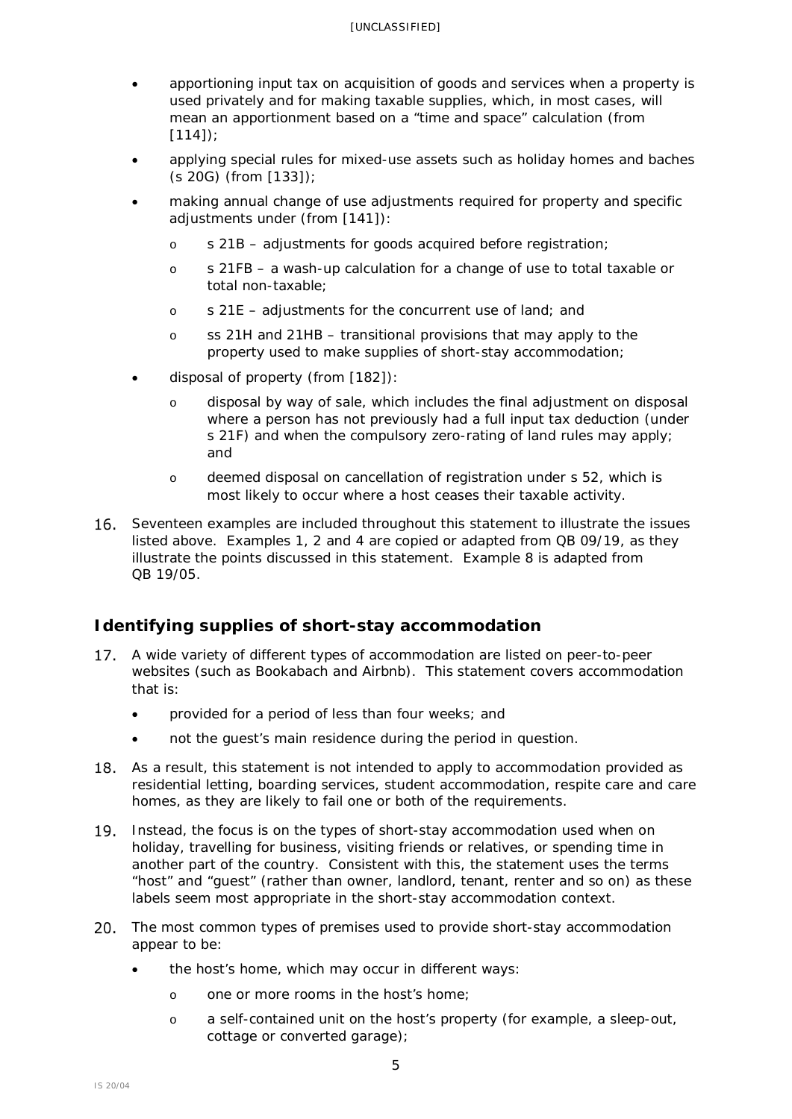- apportioning input tax on acquisition of goods and services when a property is used privately and for making taxable supplies, which, in most cases, will mean an apportionment based on a "time and space" calculation (from [\[114\]](#page-23-2));
- applying special rules for mixed-use assets such as holiday homes and baches (s 20G) (from [\[133\]](#page-27-1));
- making annual change of use adjustments required for property and specific adjustments under (from [\[141\]](#page-31-1)):
	- o s 21B adjustments for goods acquired before registration;
	- o s 21FB a wash-up calculation for a change of use to total taxable or total non-taxable;
	- o s 21E adjustments for the concurrent use of land; and
	- o ss 21H and 21HB transitional provisions that may apply to the property used to make supplies of short-stay accommodation;
- disposal of property (from [\[182\]](#page-40-2)):
	- o disposal by way of sale, which includes the final adjustment on disposal where a person has not previously had a full input tax deduction (under s 21F) and when the compulsory zero-rating of land rules may apply; and
	- o deemed disposal on cancellation of registration under s 52, which is most likely to occur where a host ceases their taxable activity.
- 16. Seventeen examples are included throughout this statement to illustrate the issues listed above. Examples 1, 2 and 4 are copied or adapted from QB 09/19, as they illustrate the points discussed in this statement. Example 8 is adapted from QB 19/05.

# <span id="page-4-0"></span>**Identifying supplies of short-stay accommodation**

- <span id="page-4-1"></span>A wide variety of different types of accommodation are listed on peer-to-peer  $17.$ websites (such as Bookabach and Airbnb). This statement covers accommodation that is:
	- provided for a period of less than four weeks; and
	- not the guest's main residence during the period in question.
- 18. As a result, this statement is not intended to apply to accommodation provided as residential letting, boarding services, student accommodation, respite care and care homes, as they are likely to fail one or both of the requirements.
- 19. Instead, the focus is on the types of short-stay accommodation used when on holiday, travelling for business, visiting friends or relatives, or spending time in another part of the country. Consistent with this, the statement uses the terms "host" and "guest" (rather than owner, landlord, tenant, renter and so on) as these labels seem most appropriate in the short-stay accommodation context.
- <span id="page-4-2"></span>20. The most common types of premises used to provide short-stay accommodation appear to be:
	- the host's home, which may occur in different ways:
		- o one or more rooms in the host's home;
		- o a self-contained unit on the host's property (for example, a sleep-out, cottage or converted garage);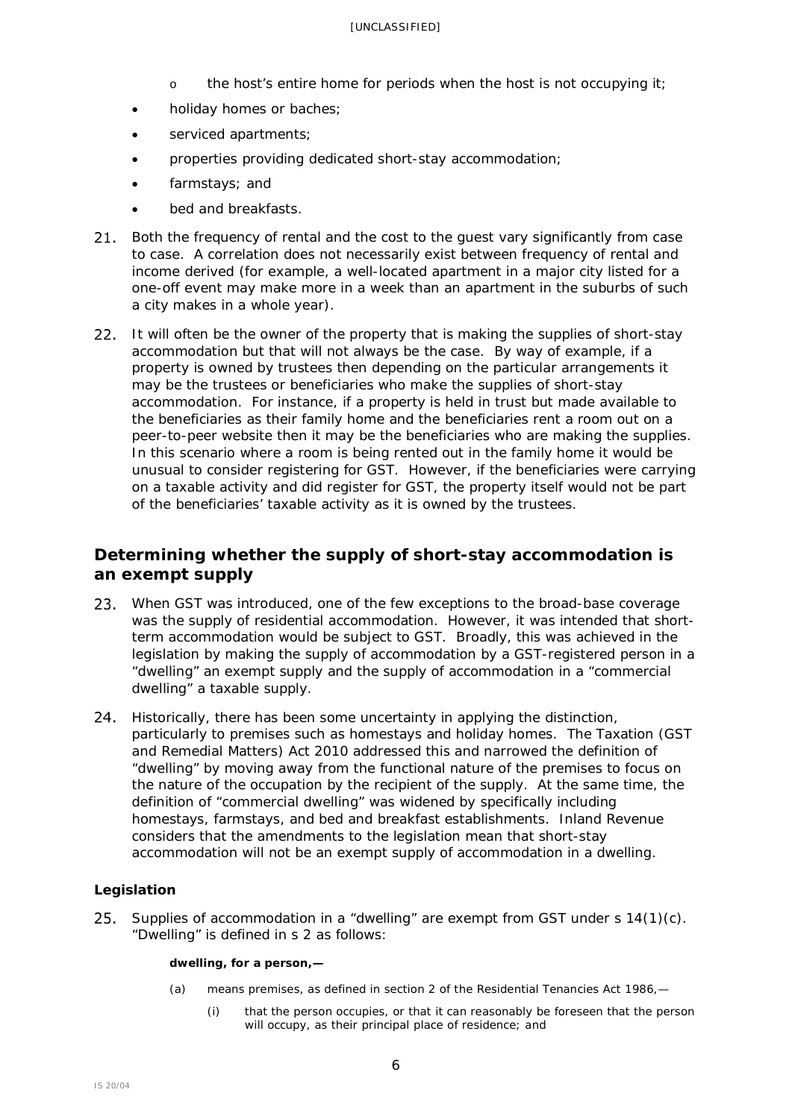- o the host's entire home for periods when the host is not occupying it;
- holiday homes or baches;
- serviced apartments;
- properties providing dedicated short-stay accommodation;
- farmstays: and
- bed and breakfasts.
- 21. Both the frequency of rental and the cost to the quest vary significantly from case to case. A correlation does not necessarily exist between frequency of rental and income derived (for example, a well-located apartment in a major city listed for a one-off event may make more in a week than an apartment in the suburbs of such a city makes in a whole year).
- 22. It will often be the owner of the property that is making the supplies of short-stay accommodation but that will not always be the case. By way of example, if a property is owned by trustees then depending on the particular arrangements it may be the trustees or beneficiaries who make the supplies of short-stay accommodation. For instance, if a property is held in trust but made available to the beneficiaries as their family home and the beneficiaries rent a room out on a peer-to-peer website then it may be the beneficiaries who are making the supplies. In this scenario where a room is being rented out in the family home it would be unusual to consider registering for GST. However, if the beneficiaries were carrying on a taxable activity and did register for GST, the property itself would not be part of the beneficiaries' taxable activity as it is owned by the trustees.

# <span id="page-5-0"></span>**Determining whether the supply of short-stay accommodation is an exempt supply**

- <span id="page-5-2"></span>23. When GST was introduced, one of the few exceptions to the broad-base coverage was the supply of residential accommodation. However, it was intended that shortterm accommodation would be subject to GST. Broadly, this was achieved in the legislation by making the supply of accommodation by a GST-registered person in a "dwelling" an exempt supply and the supply of accommodation in a "commercial dwelling" a taxable supply.
- 24. Historically, there has been some uncertainty in applying the distinction, particularly to premises such as homestays and holiday homes. The Taxation (GST and Remedial Matters) Act 2010 addressed this and narrowed the definition of "dwelling" by moving away from the functional nature of the premises to focus on the nature of the occupation by the recipient of the supply. At the same time, the definition of "commercial dwelling" was widened by specifically including homestays, farmstays, and bed and breakfast establishments. Inland Revenue considers that the amendments to the legislation mean that short-stay accommodation will not be an exempt supply of accommodation in a dwelling.

## <span id="page-5-1"></span>**Legislation**

25. Supplies of accommodation in a "dwelling" are exempt from GST under  $s$  14(1)(c). "Dwelling" is defined in s 2 as follows:

## **dwelling, for a person,—**

- (a) means premises, as defined in section 2 of the Residential Tenancies Act 1986,—
	- (i) that the person occupies, or that it can reasonably be foreseen that the person will occupy, as their principal place of residence; and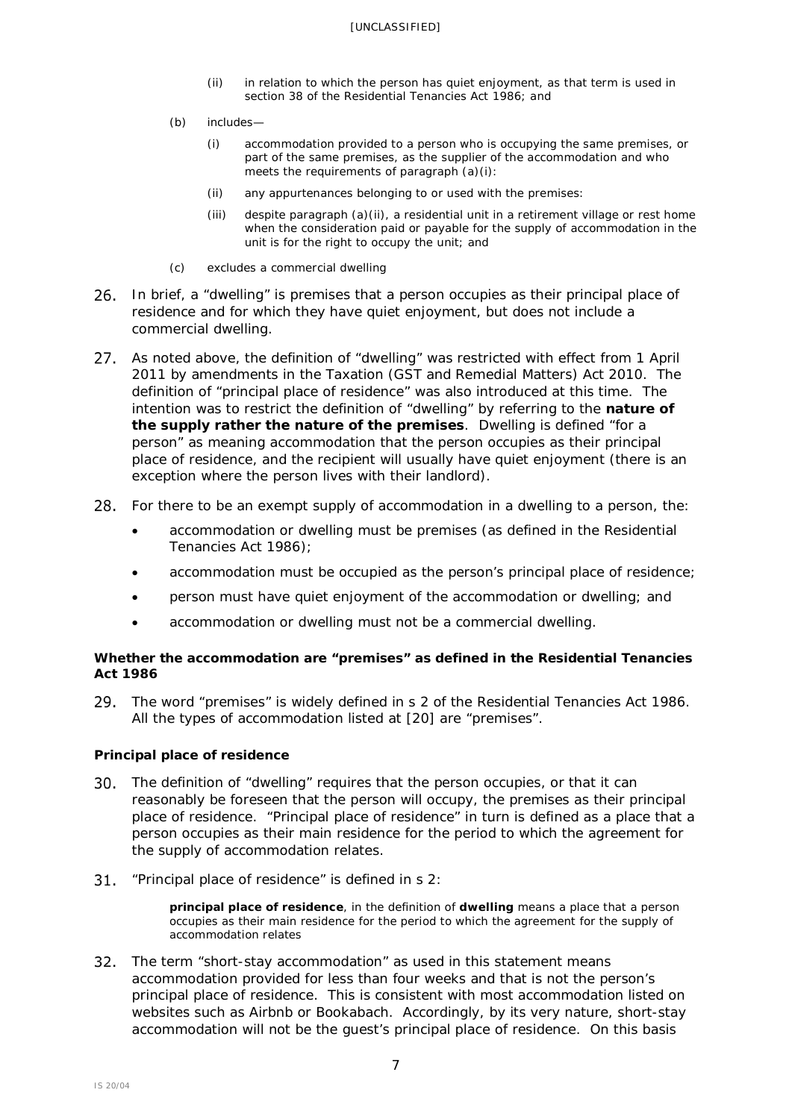- (ii) in relation to which the person has quiet enjoyment, as that term is used in section 38 of the Residential Tenancies Act 1986; and
- (b) includes—
	- (i) accommodation provided to a person who is occupying the same premises, or part of the same premises, as the supplier of the accommodation and who meets the requirements of paragraph (a)(i):
	- (ii) any appurtenances belonging to or used with the premises:
	- (iii) despite paragraph (a)(ii), a residential unit in a retirement village or rest home when the consideration paid or payable for the supply of accommodation in the unit is for the right to occupy the unit; and
- (c) excludes a commercial dwelling
- In brief, a "dwelling" is premises that a person occupies as their principal place of 26. residence and for which they have quiet enjoyment, but does not include a commercial dwelling.
- <span id="page-6-0"></span>As noted above, the definition of "dwelling" was restricted with effect from 1 April  $27.$ 2011 by amendments in the Taxation (GST and Remedial Matters) Act 2010. The definition of "principal place of residence" was also introduced at this time. The intention was to restrict the definition of "dwelling" by referring to the **nature of the supply rather the nature of the premises**. Dwelling is defined "for a person" as meaning accommodation that the person occupies as their principal place of residence, and the recipient will usually have quiet enjoyment (there is an exception where the person lives with their landlord).
- For there to be an exempt supply of accommodation in a dwelling to a person, the:
	- accommodation or dwelling must be premises (as defined in the Residential Tenancies Act 1986);
	- accommodation must be occupied as the person's principal place of residence;
	- person must have quiet enjoyment of the accommodation or dwelling; and
	- accommodation or dwelling must not be a commercial dwelling.

## *Whether the accommodation are "premises" as defined in the Residential Tenancies Act 1986*

The word "premises" is widely defined in s 2 of the Residential Tenancies Act 1986. All the types of accommodation listed at [\[20\]](#page-4-2) are "premises".

## *Principal place of residence*

- The definition of "dwelling" requires that the person occupies, or that it can reasonably be foreseen that the person will occupy, the premises as their principal place of residence. "Principal place of residence" in turn is defined as a place that a person occupies as their main residence for the period to which the agreement for the supply of accommodation relates.
- 31. "Principal place of residence" is defined in s 2:

**principal place of residence**, in the definition of **dwelling** means a place that a person occupies as their main residence for the period to which the agreement for the supply of accommodation relates

32. The term "short-stay accommodation" as used in this statement means accommodation provided for less than four weeks and that is not the person's principal place of residence. This is consistent with most accommodation listed on websites such as Airbnb or Bookabach. Accordingly, by its very nature, short-stay accommodation will not be the guest's principal place of residence. On this basis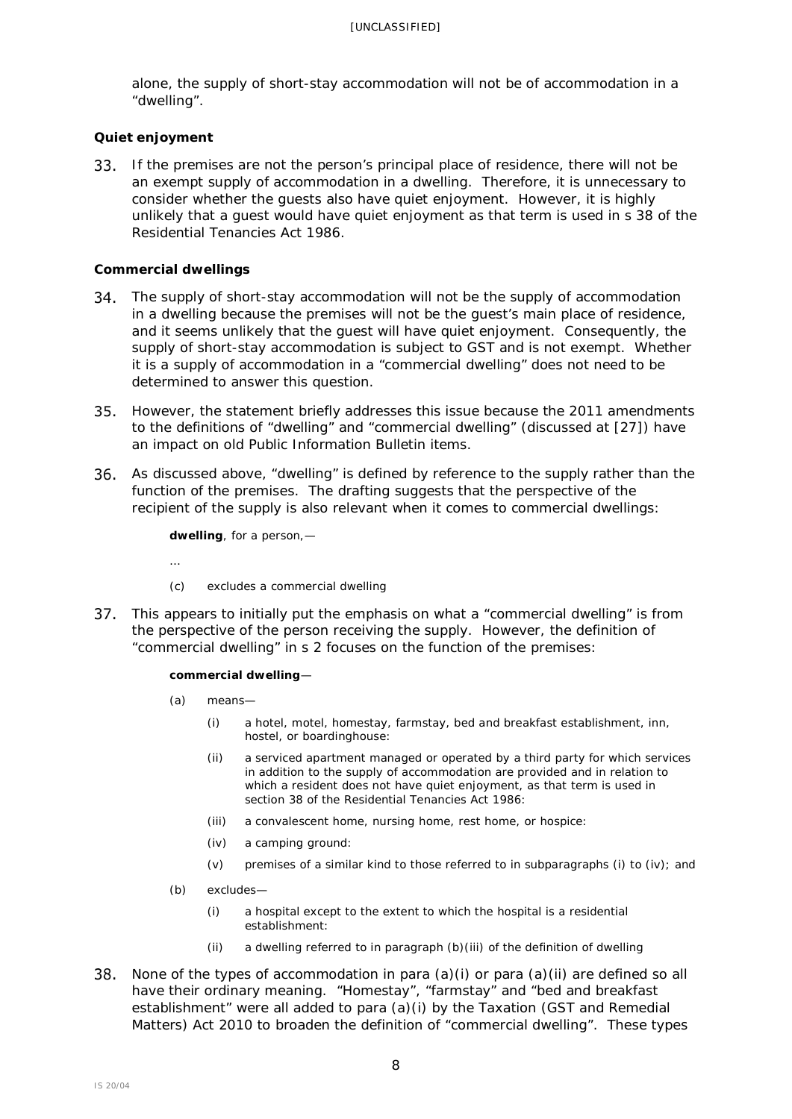alone, the supply of short-stay accommodation will not be of accommodation in a "dwelling".

## *Quiet enjoyment*

33. If the premises are not the person's principal place of residence, there will not be an exempt supply of accommodation in a dwelling. Therefore, it is unnecessary to consider whether the guests also have quiet enjoyment. However, it is highly unlikely that a guest would have quiet enjoyment as that term is used in s 38 of the Residential Tenancies Act 1986.

## *Commercial dwellings*

…

- 34. The supply of short-stay accommodation will not be the supply of accommodation in a dwelling because the premises will not be the guest's main place of residence, and it seems unlikely that the guest will have quiet enjoyment. Consequently, the supply of short-stay accommodation is subject to GST and is not exempt. Whether it is a supply of accommodation in a "commercial dwelling" does not need to be determined to answer this question.
- However, the statement briefly addresses this issue because the 2011 amendments to the definitions of "dwelling" and "commercial dwelling" (discussed at [\[27\]](#page-6-0)) have an impact on old *Public Information Bulletin* items.
- As discussed above, "dwelling" is defined by reference to the supply rather than the function of the premises. The drafting suggests that the perspective of the recipient of the supply is also relevant when it comes to commercial dwellings:

**dwelling**, for a person,—

- (c) excludes a commercial dwelling
- 37. This appears to initially put the emphasis on what a "commercial dwelling" is from the perspective of the person receiving the supply. However, the definition of "commercial dwelling" in s 2 focuses on the function of the premises:

### **commercial dwelling**—

- (a) means—
	- (i) a hotel, motel, homestay, farmstay, bed and breakfast establishment, inn, hostel, or boardinghouse:
	- (ii) a serviced apartment managed or operated by a third party for which services in addition to the supply of accommodation are provided and in relation to which a resident does not have quiet enjoyment, as that term is used in section 38 of the Residential Tenancies Act 1986:
	- (iii) a convalescent home, nursing home, rest home, or hospice:
	- (iv) a camping ground:
	- (v) premises of a similar kind to those referred to in subparagraphs (i) to (iv); and
- (b) excludes—
	- (i) a hospital except to the extent to which the hospital is a residential establishment:
	- (ii) a dwelling referred to in paragraph (b)(iii) of the definition of dwelling
- 38. None of the types of accommodation in para  $(a)(i)$  or para  $(a)(ii)$  are defined so all have their ordinary meaning. "Homestay", "farmstay" and "bed and breakfast establishment" were all added to para (a)(i) by the Taxation (GST and Remedial Matters) Act 2010 to broaden the definition of "commercial dwelling". These types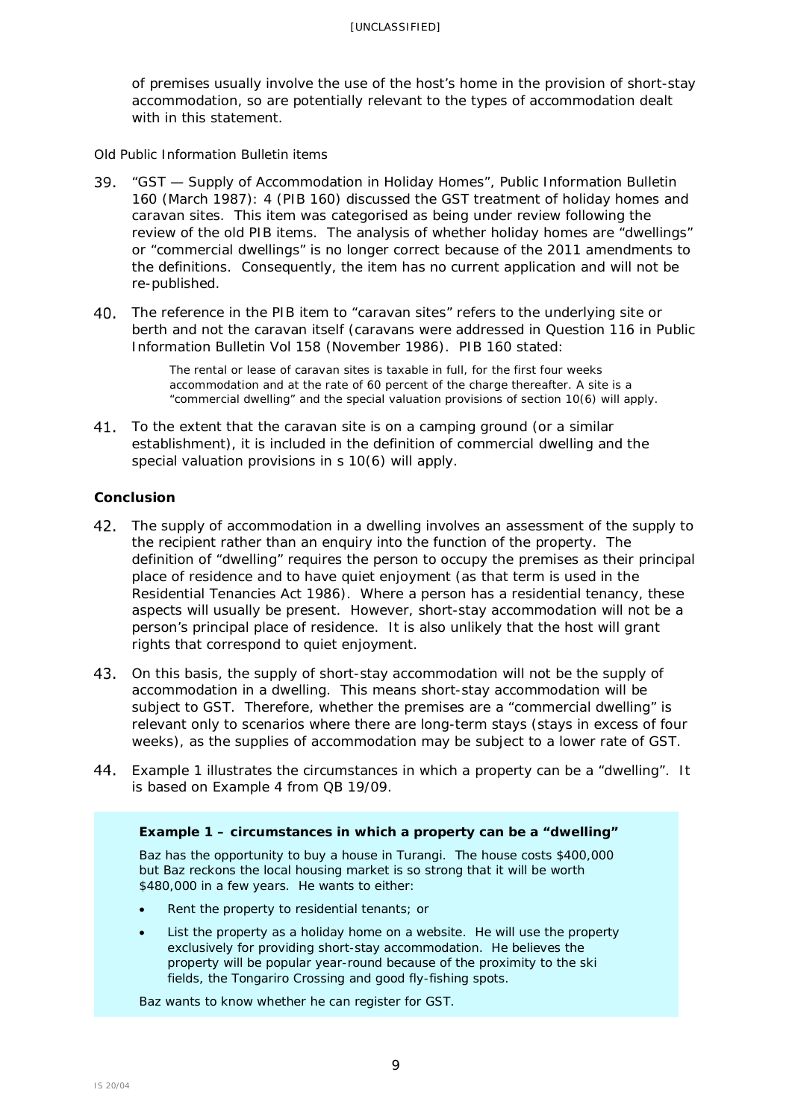of premises usually involve the use of the host's home in the provision of short-stay accommodation, so are potentially relevant to the types of accommodation dealt with in this statement.

*Old Public Information Bulletin items* 

- "GST Supply of Accommodation in Holiday Homes", *Public Information Bulletin* 160 (March 1987): 4 (PIB 160) discussed the GST treatment of holiday homes and caravan sites. This item was categorised as being under review following the review of the old PIB items. The analysis of whether holiday homes are "dwellings" or "commercial dwellings" is no longer correct because of the 2011 amendments to the definitions. Consequently, the item has no current application and will not be re-published.
- 40. The reference in the PIB item to "caravan sites" refers to the underlying site or berth and not the caravan itself (caravans were addressed in Question 116 in *Public Information Bulletin* Vol 158 (November 1986). PIB 160 stated:

The rental or lease of caravan sites is taxable in full, for the first four weeks accommodation and at the rate of 60 percent of the charge thereafter. A site is a "commercial dwelling" and the special valuation provisions of section 10(6) will apply.

41. To the extent that the caravan site is on a camping ground (or a similar establishment), it is included in the definition of commercial dwelling and the special valuation provisions in s 10(6) will apply.

## <span id="page-8-0"></span>**Conclusion**

- 42. The supply of accommodation in a dwelling involves an assessment of the supply to the recipient rather than an enquiry into the function of the property. The definition of "dwelling" requires the person to occupy the premises as their principal place of residence and to have quiet enjoyment (as that term is used in the Residential Tenancies Act 1986). Where a person has a residential tenancy, these aspects will usually be present. However, short-stay accommodation will not be a person's principal place of residence. It is also unlikely that the host will grant rights that correspond to quiet enjoyment.
- 43. On this basis, the supply of short-stay accommodation will not be the supply of accommodation in a dwelling. This means short-stay accommodation will be subject to GST. Therefore, whether the premises are a "commercial dwelling" is relevant only to scenarios where there are long-term stays (stays in excess of four weeks), as the supplies of accommodation may be subject to a lower rate of GST.
- Example 1 illustrates the circumstances in which a property can be a "dwelling". It is based on Example 4 from QB 19/09.

## **Example 1 – circumstances in which a property can be a "dwelling"**

Baz has the opportunity to buy a house in Turangi. The house costs \$400,000 but Baz reckons the local housing market is so strong that it will be worth \$480,000 in a few years. He wants to either:

- Rent the property to residential tenants; or
- List the property as a holiday home on a website. He will use the property exclusively for providing short-stay accommodation. He believes the property will be popular year-round because of the proximity to the ski fields, the Tongariro Crossing and good fly-fishing spots.

Baz wants to know whether he can register for GST.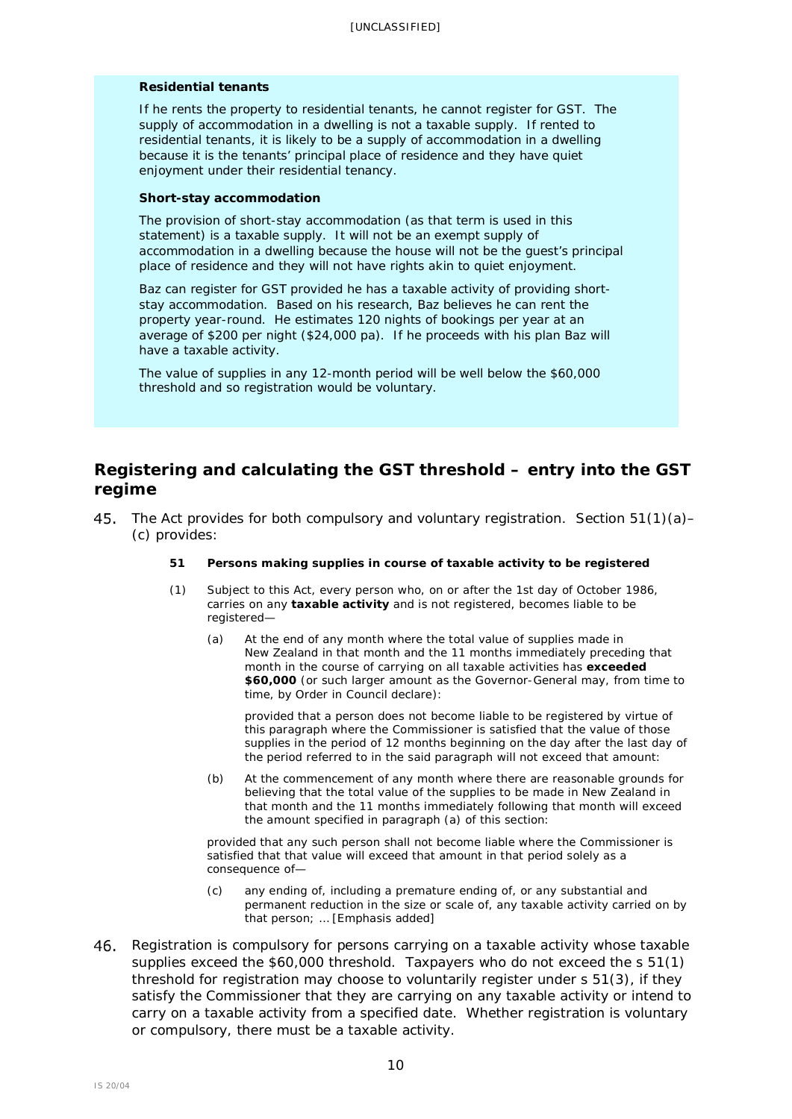#### *Residential tenants*

If he rents the property to residential tenants, he cannot register for GST. The supply of accommodation in a dwelling is not a taxable supply. If rented to residential tenants, it is likely to be a supply of accommodation in a dwelling because it is the tenants' principal place of residence and they have quiet enjoyment under their residential tenancy.

#### *Short-stay accommodation*

The provision of short-stay accommodation (as that term is used in this statement) is a taxable supply. It will not be an exempt supply of accommodation in a dwelling because the house will not be the guest's principal place of residence and they will not have rights akin to quiet enjoyment.

Baz can register for GST provided he has a taxable activity of providing shortstay accommodation. Based on his research, Baz believes he can rent the property year-round. He estimates 120 nights of bookings per year at an average of \$200 per night (\$24,000 pa). If he proceeds with his plan Baz will have a taxable activity.

The value of supplies in any 12-month period will be well below the \$60,000 threshold and so registration would be voluntary.

# <span id="page-9-0"></span>**Registering and calculating the GST threshold – entry into the GST regime**

<span id="page-9-1"></span>The Act provides for both compulsory and voluntary registration. Section 51(1)(a)– (c) provides:

### **51 Persons making supplies in course of taxable activity to be registered**

- (1) Subject to this Act, every person who, on or after the 1st day of October 1986, carries on any **taxable activity** and is not registered, becomes liable to be registered—
	- (a) At the end of any month where the total value of supplies made in New Zealand in that month and the 11 months immediately preceding that month in the course of carrying on all taxable activities has **exceeded \$60,000** (or such larger amount as the Governor-General may, from time to time, by Order in Council declare):

provided that a person does not become liable to be registered by virtue of this paragraph where the Commissioner is satisfied that the value of those supplies in the period of 12 months beginning on the day after the last day of the period referred to in the said paragraph will not exceed that amount:

(b) At the commencement of any month where there are reasonable grounds for believing that the total value of the supplies to be made in New Zealand in that month and the 11 months immediately following that month will exceed the amount specified in paragraph (a) of this section:

provided that any such person shall not become liable where the Commissioner is satisfied that that value will exceed that amount in that period solely as a consequence of—

- (c) any ending of, including a premature ending of, or any substantial and permanent reduction in the size or scale of, any taxable activity carried on by that person; … [Emphasis added]
- Registration is compulsory for persons carrying on a taxable activity whose taxable supplies exceed the \$60,000 threshold. Taxpayers who do not exceed the s 51(1) threshold for registration may choose to voluntarily register under s 51(3), if they satisfy the Commissioner that they are carrying on any taxable activity or intend to carry on a taxable activity from a specified date. Whether registration is voluntary or compulsory, there must be a taxable activity.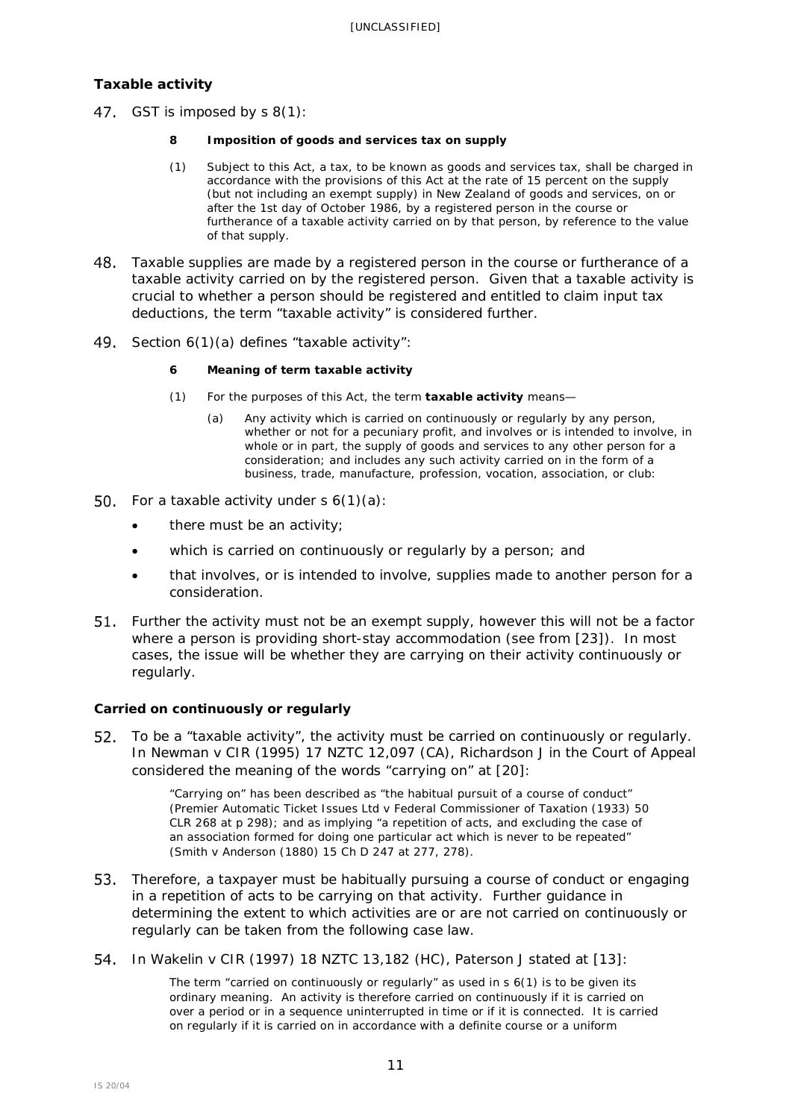## <span id="page-10-0"></span>**Taxable activity**

47. GST is imposed by s 8(1):

### **8 Imposition of goods and services tax on supply**

- (1) Subject to this Act, a tax, to be known as goods and services tax, shall be charged in accordance with the provisions of this Act at the rate of 15 percent on the supply (but not including an exempt supply) in New Zealand of goods and services, on or after the 1st day of October 1986, by a registered person in the course or furtherance of a taxable activity carried on by that person, by reference to the value of that supply.
- Taxable supplies are made by a registered person in the course or furtherance of a taxable activity carried on by the registered person. Given that a taxable activity is crucial to whether a person should be registered and entitled to claim input tax deductions, the term "taxable activity" is considered further.
- 49. Section  $6(1)(a)$  defines "taxable activity":

## **6 Meaning of term taxable activity**

- (1) For the purposes of this Act, the term **taxable activity** means—
	- (a) Any activity which is carried on continuously or regularly by any person, whether or not for a pecuniary profit, and involves or is intended to involve, in whole or in part, the supply of goods and services to any other person for a consideration; and includes any such activity carried on in the form of a business, trade, manufacture, profession, vocation, association, or club:
- 50. For a taxable activity under  $s \, 6(1)(a)$ :
	- there must be an activity;
	- which is carried on continuously or regularly by a person; and
	- that involves, or is intended to involve, supplies made to another person for a consideration.
- Further the activity must not be an exempt supply, however this will not be a factor where a person is providing short-stay accommodation (see from [\[23\]](#page-5-2)). In most cases, the issue will be whether they are carrying on their activity continuously or regularly.

## *Carried on continuously or regularly*

52. To be a "taxable activity", the activity must be carried on continuously or regularly. In *Newman v CIR* (1995) 17 NZTC 12,097 (CA), Richardson J in the Court of Appeal considered the meaning of the words "carrying on" at [20]:

> "Carrying on" has been described as "the habitual pursuit of a course of conduct" *(Premier Automatic Ticket Issues Ltd v Federal Commissioner of Taxation* (1933) 50 CLR 268 at p 298); and as implying "a repetition of acts, and excluding the case of an association formed for doing one particular act which is never to be repeated" (*Smith v Anderson* (1880) 15 Ch D 247 at 277, 278).

- Therefore, a taxpayer must be habitually pursuing a course of conduct or engaging in a repetition of acts to be carrying on that activity. Further guidance in determining the extent to which activities are or are not carried on continuously or regularly can be taken from the following case law.
- In *Wakelin v CIR* (1997) 18 NZTC 13,182 (HC), Paterson J stated at [13]:

The term "carried on continuously or regularly" as used in s 6(1) is to be given its ordinary meaning. An activity is therefore carried on continuously if it is carried on over a period or in a sequence uninterrupted in time or if it is connected. It is carried on regularly if it is carried on in accordance with a definite course or a uniform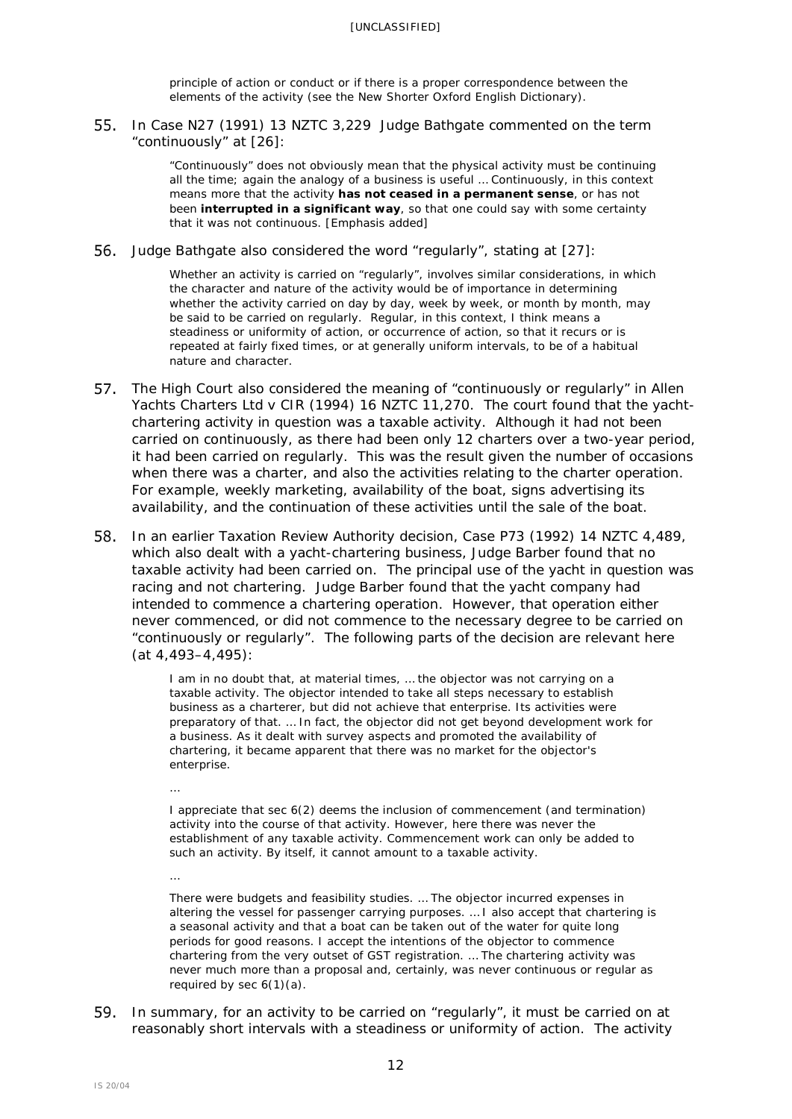principle of action or conduct or if there is a proper correspondence between the elements of the activity (see the *New Shorter Oxford English Dictionary*).

In *Case N27* (1991) 13 NZTC 3,229 Judge Bathgate commented on the term "continuously" at [26]:

> "Continuously" does not obviously mean that the physical activity must be continuing all the time; again the analogy of a business is useful … Continuously, in this context means more that the activity **has not ceased in a permanent sense**, or has not been **interrupted in a significant way**, so that one could say with some certainty that it was not continuous. [Emphasis added]

Judge Bathgate also considered the word "regularly", stating at [27]:

Whether an activity is carried on "regularly", involves similar considerations, in which the character and nature of the activity would be of importance in determining whether the activity carried on day by day, week by week, or month by month, may be said to be carried on regularly. Regular, in this context, I think means a steadiness or uniformity of action, or occurrence of action, so that it recurs or is repeated at fairly fixed times, or at generally uniform intervals, to be of a habitual nature and character.

- The High Court also considered the meaning of "continuously or regularly" in *Allen Yachts Charters Ltd* v *CIR* [\(1994\) 16 NZTC 11,270.](javascript:void(0)) The court found that the yachtchartering activity in question was a taxable activity. Although it had not been carried on continuously, as there had been only 12 charters over a two-year period, it had been carried on regularly. This was the result given the number of occasions when there was a charter, and also the activities relating to the charter operation. For example, weekly marketing, availability of the boat, signs advertising its availability, and the continuation of these activities until the sale of the boat.
- In an earlier Taxation Review Authority decision, *Case P73* [\(1992\) 14 NZTC 4,489,](javascript:void(0)) which also dealt with a yacht-chartering business, Judge Barber found that no taxable activity had been carried on. The principal use of the yacht in question was racing and not chartering. Judge Barber found that the yacht company had intended to commence a chartering operation. However, that operation either never commenced, or did not commence to the necessary degree to be carried on "continuously or regularly". The following parts of the decision are relevant here (at 4,493–4,495):

I am in no doubt that, at material times, … the objector was not carrying on a taxable activity. The objector intended to take all steps necessary to establish business as a charterer, but did not achieve that enterprise. Its activities were preparatory of that. … In fact, the objector did not get beyond development work for a business. As it dealt with survey aspects and promoted the availability of chartering, it became apparent that there was no market for the objector's enterprise.

I appreciate that sec 6(2) deems the inclusion of commencement (and termination) activity into the course of that activity. However, here there was never the establishment of any taxable activity. Commencement work can only be added to such an activity. By itself, it cannot amount to a taxable activity.

There were budgets and feasibility studies. … The objector incurred expenses in altering the vessel for passenger carrying purposes. … I also accept that chartering is a seasonal activity and that a boat can be taken out of the water for quite long periods for good reasons. I accept the intentions of the objector to commence chartering from the very outset of GST registration. … The chartering activity was never much more than a proposal and, certainly, was never continuous or regular as required by sec  $6(1)(a)$ .

59. In summary, for an activity to be carried on "regularly", it must be carried on at reasonably short intervals with a steadiness or uniformity of action. The activity

…

…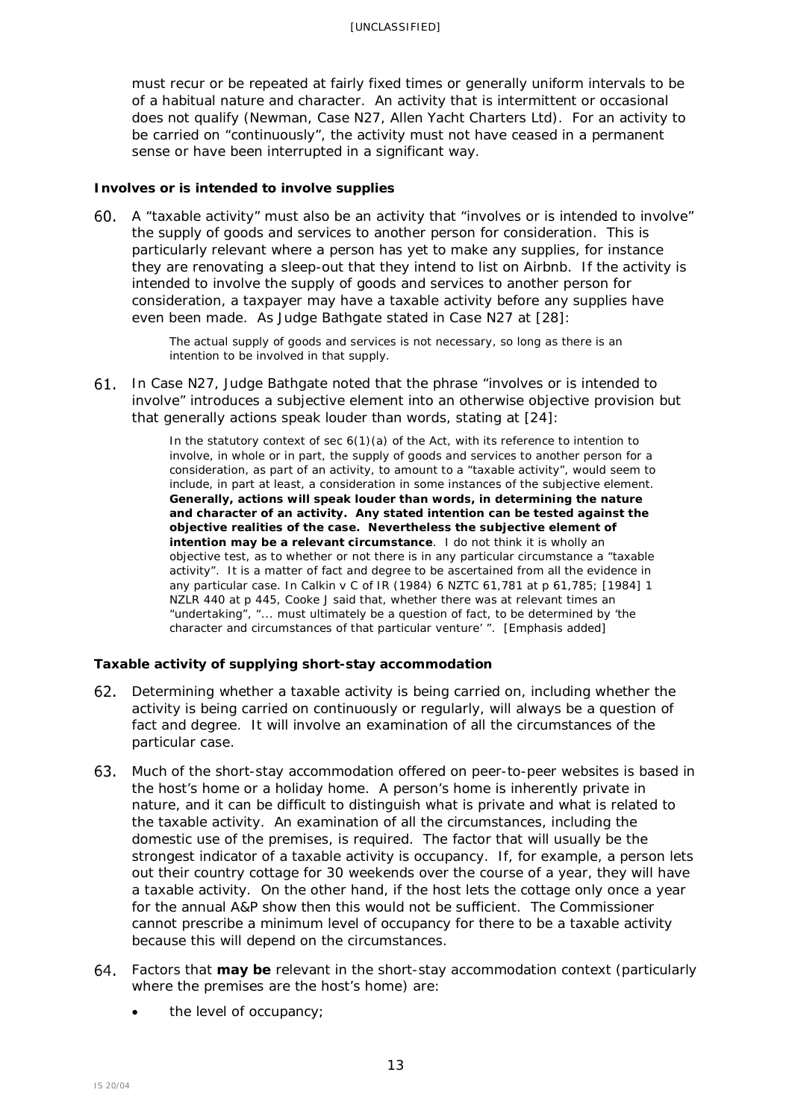must recur or be repeated at fairly fixed times or generally uniform intervals to be of a habitual nature and character. An activity that is intermittent or occasional does not qualify (*Newman, Case N27, Allen Yacht Charters Ltd*). For an activity to be carried on "continuously", the activity must not have ceased in a permanent sense or have been interrupted in a significant way.

## *Involves or is intended to involve supplies*

A "taxable activity" must also be an activity that "involves or is intended to involve" the supply of goods and services to another person for consideration. This is particularly relevant where a person has yet to make any supplies, for instance they are renovating a sleep-out that they intend to list on Airbnb. If the activity is intended to involve the supply of goods and services to another person for consideration, a taxpayer may have a taxable activity before any supplies have even been made. As Judge Bathgate stated in *Case N27* at [28]:

> The actual supply of goods and services is not necessary, so long as there is an intention to be involved in that supply.

In *Case N27*, Judge Bathgate noted that the phrase "involves or is intended to involve" introduces a subjective element into an otherwise objective provision but that generally actions speak louder than words, stating at [24]:

> In the statutory context of sec  $6(1)(a)$  of the Act, with its reference to intention to involve, in whole or in part, the supply of goods and services to another person for a consideration, as part of an activity, to amount to a "taxable activity", would seem to include, in part at least, a consideration in some instances of the subjective element. **Generally, actions will speak louder than words, in determining the nature and character of an activity. Any stated intention can be tested against the objective realities of the case. Nevertheless the subjective element of intention may be a relevant circumstance**. I do not think it is wholly an objective test, as to whether or not there is in any particular circumstance a "taxable activity". It is a matter of fact and degree to be ascertained from all the evidence in any particular case. In *Calkin v C of IR* (1984) 6 NZTC 61,781 at p 61,785; [1984] 1 NZLR 440 at p 445, Cooke J said that, whether there was at relevant times an "undertaking", "... must ultimately be a question of fact, to be determined by 'the character and circumstances of that particular venture' ". [Emphasis added]

## *Taxable activity of supplying short-stay accommodation*

- Determining whether a taxable activity is being carried on, including whether the activity is being carried on continuously or regularly, will always be a question of fact and degree. It will involve an examination of all the circumstances of the particular case.
- Much of the short-stay accommodation offered on peer-to-peer websites is based in the host's home or a holiday home. A person's home is inherently private in nature, and it can be difficult to distinguish what is private and what is related to the taxable activity. An examination of all the circumstances, including the domestic use of the premises, is required. The factor that will usually be the strongest indicator of a taxable activity is occupancy. If, for example, a person lets out their country cottage for 30 weekends over the course of a year, they will have a taxable activity. On the other hand, if the host lets the cottage only once a year for the annual A&P show then this would not be sufficient. The Commissioner cannot prescribe a minimum level of occupancy for there to be a taxable activity because this will depend on the circumstances.
- Factors that **may be** relevant in the short-stay accommodation context (particularly where the premises are the host's home) are:
	- the level of occupancy;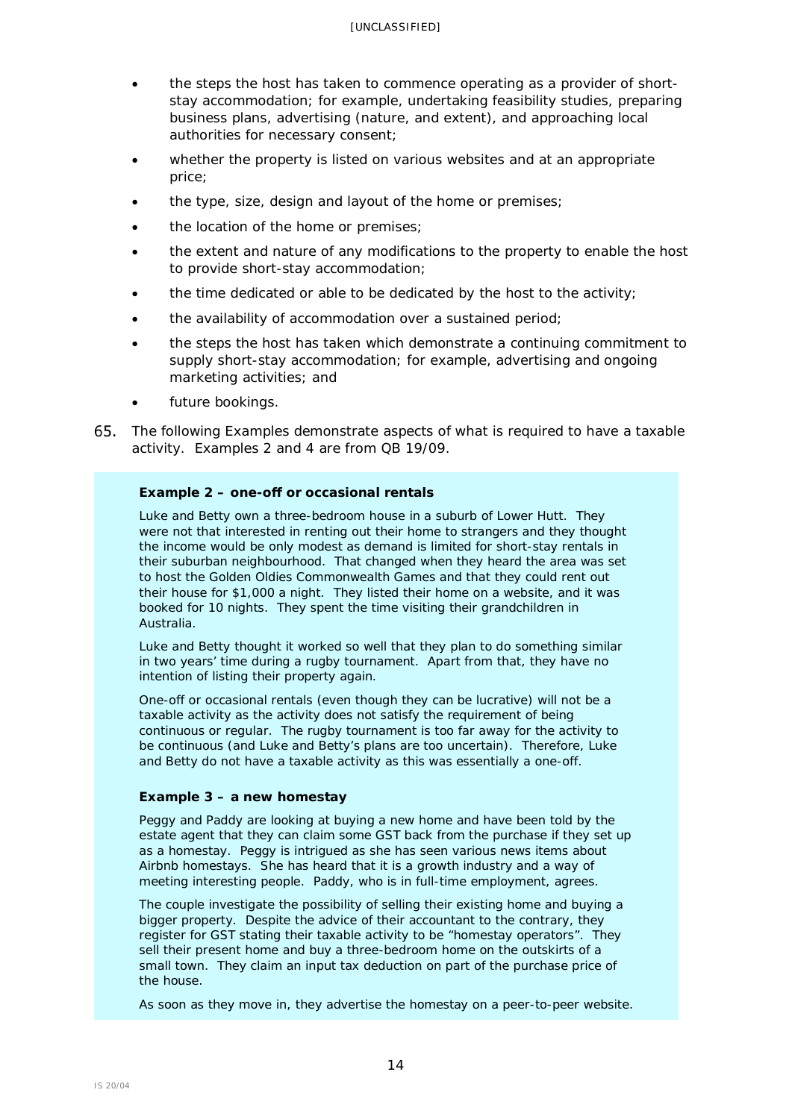- the steps the host has taken to commence operating as a provider of shortstay accommodation; for example, undertaking feasibility studies, preparing business plans, advertising (nature, and extent), and approaching local authorities for necessary consent;
- whether the property is listed on various websites and at an appropriate price;
- the type, size, design and layout of the home or premises;
- the location of the home or premises;
- the extent and nature of any modifications to the property to enable the host to provide short-stay accommodation;
- the time dedicated or able to be dedicated by the host to the activity;
- the availability of accommodation over a sustained period;
- the steps the host has taken which demonstrate a continuing commitment to supply short-stay accommodation; for example, advertising and ongoing marketing activities; and
- future bookings.
- 65. The following Examples demonstrate aspects of what is required to have a taxable activity. Examples 2 and 4 are from QB 19/09.

### **Example 2 – one-off or occasional rentals**

Luke and Betty own a three-bedroom house in a suburb of Lower Hutt. They were not that interested in renting out their home to strangers and they thought the income would be only modest as demand is limited for short-stay rentals in their suburban neighbourhood. That changed when they heard the area was set to host the Golden Oldies Commonwealth Games and that they could rent out their house for \$1,000 a night. They listed their home on a website, and it was booked for 10 nights. They spent the time visiting their grandchildren in Australia.

Luke and Betty thought it worked so well that they plan to do something similar in two years' time during a rugby tournament. Apart from that, they have no intention of listing their property again.

One-off or occasional rentals (even though they can be lucrative) will not be a taxable activity as the activity does not satisfy the requirement of being continuous or regular. The rugby tournament is too far away for the activity to be continuous (and Luke and Betty's plans are too uncertain). Therefore, Luke and Betty do not have a taxable activity as this was essentially a one-off.

## **Example 3 – a new homestay**

Peggy and Paddy are looking at buying a new home and have been told by the estate agent that they can claim some GST back from the purchase if they set up as a homestay. Peggy is intrigued as she has seen various news items about Airbnb homestays. She has heard that it is a growth industry and a way of meeting interesting people. Paddy, who is in full-time employment, agrees.

The couple investigate the possibility of selling their existing home and buying a bigger property. Despite the advice of their accountant to the contrary, they register for GST stating their taxable activity to be "homestay operators". They sell their present home and buy a three-bedroom home on the outskirts of a small town. They claim an input tax deduction on part of the purchase price of the house.

As soon as they move in, they advertise the homestay on a peer-to-peer website.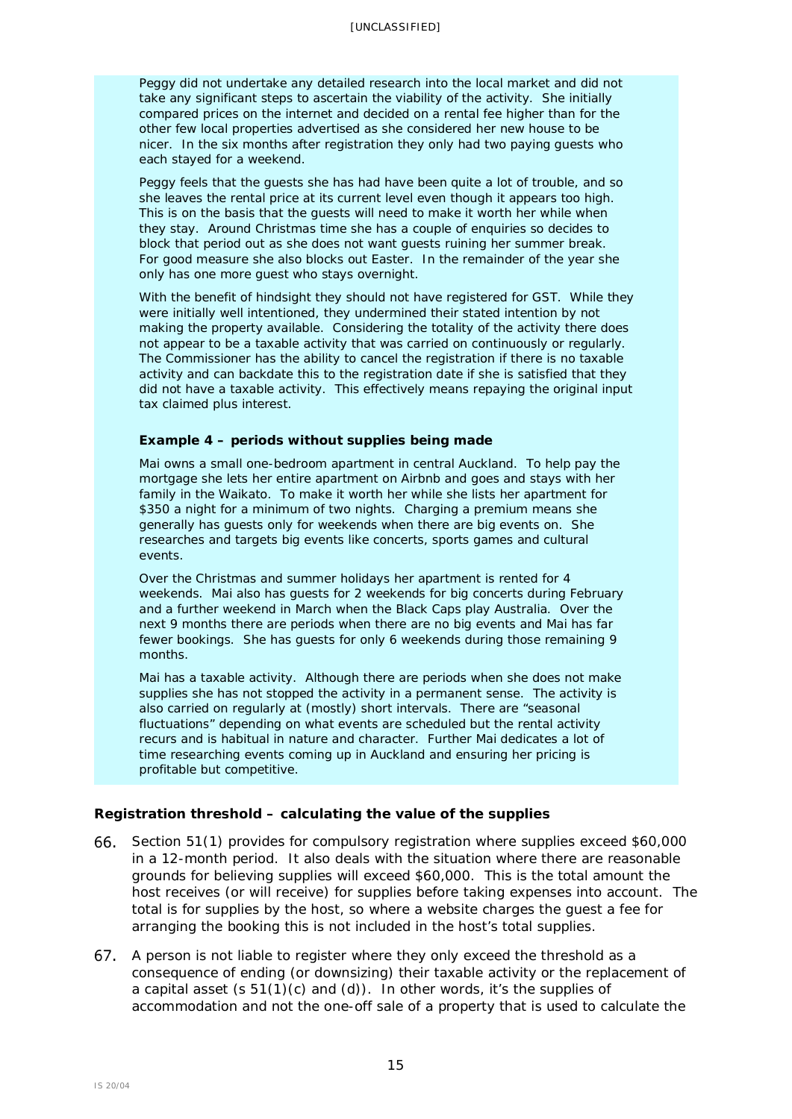Peggy did not undertake any detailed research into the local market and did not take any significant steps to ascertain the viability of the activity. She initially compared prices on the internet and decided on a rental fee higher than for the other few local properties advertised as she considered her new house to be nicer. In the six months after registration they only had two paying guests who each stayed for a weekend.

Peggy feels that the guests she has had have been quite a lot of trouble, and so she leaves the rental price at its current level even though it appears too high. This is on the basis that the guests will need to make it worth her while when they stay. Around Christmas time she has a couple of enquiries so decides to block that period out as she does not want guests ruining her summer break. For good measure she also blocks out Easter. In the remainder of the year she only has one more guest who stays overnight.

With the benefit of hindsight they should not have registered for GST. While they were initially well intentioned, they undermined their stated intention by not making the property available. Considering the totality of the activity there does not appear to be a taxable activity that was carried on continuously or regularly. The Commissioner has the ability to cancel the registration if there is no taxable activity and can backdate this to the registration date if she is satisfied that they did not have a taxable activity. This effectively means repaying the original input tax claimed plus interest.

#### **Example 4 – periods without supplies being made**

Mai owns a small one-bedroom apartment in central Auckland. To help pay the mortgage she lets her entire apartment on Airbnb and goes and stays with her family in the Waikato. To make it worth her while she lists her apartment for \$350 a night for a minimum of two nights. Charging a premium means she generally has guests only for weekends when there are big events on. She researches and targets big events like concerts, sports games and cultural events.

Over the Christmas and summer holidays her apartment is rented for 4 weekends. Mai also has guests for 2 weekends for big concerts during February and a further weekend in March when the Black Caps play Australia. Over the next 9 months there are periods when there are no big events and Mai has far fewer bookings. She has guests for only 6 weekends during those remaining 9 months.

Mai has a taxable activity. Although there are periods when she does not make supplies she has not stopped the activity in a permanent sense. The activity is also carried on regularly at (mostly) short intervals. There are "seasonal fluctuations" depending on what events are scheduled but the rental activity recurs and is habitual in nature and character. Further Mai dedicates a lot of time researching events coming up in Auckland and ensuring her pricing is profitable but competitive.

#### <span id="page-14-0"></span>**Registration threshold – calculating the value of the supplies**

- Section 51(1) provides for compulsory registration where supplies exceed \$60,000 in a 12-month period. It also deals with the situation where there are reasonable grounds for believing supplies will exceed \$60,000. This is the total amount the host receives (or will receive) for supplies before taking expenses into account. The total is for supplies by the host, so where a website charges the guest a fee for arranging the booking this is not included in the host's total supplies.
- 67. A person is not liable to register where they only exceed the threshold as a consequence of ending (or downsizing) their taxable activity or the replacement of a capital asset  $(s 51(1)(c)$  and  $(d)$ ). In other words, it's the supplies of accommodation and not the one-off sale of a property that is used to calculate the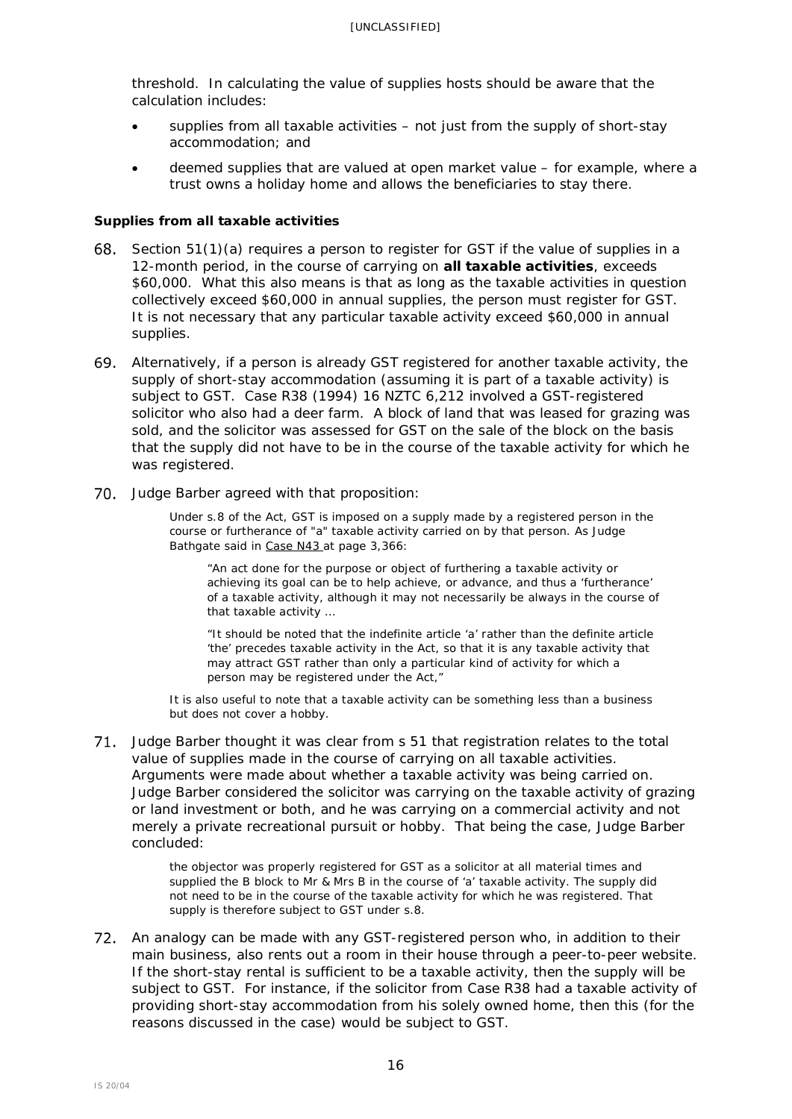threshold. In calculating the value of supplies hosts should be aware that the calculation includes:

- supplies from all taxable activities not just from the supply of short-stay accommodation; and
- deemed supplies that are valued at open market value for example, where a trust owns a holiday home and allows the beneficiaries to stay there.

## *Supplies from all taxable activities*

- 68. Section  $51(1)(a)$  requires a person to register for GST if the value of supplies in a 12-month period, in the course of carrying on **all taxable activities**, exceeds \$60,000. What this also means is that as long as the taxable activities in question collectively exceed \$60,000 in annual supplies, the person must register for GST. It is not necessary that any particular taxable activity exceed \$60,000 in annual supplies.
- Alternatively, if a person is already GST registered for another taxable activity, the supply of short-stay accommodation (assuming it is part of a taxable activity) is subject to GST. *Case R38* (1994) 16 NZTC 6,212 involved a GST-registered solicitor who also had a deer farm. A block of land that was leased for grazing was sold, and the solicitor was assessed for GST on the sale of the block on the basis that the supply did not have to be in the course of the taxable activity for which he was registered.
- 70. Judge Barber agreed with that proposition:

Under s.8 of the Act, GST is imposed on a supply made by a registered person in the course or furtherance of *"a"* taxable activity carried on by that person. As Judge Bathgate said in Case N43 at page 3,366:

"An act done for the purpose or object of furthering a taxable activity or achieving its goal can be to help achieve, or advance, and thus a 'furtherance' of a taxable activity, although it may not necessarily be always in the course of that taxable activity …

"It should be noted that the indefinite article 'a' rather than the definite article 'the' precedes taxable activity in the Act, so that it is any taxable activity that may attract GST rather than only a particular kind of activity for which a person may be registered under the Act,"

It is also useful to note that a taxable activity can be something less than a business but does not cover a hobby.

71. Judge Barber thought it was clear from s 51 that registration relates to the total value of supplies made in the course of carrying on all taxable activities. Arguments were made about whether a taxable activity was being carried on. Judge Barber considered the solicitor was carrying on the taxable activity of grazing or land investment or both, and he was carrying on a commercial activity and not merely a private recreational pursuit or hobby. That being the case, Judge Barber concluded:

> the objector was properly registered for GST as a solicitor at all material times and supplied the B block to Mr & Mrs B in the course of 'a' taxable activity. The supply did not need to be in the course of the taxable activity for which he was registered. That supply is therefore subject to GST under s.8.

72. An analogy can be made with any GST-registered person who, in addition to their main business, also rents out a room in their house through a peer-to-peer website. If the short-stay rental is sufficient to be a taxable activity, then the supply will be subject to GST. For instance, if the solicitor from *Case R38* had a taxable activity of providing short-stay accommodation from his solely owned home, then this (for the reasons discussed in the case) would be subject to GST.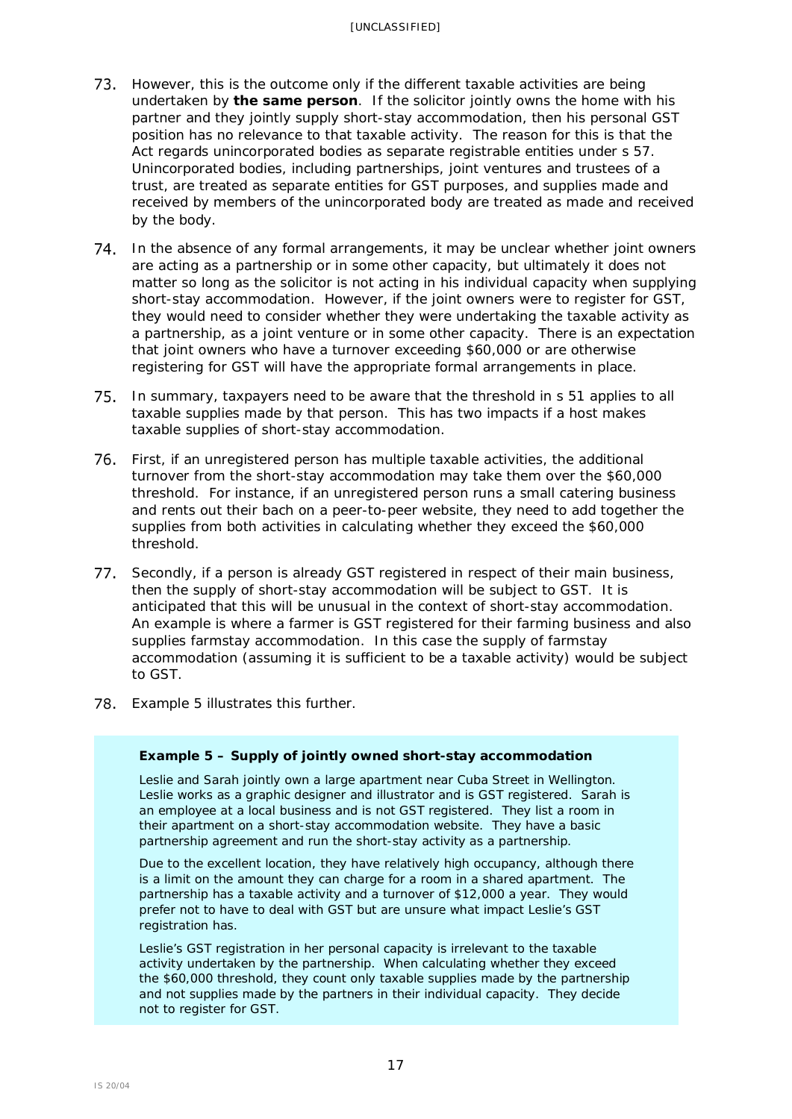- However, this is the outcome only if the different taxable activities are being undertaken by **the same person**. If the solicitor jointly owns the home with his partner and they jointly supply short-stay accommodation, then his personal GST position has no relevance to that taxable activity. The reason for this is that the Act regards unincorporated bodies as separate registrable entities under s 57. Unincorporated bodies, including partnerships, joint ventures and trustees of a trust, are treated as separate entities for GST purposes, and supplies made and received by members of the unincorporated body are treated as made and received by the body.
- 74. In the absence of any formal arrangements, it may be unclear whether joint owners are acting as a partnership or in some other capacity, but ultimately it does not matter so long as the solicitor is not acting in his individual capacity when supplying short-stay accommodation. However, if the joint owners were to register for GST, they would need to consider whether they were undertaking the taxable activity as a partnership, as a joint venture or in some other capacity. There is an expectation that joint owners who have a turnover exceeding \$60,000 or are otherwise registering for GST will have the appropriate formal arrangements in place.
- 75. In summary, taxpayers need to be aware that the threshold in s 51 applies to all taxable supplies made by that person. This has two impacts if a host makes taxable supplies of short-stay accommodation.
- First, if an unregistered person has multiple taxable activities, the additional turnover from the short-stay accommodation may take them over the \$60,000 threshold. For instance, if an unregistered person runs a small catering business and rents out their bach on a peer-to-peer website, they need to add together the supplies from both activities in calculating whether they exceed the \$60,000 threshold.
- 77. Secondly, if a person is already GST registered in respect of their main business, then the supply of short-stay accommodation will be subject to GST. It is anticipated that this will be unusual in the context of short-stay accommodation. An example is where a farmer is GST registered for their farming business and also supplies farmstay accommodation. In this case the supply of farmstay accommodation (assuming it is sufficient to be a taxable activity) would be subject to GST.
- 78. Example 5 illustrates this further.

## **Example 5 – Supply of jointly owned short-stay accommodation**

Leslie and Sarah jointly own a large apartment near Cuba Street in Wellington. Leslie works as a graphic designer and illustrator and is GST registered. Sarah is an employee at a local business and is not GST registered. They list a room in their apartment on a short-stay accommodation website. They have a basic partnership agreement and run the short-stay activity as a partnership.

Due to the excellent location, they have relatively high occupancy, although there is a limit on the amount they can charge for a room in a shared apartment. The partnership has a taxable activity and a turnover of \$12,000 a year. They would prefer not to have to deal with GST but are unsure what impact Leslie's GST registration has.

Leslie's GST registration in her personal capacity is irrelevant to the taxable activity undertaken by the partnership. When calculating whether they exceed the \$60,000 threshold, they count only taxable supplies made by the partnership and not supplies made by the partners in their individual capacity. They decide not to register for GST.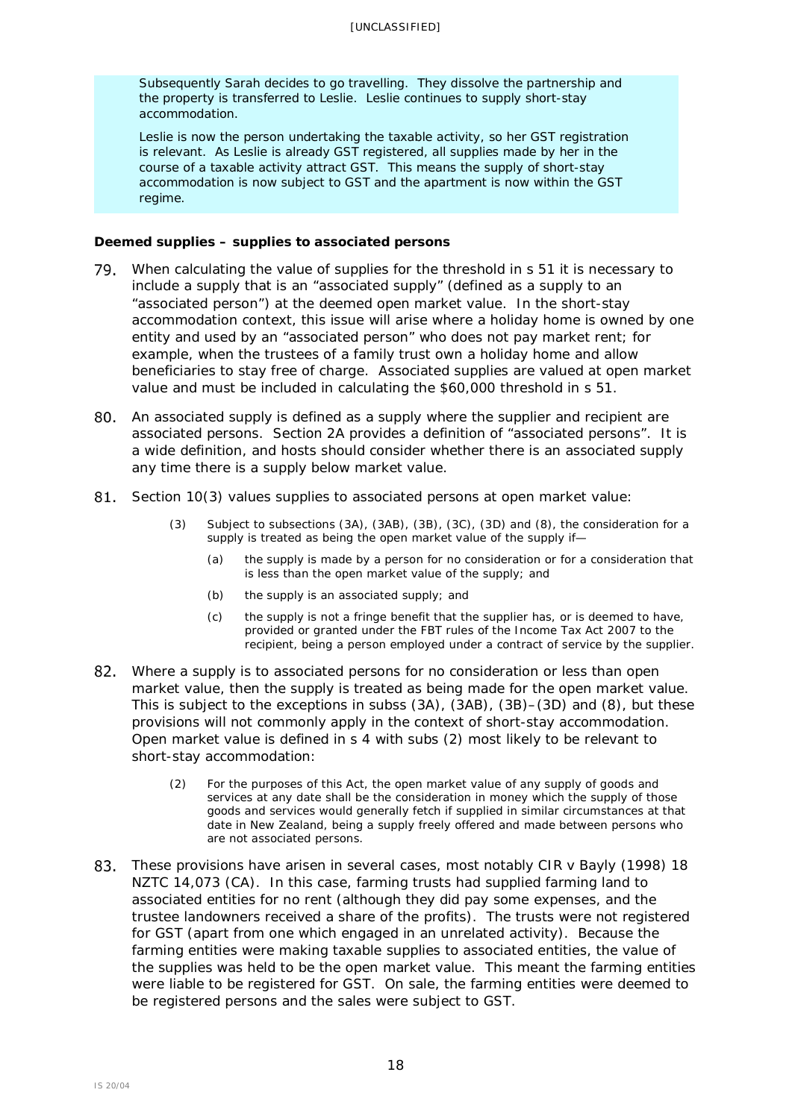Subsequently Sarah decides to go travelling. They dissolve the partnership and the property is transferred to Leslie. Leslie continues to supply short-stay accommodation.

Leslie is now the person undertaking the taxable activity, so her GST registration is relevant. As Leslie is already GST registered, all supplies made by her in the course of a taxable activity attract GST. This means the supply of short-stay accommodation is now subject to GST and the apartment is now within the GST regime.

## *Deemed supplies – supplies to associated persons*

- 79. When calculating the value of supplies for the threshold in s 51 it is necessary to include a supply that is an "associated supply" (defined as a supply to an "associated person") at the deemed open market value. In the short-stay accommodation context, this issue will arise where a holiday home is owned by one entity and used by an "associated person" who does not pay market rent; for example, when the trustees of a family trust own a holiday home and allow beneficiaries to stay free of charge. Associated supplies are valued at open market value and must be included in calculating the \$60,000 threshold in s 51.
- An associated supply is defined as a supply where the supplier and recipient are associated persons. Section 2A provides a definition of "associated persons". It is a wide definition, and hosts should consider whether there is an associated supply any time there is a supply below market value.
- Section 10(3) values supplies to associated persons at open market value:
	- (3) Subject to subsections (3A), (3AB), (3B), (3C), (3D) and (8), the consideration for a supply is treated as being the open market value of the supply if-
		- (a) the supply is made by a person for no consideration or for a consideration that is less than the open market value of the supply; and
		- (b) the supply is an associated supply; and
		- (c) the supply is not a fringe benefit that the supplier has, or is deemed to have, provided or granted under the FBT rules of the Income Tax Act 2007 to the recipient, being a person employed under a contract of service by the supplier.
- Where a supply is to associated persons for no consideration or less than open market value, then the supply is treated as being made for the open market value. This is subject to the exceptions in subss (3A), (3AB), (3B)–(3D) and (8), but these provisions will not commonly apply in the context of short-stay accommodation. Open market value is defined in s 4 with subs (2) most likely to be relevant to short-stay accommodation:
	- (2) For the purposes of this Act, the open market value of any supply of goods and services at any date shall be the consideration in money which the supply of those goods and services would generally fetch if supplied in similar circumstances at that date in New Zealand, being a supply freely offered and made between persons who are not associated persons.
- These provisions have arisen in several cases, most notably *CIR v Bayly* (1998) 18 NZTC 14,073 (CA). In this case, farming trusts had supplied farming land to associated entities for no rent (although they did pay some expenses, and the trustee landowners received a share of the profits). The trusts were not registered for GST (apart from one which engaged in an unrelated activity). Because the farming entities were making taxable supplies to associated entities, the value of the supplies was held to be the open market value. This meant the farming entities were liable to be registered for GST. On sale, the farming entities were deemed to be registered persons and the sales were subject to GST.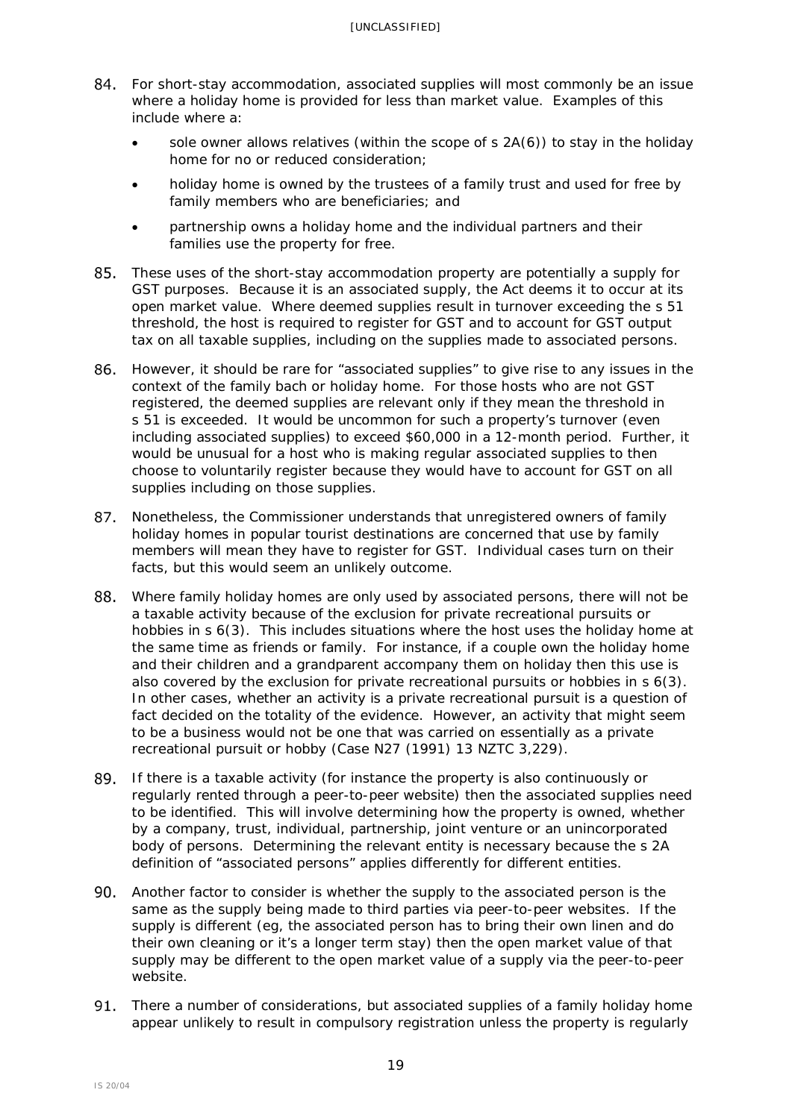- For short-stay accommodation, associated supplies will most commonly be an issue where a holiday home is provided for less than market value. Examples of this include where a:
	- sole owner allows relatives (within the scope of  $s$  2A(6)) to stay in the holiday home for no or reduced consideration;
	- holiday home is owned by the trustees of a family trust and used for free by family members who are beneficiaries; and
	- partnership owns a holiday home and the individual partners and their families use the property for free.
- These uses of the short-stay accommodation property are potentially a supply for GST purposes. Because it is an associated supply, the Act deems it to occur at its open market value. Where deemed supplies result in turnover exceeding the s 51 threshold, the host is required to register for GST and to account for GST output tax on all taxable supplies, including on the supplies made to associated persons.
- However, it should be rare for "associated supplies" to give rise to any issues in the context of the family bach or holiday home. For those hosts who are not GST registered, the deemed supplies are relevant only if they mean the threshold in s 51 is exceeded. It would be uncommon for such a property's turnover (even including associated supplies) to exceed \$60,000 in a 12-month period. Further, it would be unusual for a host who is making regular associated supplies to then choose to voluntarily register because they would have to account for GST on all supplies including on those supplies.
- 87. Nonetheless, the Commissioner understands that unregistered owners of family holiday homes in popular tourist destinations are concerned that use by family members will mean they have to register for GST. Individual cases turn on their facts, but this would seem an unlikely outcome.
- 88. Where family holiday homes are only used by associated persons, there will not be a taxable activity because of the exclusion for private recreational pursuits or hobbies in s 6(3). This includes situations where the host uses the holiday home at the same time as friends or family. For instance, if a couple own the holiday home and their children and a grandparent accompany them on holiday then this use is also covered by the exclusion for private recreational pursuits or hobbies in s 6(3). In other cases, whether an activity is a private recreational pursuit is a question of fact decided on the totality of the evidence. However, an activity that might seem to be a business would not be one that was carried on essentially as a private recreational pursuit or hobby (*Case N27* (1991) 13 NZTC 3,229).
- If there is a taxable activity (for instance the property is also continuously or regularly rented through a peer-to-peer website) then the associated supplies need to be identified. This will involve determining how the property is owned, whether by a company, trust, individual, partnership, joint venture or an unincorporated body of persons. Determining the relevant entity is necessary because the s 2A definition of "associated persons" applies differently for different entities.
- Another factor to consider is whether the supply to the associated person is the same as the supply being made to third parties via peer-to-peer websites. If the supply is different (eg, the associated person has to bring their own linen and do their own cleaning or it's a longer term stay) then the open market value of that supply may be different to the open market value of a supply via the peer-to-peer website.
- 91. There a number of considerations, but associated supplies of a family holiday home appear unlikely to result in compulsory registration unless the property is regularly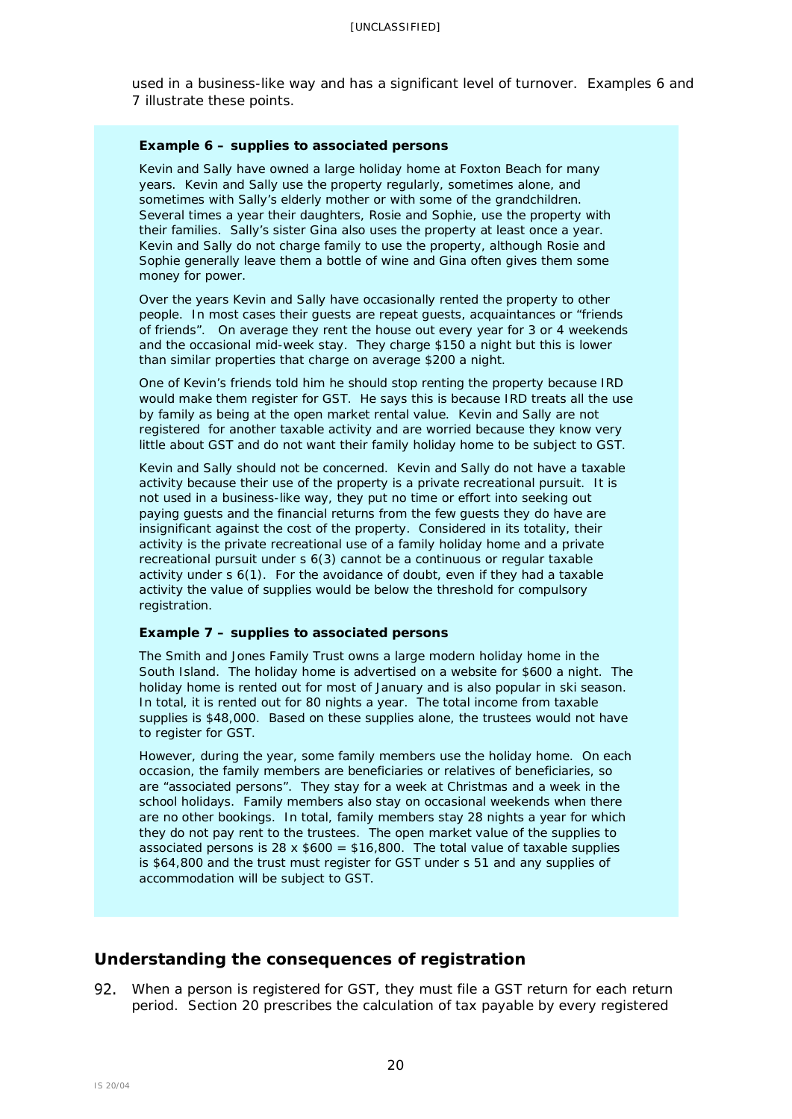used in a business-like way and has a significant level of turnover. Examples 6 and 7 illustrate these points.

#### **Example 6 – supplies to associated persons**

Kevin and Sally have owned a large holiday home at Foxton Beach for many years. Kevin and Sally use the property regularly, sometimes alone, and sometimes with Sally's elderly mother or with some of the grandchildren. Several times a year their daughters, Rosie and Sophie, use the property with their families. Sally's sister Gina also uses the property at least once a year. Kevin and Sally do not charge family to use the property, although Rosie and Sophie generally leave them a bottle of wine and Gina often gives them some money for power.

Over the years Kevin and Sally have occasionally rented the property to other people. In most cases their guests are repeat guests, acquaintances or "friends of friends". On average they rent the house out every year for 3 or 4 weekends and the occasional mid-week stay. They charge \$150 a night but this is lower than similar properties that charge on average \$200 a night.

One of Kevin's friends told him he should stop renting the property because IRD would make them register for GST. He says this is because IRD treats all the use by family as being at the open market rental value. Kevin and Sally are not registered for another taxable activity and are worried because they know very little about GST and do not want their family holiday home to be subject to GST.

Kevin and Sally should not be concerned. Kevin and Sally do not have a taxable activity because their use of the property is a private recreational pursuit. It is not used in a business-like way, they put no time or effort into seeking out paying guests and the financial returns from the few guests they do have are insignificant against the cost of the property. Considered in its totality, their activity is the private recreational use of a family holiday home and a private recreational pursuit under s 6(3) cannot be a continuous or regular taxable activity under s 6(1). For the avoidance of doubt, even if they had a taxable activity the value of supplies would be below the threshold for compulsory registration.

#### **Example 7 – supplies to associated persons**

The Smith and Jones Family Trust owns a large modern holiday home in the South Island. The holiday home is advertised on a website for \$600 a night. The holiday home is rented out for most of January and is also popular in ski season. In total, it is rented out for 80 nights a year. The total income from taxable supplies is \$48,000. Based on these supplies alone, the trustees would not have to register for GST.

However, during the year, some family members use the holiday home. On each occasion, the family members are beneficiaries or relatives of beneficiaries, so are "associated persons". They stay for a week at Christmas and a week in the school holidays. Family members also stay on occasional weekends when there are no other bookings. In total, family members stay 28 nights a year for which they do not pay rent to the trustees. The open market value of the supplies to associated persons is  $28 \times $600 = $16,800$ . The total value of taxable supplies is \$64,800 and the trust must register for GST under s 51 and any supplies of accommodation will be subject to GST.

## <span id="page-19-0"></span>**Understanding the consequences of registration**

<span id="page-19-1"></span>92. When a person is registered for GST, they must file a GST return for each return period. Section [20](javascript:void(0)) prescribes the calculation of tax payable by every registered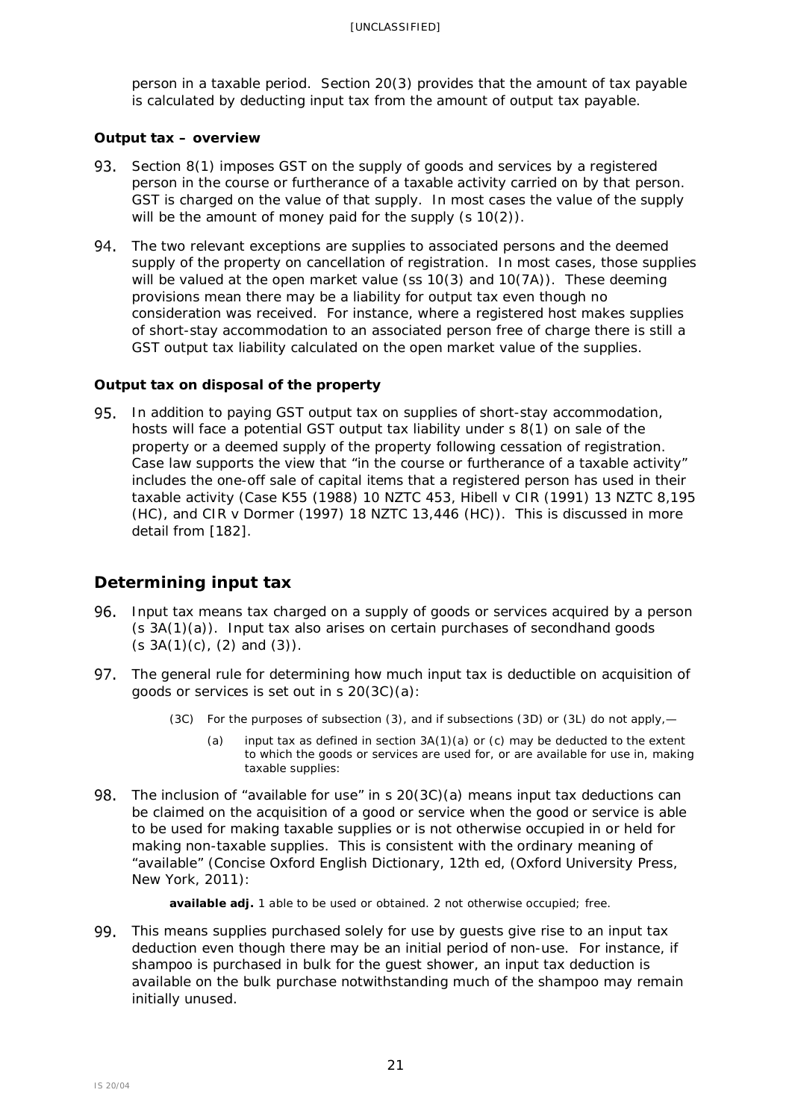person in a taxable period. Section [20\(3\)](javascript:void(0)) provides that the amount of tax payable is calculated by deducting input tax from the amount of output tax payable.

## <span id="page-20-0"></span>**Output tax – overview**

- 93. Section 8(1) imposes GST on the supply of goods and services by a registered person in the course or furtherance of a taxable activity carried on by that person. GST is charged on the value of that supply. In most cases the value of the supply will be the amount of money paid for the supply (s 10(2)).
- 94. The two relevant exceptions are supplies to associated persons and the deemed supply of the property on cancellation of registration. In most cases, those supplies will be valued at the open market value (ss 10(3) and 10(7A)). These deeming provisions mean there may be a liability for output tax even though no consideration was received. For instance, where a registered host makes supplies of short-stay accommodation to an associated person free of charge there is still a GST output tax liability calculated on the open market value of the supplies.

## <span id="page-20-1"></span>**Output tax on disposal of the property**

95. In addition to paying GST output tax on supplies of short-stay accommodation, hosts will face a potential GST output tax liability under s 8(1) on sale of the property or a deemed supply of the property following cessation of registration. Case law supports the view that "in the course or furtherance of a taxable activity" includes the one-off sale of capital items that a registered person has used in their taxable activity (*Case K55* (1988) 10 NZTC 453, *Hibell v CIR* (1991) 13 NZTC 8,195 (HC), and *CIR v Dormer* (1997) 18 NZTC 13,446 (HC)). This is discussed in more detail from [\[182\]](#page-40-3).

## <span id="page-20-2"></span>**Determining input tax**

- <span id="page-20-3"></span>Input tax means tax charged on a supply of goods or services acquired by a person  $(s 3A(1)(a))$ . Input tax also arises on certain purchases of secondhand goods  $(s \, 3A(1)(c), (2) \,$  and  $(3)$ ).
- 97. The general rule for determining how much input tax is deductible on acquisition of goods or services is set out in s [20\(3C\)\(a\):](javascript:void(0))
	- (3C) For the purposes of subsection [\(3\),](javascript:void(0)) and if subsections [\(3D\)](javascript:void(0)) or [\(3L\)](javascript:void(0)) do not apply,—
		- (a) input tax as defined in section  $3A(1)(a)$  or [\(c\)](javascript:void(0)) may be deducted to the extent to which the goods or services are used for, or are available for use in, making taxable supplies:
- The inclusion of "available for use" in s [20\(3C\)\(a\)](javascript:void(0)) means input tax deductions can be claimed on the acquisition of a good or service when the good or service is able to be used for making taxable supplies or is not otherwise occupied in or held for making non-taxable supplies. This is consistent with the ordinary meaning of "available" (*Concise Oxford English Dictionary,* 12th ed, (Oxford University Press, New York, 2011*)*:

**available adj.** 1 able to be used or obtained. 2 not otherwise occupied; free.

99. This means supplies purchased solely for use by guests give rise to an input tax deduction even though there may be an initial period of non-use. For instance, if shampoo is purchased in bulk for the guest shower, an input tax deduction is available on the bulk purchase notwithstanding much of the shampoo may remain initially unused.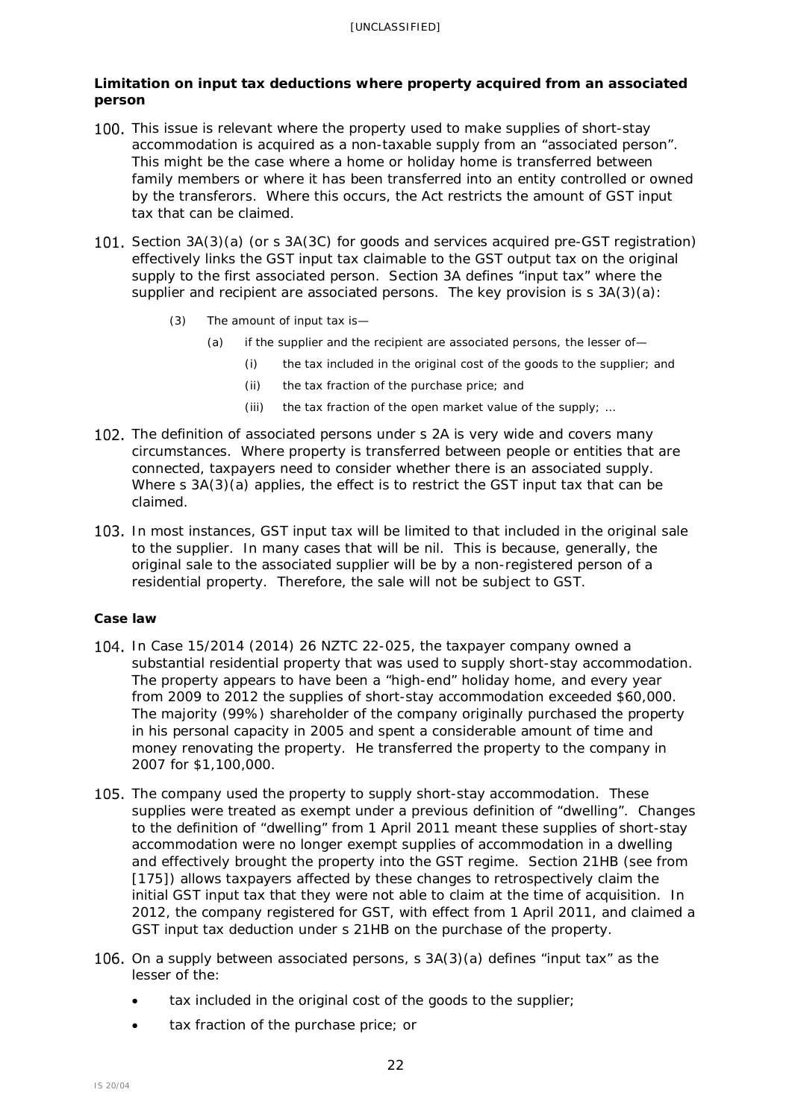## <span id="page-21-0"></span>**Limitation on input tax deductions where property acquired from an associated person**

- 100. This issue is relevant where the property used to make supplies of short-stay accommodation is acquired as a non-taxable supply from an "associated person". This might be the case where a home or holiday home is transferred between family members or where it has been transferred into an entity controlled or owned by the transferors. Where this occurs, the Act restricts the amount of GST input tax that can be claimed.
- 101. Section 3A(3)(a) (or s 3A(3C) for goods and services acquired pre-GST registration) effectively links the GST input tax claimable to the GST output tax on the original supply to the first associated person. Section 3A defines "input tax" where the supplier and recipient are associated persons. The key provision is s 3A(3)(a):
	- (3) The amount of input tax is—
		- (a) if the supplier and the recipient are associated persons, the lesser of—
			- (i) the tax included in the original cost of the goods to the supplier; and
				- (ii) the tax fraction of the purchase price; and
				- (iii) the tax fraction of the open market value of the supply; …
- 102. The definition of associated persons under s 2A is very wide and covers many circumstances. Where property is transferred between people or entities that are connected, taxpayers need to consider whether there is an associated supply. Where s 3A(3)(a) applies, the effect is to restrict the GST input tax that can be claimed.
- 103. In most instances, GST input tax will be limited to that included in the original sale to the supplier. In many cases that will be nil. This is because, generally, the original sale to the associated supplier will be by a non-registered person of a residential property. Therefore, the sale will not be subject to GST.

## *Case law*

- In *Case 15/2014* (2014) 26 NZTC 22-025, the taxpayer company owned a substantial residential property that was used to supply short-stay accommodation. The property appears to have been a "high-end" holiday home, and every year from 2009 to 2012 the supplies of short-stay accommodation exceeded \$60,000. The majority (99%) shareholder of the company originally purchased the property in his personal capacity in 2005 and spent a considerable amount of time and money renovating the property. He transferred the property to the company in 2007 for \$1,100,000.
- 105. The company used the property to supply short-stay accommodation. These supplies were treated as exempt under a previous definition of "dwelling". Changes to the definition of "dwelling" from 1 April 2011 meant these supplies of short-stay accommodation were no longer exempt supplies of accommodation in a dwelling and effectively brought the property into the GST regime. Section 21HB (see from [\[175\]](#page-39-1)) allows taxpayers affected by these changes to retrospectively claim the initial GST input tax that they were not able to claim at the time of acquisition. In 2012, the company registered for GST, with effect from 1 April 2011, and claimed a GST input tax deduction under s 21HB on the purchase of the property.
- 106. On a supply between associated persons, s  $3A(3)(a)$  defines "input tax" as the lesser of the:
	- tax included in the original cost of the goods to the supplier;
	- tax fraction of the purchase price; or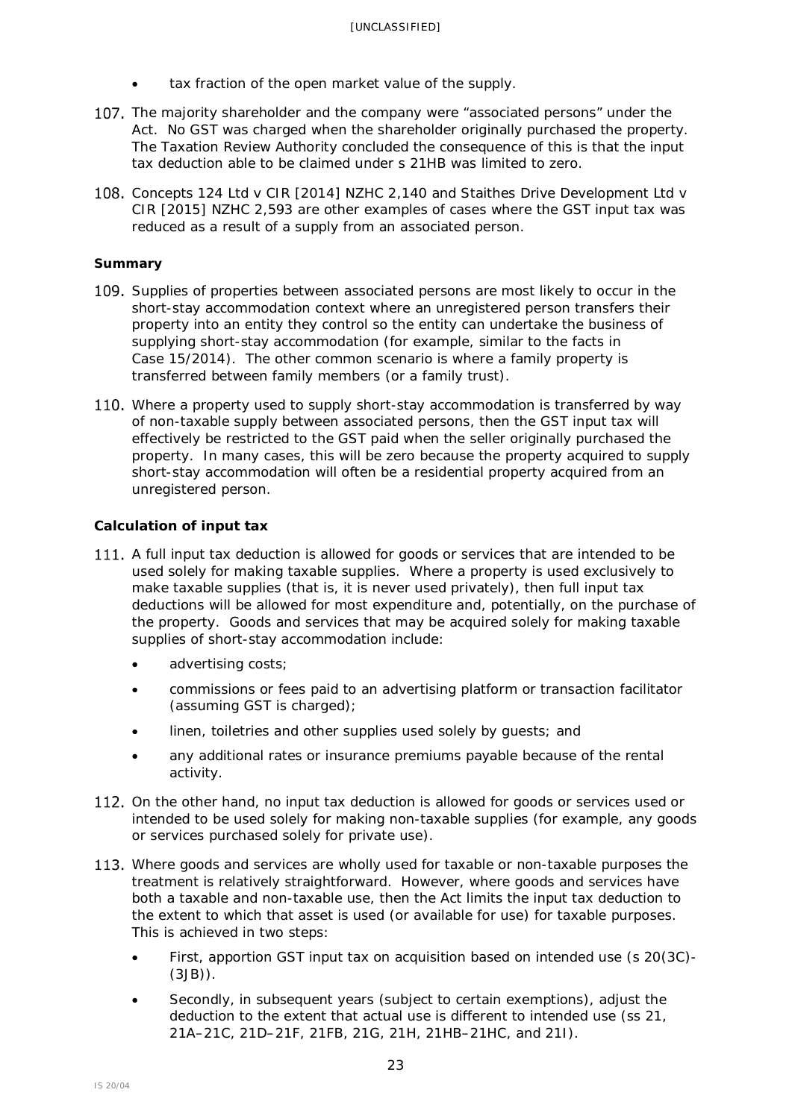- tax fraction of the open market value of the supply.
- 107. The majority shareholder and the company were "associated persons" under the Act. No GST was charged when the shareholder originally purchased the property. The Taxation Review Authority concluded the consequence of this is that the input tax deduction able to be claimed under s 21HB was limited to zero.
- *Concepts 124 Ltd v CIR* [2014] NZHC 2,140 and *Staithes Drive Development Ltd v CIR* [2015] NZHC 2,593 are other examples of cases where the GST input tax was reduced as a result of a supply from an associated person.

## *Summary*

- 109. Supplies of properties between associated persons are most likely to occur in the short-stay accommodation context where an unregistered person transfers their property into an entity they control so the entity can undertake the business of supplying short-stay accommodation (for example, similar to the facts in *Case 15/2014*). The other common scenario is where a family property is transferred between family members (or a family trust).
- 110. Where a property used to supply short-stay accommodation is transferred by way of non-taxable supply between associated persons, then the GST input tax will effectively be restricted to the GST paid when the seller originally purchased the property. In many cases, this will be zero because the property acquired to supply short-stay accommodation will often be a residential property acquired from an unregistered person.

## <span id="page-22-0"></span>**Calculation of input tax**

- 111. A full input tax deduction is allowed for goods or services that are intended to be used solely for making taxable supplies. Where a property is used exclusively to make taxable supplies (that is, it is never used privately), then full input tax deductions will be allowed for most expenditure and, potentially, on the purchase of the property. Goods and services that may be acquired solely for making taxable supplies of short-stay accommodation include:
	- advertising costs;
	- commissions or fees paid to an advertising platform or transaction facilitator (assuming GST is charged);
	- linen, toiletries and other supplies used solely by quests; and
	- any additional rates or insurance premiums payable because of the rental activity.
- 112. On the other hand, no input tax deduction is allowed for goods or services used or intended to be used solely for making non-taxable supplies (for example, any goods or services purchased solely for private use).
- 113. Where goods and services are wholly used for taxable or non-taxable purposes the treatment is relatively straightforward. However, where goods and services have both a taxable and non-taxable use, then the Act limits the input tax deduction to the extent to which that asset is used (or available for use) for taxable purposes. This is achieved in two steps:
	- First, apportion GST input tax on acquisition based on intended use (s 20(3C)-(3JB)).
	- Secondly, in subsequent years (subject to certain exemptions), adjust the deduction to the extent that actual use is different to intended use (ss 21, 21A–21C, 21D–21F, 21FB, 21G, 21H, 21HB–21HC, and 21I).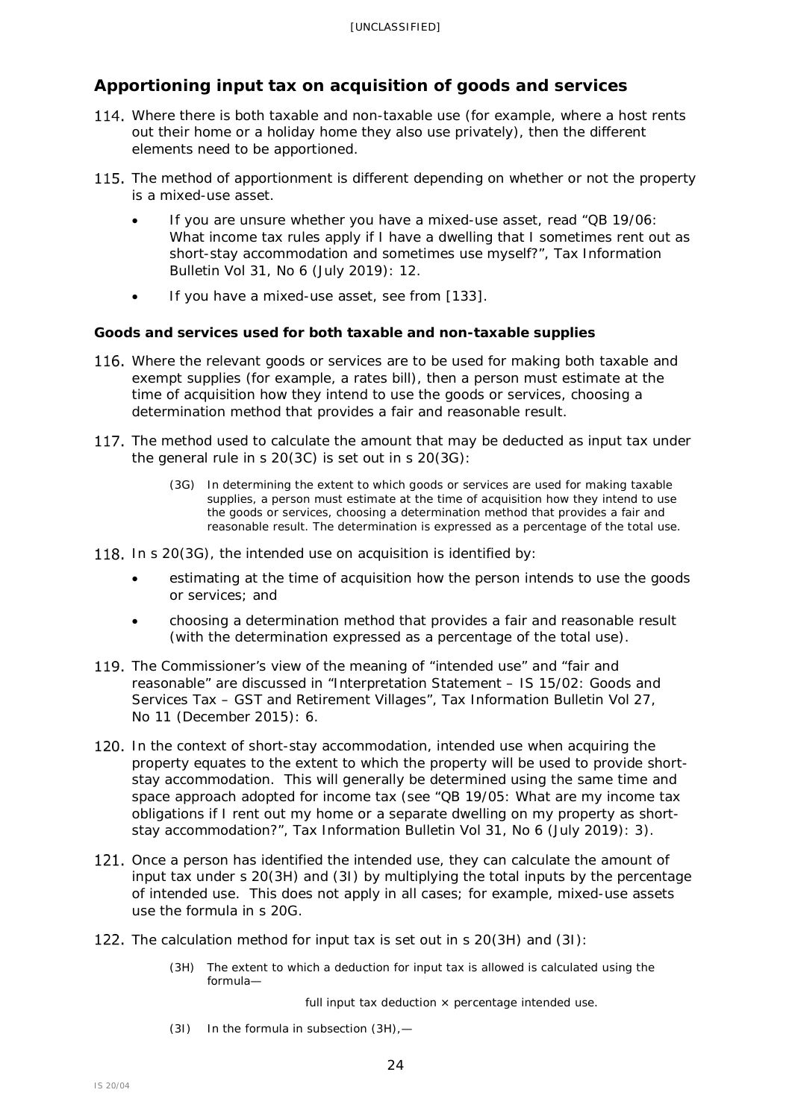# <span id="page-23-0"></span>**Apportioning input tax on acquisition of goods and services**

- <span id="page-23-2"></span>114. Where there is both taxable and non-taxable use (for example, where a host rents out their home or a holiday home they also use privately), then the different elements need to be apportioned.
- 115. The method of apportionment is different depending on whether or not the property is a mixed-use asset.
	- If you are unsure whether you have a mixed-use asset, read "QB 19/06: What income tax rules apply if I have a dwelling that I sometimes rent out as short-stay accommodation and sometimes use myself?", *Tax Information Bulletin* Vol 31, No 6 (July 2019): 12.
	- If you have a mixed-use asset, see from [\[133\]](#page-27-1).

## <span id="page-23-1"></span>**Goods and services used for both taxable and non-taxable supplies**

- 116. Where the relevant goods or services are to be used for making both taxable and exempt supplies (for example, a rates bill), then a person must estimate at the time of acquisition how they intend to use the goods or services, choosing a determination method that provides a fair and reasonable result.
- 117. The method used to calculate the amount that may be deducted as input tax under the general rule in s 20(3C) is set out in s 20(3G):
	- (3G) In determining the extent to which goods or services are used for making taxable supplies, a person must estimate at the time of acquisition how they intend to use the goods or services, choosing a determination method that provides a fair and reasonable result. The determination is expressed as a percentage of the total use.
- 118. In s  $20(3G)$ , the intended use on acquisition is identified by:
	- estimating at the time of acquisition how the person intends to use the goods or services; and
	- choosing a determination method that provides a fair and reasonable result (with the determination expressed as a percentage of the total use).
- 119. The Commissioner's view of the meaning of "intended use" and "fair and reasonable" are discussed in "Interpretation Statement – IS 15/02: Goods and Services Tax – GST and Retirement Villages"*, Tax Information Bulletin* Vol 27, No 11 (December 2015): 6.
- 120. In the context of short-stay accommodation, intended use when acquiring the property equates to the extent to which the property will be used to provide shortstay accommodation. This will generally be determined using the same time and space approach adopted for income tax (see "QB 19/05: What are my income tax obligations if I rent out my home or a separate dwelling on my property as shortstay accommodation?", *Tax Information Bulletin* Vol 31, No 6 (July 2019): 3).
- 121. Once a person has identified the intended use, they can calculate the amount of input tax under s 20(3H) and (3I) by multiplying the total inputs by the percentage of intended use. This does not apply in all cases; for example, mixed-use assets use the formula in s 20G.
- 122. The calculation method for input tax is set out in  $s$  [20\(3H\)](javascript:void(0)) and [\(3I\):](javascript:void(0))
	- (3H) The extent to which a deduction for input tax is allowed is calculated using the formula—

full input tax deduction  $\times$  percentage intended use.

(3I) In the formula in subsection [\(3H\),](javascript:void(0))—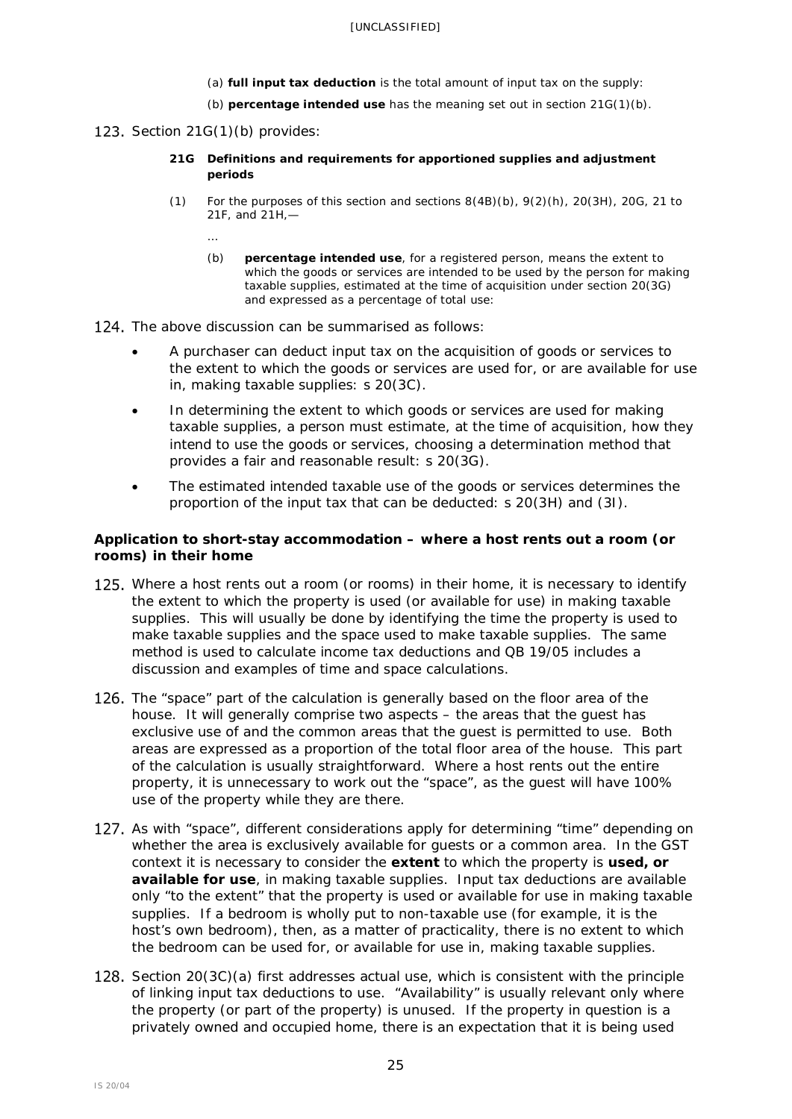- (a) **full input tax deduction** is the total amount of input tax on the supply:
- (b) **percentage intended use** has the meaning set out in section [21G\(1\)\(b\).](javascript:void(0))

## 123. Section [21G\(1\)\(b\)](javascript:void(0)) provides:

- **21G Definitions and requirements for apportioned supplies and adjustment periods**
- (1) For the purposes of this section and sections  $8(4B)(b)$ ,  $9(2)(h)$ ,  $20(3H)$ ,  $20G$ ,  $21$  to [21F,](javascript:void(0)) and [21H,](javascript:void(0))—
	- …
	- (b) **percentage intended use**, for a registered person, means the extent to which the goods or services are intended to be used by the person for making taxable supplies, estimated at the time of acquisition under section [20\(3G\)](javascript:void(0)) and expressed as a percentage of total use:
- 124. The above discussion can be summarised as follows:
	- A purchaser can deduct input tax on the acquisition of goods or services to the extent to which the goods or services are used for, or are available for use in, making taxable supplies: s 20(3C).
	- In determining the extent to which goods or services are used for making taxable supplies, a person must estimate, at the time of acquisition, how they intend to use the goods or services, choosing a determination method that provides a fair and reasonable result: s 20(3G).
	- The estimated intended taxable use of the goods or services determines the proportion of the input tax that can be deducted: s 20(3H) and (3I).

## <span id="page-24-0"></span>**Application to short-stay accommodation – where a host rents out a room (or rooms) in their home**

- 125. Where a host rents out a room (or rooms) in their home, it is necessary to identify the extent to which the property is used (or available for use) in making taxable supplies. This will usually be done by identifying the time the property is used to make taxable supplies and the space used to make taxable supplies. The same method is used to calculate income tax deductions and QB 19/05 includes a discussion and examples of time and space calculations.
- 126. The "space" part of the calculation is generally based on the floor area of the house. It will generally comprise two aspects – the areas that the guest has exclusive use of and the common areas that the guest is permitted to use. Both areas are expressed as a proportion of the total floor area of the house. This part of the calculation is usually straightforward. Where a host rents out the entire property, it is unnecessary to work out the "space", as the guest will have 100% use of the property while they are there.
- 127. As with "space", different considerations apply for determining "time" depending on whether the area is exclusively available for guests or a common area. In the GST context it is necessary to consider the **extent** to which the property is **used, or available for use**, in making taxable supplies. Input tax deductions are available only "to the extent" that the property is used or available for use in making taxable supplies. If a bedroom is wholly put to non-taxable use (for example, it is the host's own bedroom), then, as a matter of practicality, there is no extent to which the bedroom can be used for, or available for use in, making taxable supplies.
- 128. Section  $20(3C)(a)$  first addresses actual use, which is consistent with the principle of linking input tax deductions to use. "Availability" is usually relevant only where the property (or part of the property) is unused. If the property in question is a privately owned and occupied home, there is an expectation that it is being used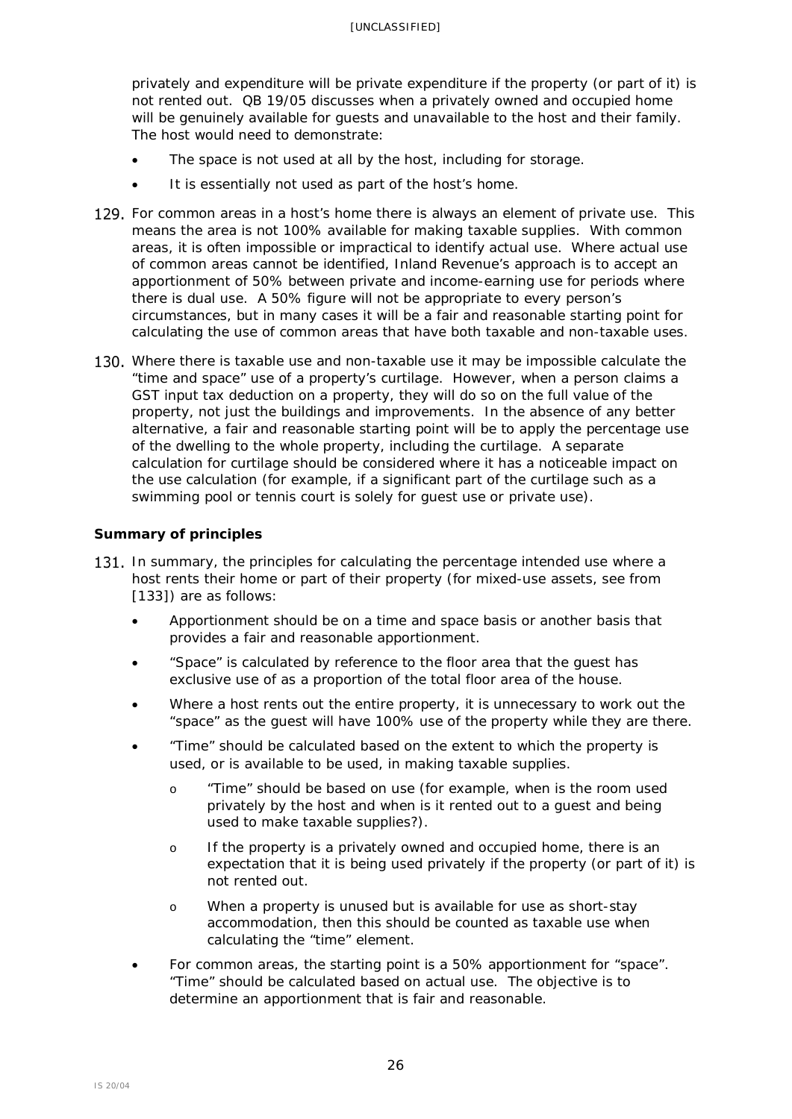privately and expenditure will be private expenditure if the property (or part of it) is not rented out. QB 19/05 discusses when a privately owned and occupied home will be genuinely available for quests and unavailable to the host and their family. The host would need to demonstrate:

- The space is not used at all by the host, including for storage.
- It is essentially not used as part of the host's home.
- 129. For common areas in a host's home there is always an element of private use. This means the area is not 100% available for making taxable supplies. With common areas, it is often impossible or impractical to identify actual use. Where actual use of common areas cannot be identified, Inland Revenue's approach is to accept an apportionment of 50% between private and income-earning use for periods where there is dual use. A 50% figure will not be appropriate to every person's circumstances, but in many cases it will be a fair and reasonable starting point for calculating the use of common areas that have both taxable and non-taxable uses.
- 130. Where there is taxable use and non-taxable use it may be impossible calculate the "time and space" use of a property's curtilage. However, when a person claims a GST input tax deduction on a property, they will do so on the full value of the property, not just the buildings and improvements. In the absence of any better alternative, a fair and reasonable starting point will be to apply the percentage use of the dwelling to the whole property, including the curtilage. A separate calculation for curtilage should be considered where it has a noticeable impact on the use calculation (for example, if a significant part of the curtilage such as a swimming pool or tennis court is solely for guest use or private use).

## <span id="page-25-0"></span>**Summary of principles**

- 131. In summary, the principles for calculating the percentage intended use where a host rents their home or part of their property (for mixed-use assets, see from [\[133\]](#page-27-1)) are as follows:
	- Apportionment should be on a time and space basis or another basis that provides a fair and reasonable apportionment.
	- "Space" is calculated by reference to the floor area that the guest has exclusive use of as a proportion of the total floor area of the house.
	- Where a host rents out the entire property, it is unnecessary to work out the "space" as the guest will have 100% use of the property while they are there.
	- "Time" should be calculated based on the extent to which the property is used, or is available to be used, in making taxable supplies.
		- o "Time" should be based on use (for example, when is the room used privately by the host and when is it rented out to a guest and being used to make taxable supplies?).
		- o If the property is a privately owned and occupied home, there is an expectation that it is being used privately if the property (or part of it) is not rented out.
		- o When a property is unused but is available for use as short-stay accommodation, then this should be counted as taxable use when calculating the "time" element.
	- For common areas, the starting point is a 50% apportionment for "space". "Time" should be calculated based on actual use. The objective is to determine an apportionment that is fair and reasonable.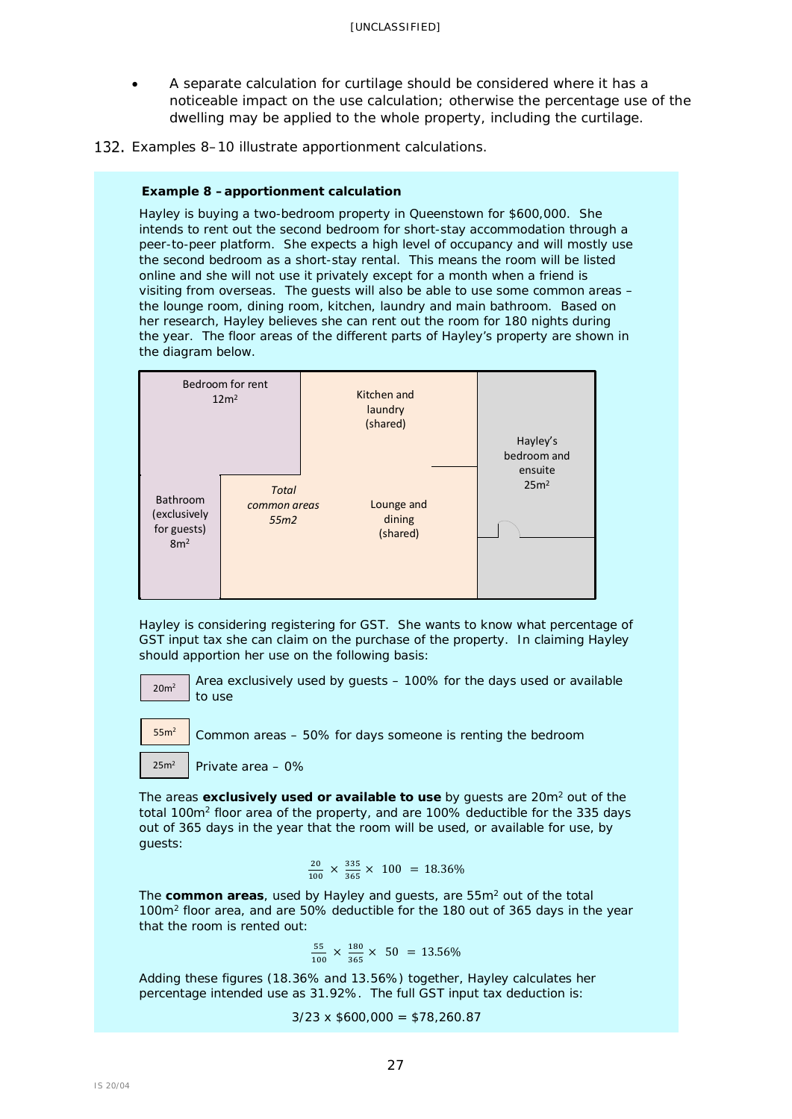- A separate calculation for curtilage should be considered where it has a noticeable impact on the use calculation; otherwise the percentage use of the dwelling may be applied to the whole property, including the curtilage.
- 132. Examples 8–10 illustrate apportionment calculations.

#### **Example 8 –apportionment calculation**

Hayley is buying a two-bedroom property in Queenstown for \$600,000. She intends to rent out the second bedroom for short-stay accommodation through a peer-to-peer platform. She expects a high level of occupancy and will mostly use the second bedroom as a short-stay rental. This means the room will be listed online and she will not use it privately except for a month when a friend is visiting from overseas. The guests will also be able to use some common areas – the lounge room, dining room, kitchen, laundry and main bathroom. Based on her research, Hayley believes she can rent out the room for 180 nights during the year. The floor areas of the different parts of Hayley's property are shown in the diagram below.



Hayley is considering registering for GST. She wants to know what percentage of GST input tax she can claim on the purchase of the property. In claiming Hayley should apportion her use on the following basis:

20m2

Area exclusively used by guests – 100% for the days used or available to use

55m2

Common areas – 50% for days someone is renting the bedroom

$$
25m^2 \quad | \text{Private area} - 0\%
$$

The areas **exclusively used or available to use** by guests are 20m2 out of the total 100m2 floor area of the property, and are 100% deductible for the 335 days out of 365 days in the year that the room will be used, or available for use, by guests:

$$
\frac{20}{100} \times \frac{335}{365} \times 100 = 18.36\%
$$

The **common areas**, used by Hayley and guests, are 55m2 out of the total 100m2 floor area, and are 50% deductible for the 180 out of 365 days in the year that the room is rented out:

$$
\frac{55}{100} \times \frac{180}{365} \times 50 = 13.56\%
$$

Adding these figures (18.36% and 13.56%) together, Hayley calculates her percentage intended use as 31.92%. The full GST input tax deduction is:

 $3/23 \times $600,000 = $78,260.87$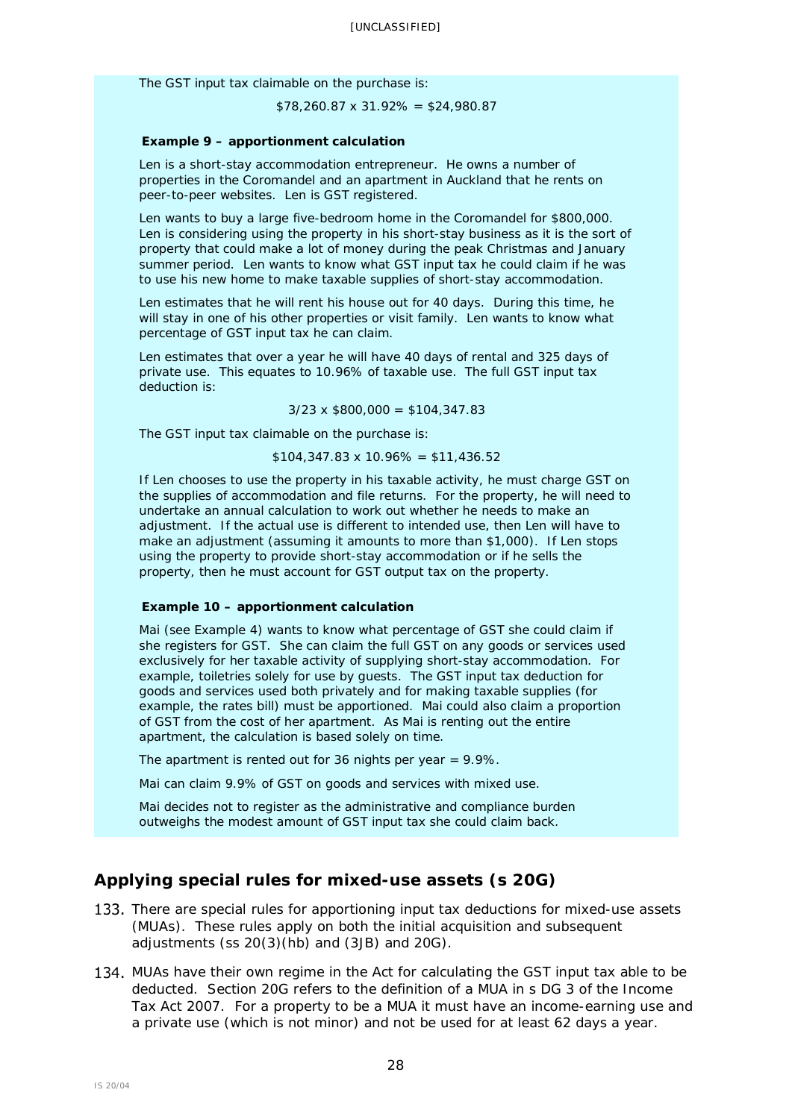The GST input tax claimable on the purchase is:

 $$78,260.87 \times 31.92\% = $24,980.87$ 

#### **Example 9 – apportionment calculation**

Len is a short-stay accommodation entrepreneur. He owns a number of properties in the Coromandel and an apartment in Auckland that he rents on peer-to-peer websites. Len is GST registered.

Len wants to buy a large five-bedroom home in the Coromandel for \$800,000. Len is considering using the property in his short-stay business as it is the sort of property that could make a lot of money during the peak Christmas and January summer period. Len wants to know what GST input tax he could claim if he was to use his new home to make taxable supplies of short-stay accommodation.

Len estimates that he will rent his house out for 40 days. During this time, he will stay in one of his other properties or visit family. Len wants to know what percentage of GST input tax he can claim.

Len estimates that over a year he will have 40 days of rental and 325 days of private use. This equates to 10.96% of taxable use. The full GST input tax deduction is:

 $3/23 \times $800,000 = $104,347.83$ 

The GST input tax claimable on the purchase is:

 $$104,347.83 \times 10.96\% = $11,436.52$ 

If Len chooses to use the property in his taxable activity, he must charge GST on the supplies of accommodation and file returns. For the property, he will need to undertake an annual calculation to work out whether he needs to make an adjustment. If the actual use is different to intended use, then Len will have to make an adjustment (assuming it amounts to more than \$1,000). If Len stops using the property to provide short-stay accommodation or if he sells the property, then he must account for GST output tax on the property.

#### **Example 10 – apportionment calculation**

Mai (see Example 4) wants to know what percentage of GST she could claim if she registers for GST. She can claim the full GST on any goods or services used exclusively for her taxable activity of supplying short-stay accommodation. For example, toiletries solely for use by guests. The GST input tax deduction for goods and services used both privately and for making taxable supplies (for example, the rates bill) must be apportioned. Mai could also claim a proportion of GST from the cost of her apartment. As Mai is renting out the entire apartment, the calculation is based solely on time.

The apartment is rented out for 36 nights per year  $= 9.9\%$ .

Mai can claim 9.9% of GST on goods and services with mixed use.

Mai decides not to register as the administrative and compliance burden outweighs the modest amount of GST input tax she could claim back.

## <span id="page-27-0"></span>**Applying special rules for mixed-use assets (s 20G)**

- <span id="page-27-1"></span>133. There are special rules for apportioning input tax deductions for mixed-use assets (MUAs). These rules apply on both the initial acquisition and subsequent adjustments (ss  $20(3)$ (hb) and  $(3JB)$  and  $20G$ ).
- 134. MUAs have their own regime in the Act for calculating the GST input tax able to be deducted. Section 20G refers to the definition of a MUA in s DG 3 of the Income Tax Act 2007. For a property to be a MUA it must have an income-earning use and a private use (which is not minor) and not be used for at least 62 days a year.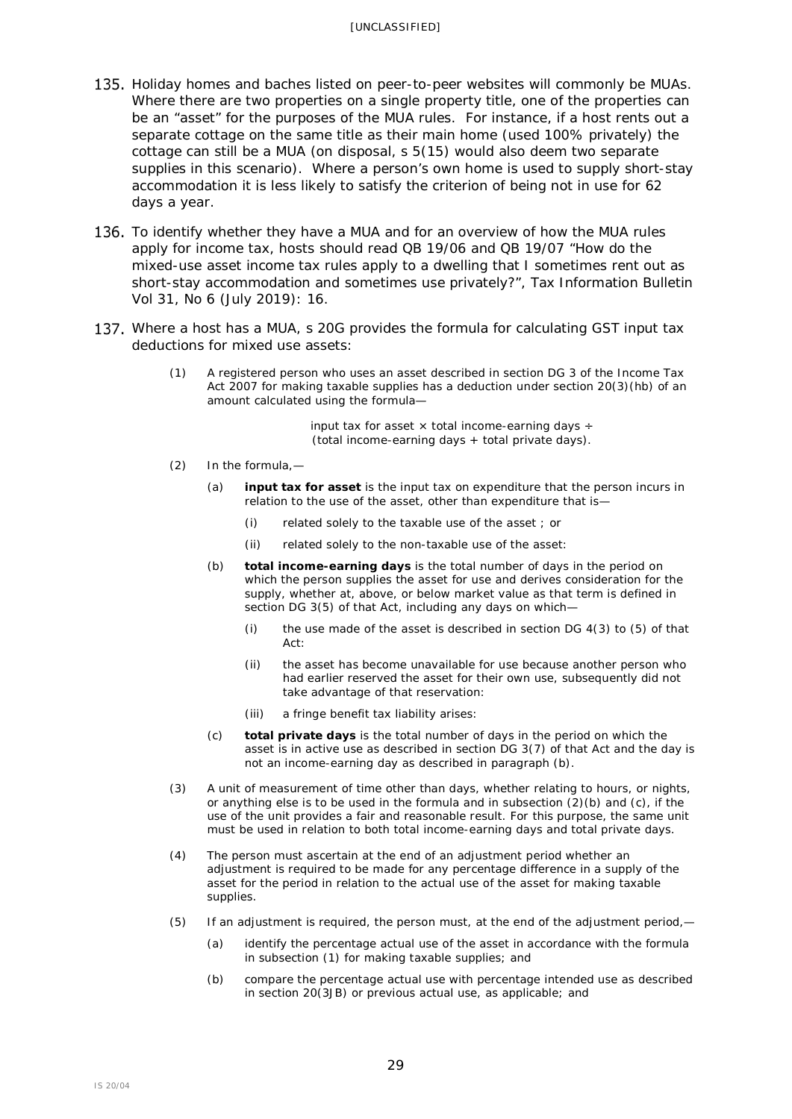- 135. Holiday homes and baches listed on peer-to-peer websites will commonly be MUAs. Where there are two properties on a single property title, one of the properties can be an "asset" for the purposes of the MUA rules. For instance, if a host rents out a separate cottage on the same title as their main home (used 100% privately) the cottage can still be a MUA (on disposal, s 5(15) would also deem two separate supplies in this scenario). Where a person's own home is used to supply short-stay accommodation it is less likely to satisfy the criterion of being not in use for 62 days a year.
- 136. To identify whether they have a MUA and for an overview of how the MUA rules apply for income tax, hosts should read QB 19/06 and QB 19/07 "How do the mixed-use asset income tax rules apply to a dwelling that I sometimes rent out as short-stay accommodation and sometimes use privately?", *Tax Information Bulletin* Vol 31, No 6 (July 2019): 16.
- 137. Where a host has a MUA, s 20G provides the formula for calculating GST input tax deductions for mixed use assets:
	- (1) A registered person who uses an asset described in [section DG 3](http://www.legislation.govt.nz/act/public/1985/0141/latest/link.aspx?id=DLM5494506#DLM5494506) of the Income Tax Act 2007 for making taxable supplies has a deduction under section [20\(3\)\(hb\)](http://www.legislation.govt.nz/act/public/1985/0141/latest/link.aspx?id=DLM83479#DLM83479) of an amount calculated using the formula—

input tax for asset  $\times$  total income-earning days  $\div$ (total income-earning days + total private days).

- (2) In the formula,—
	- (a) **input tax for asset** is the input tax on expenditure that the person incurs in relation to the use of the asset, other than expenditure that is—
		- (i) related solely to the taxable use of the asset ; or
		- (ii) related solely to the non-taxable use of the asset:
	- (b) **total income-earning days** is the total number of days in the period on which the person supplies the asset for use and derives consideration for the supply, whether at, above, or below market value as that term is defined in [section DG 3\(5\)](http://www.legislation.govt.nz/act/public/1985/0141/latest/link.aspx?id=DLM5494506#DLM5494506) of that Act, including any days on which—
		- (i) the use made of the asset is described in section DG  $4(3)$  to  $(5)$  of that Act:
		- (ii) the asset has become unavailable for use because another person who had earlier reserved the asset for their own use, subsequently did not take advantage of that reservation:
		- (iii) a fringe benefit tax liability arises:
	- (c) **total private days** is the total number of days in the period on which the asset is in active use as described in [section DG 3\(7\)](http://www.legislation.govt.nz/act/public/1985/0141/latest/link.aspx?id=DLM5494506#DLM5494506) of that Act and the day is not an income-earning day as described in paragraph (b).
- (3) A unit of measurement of time other than days, whether relating to hours, or nights, or anything else is to be used in the formula and in subsection  $(2)(b)$  and  $(c)$ , if the use of the unit provides a fair and reasonable result. For this purpose, the same unit must be used in relation to both total income-earning days and total private days.
- (4) The person must ascertain at the end of an adjustment period whether an adjustment is required to be made for any percentage difference in a supply of the asset for the period in relation to the actual use of the asset for making taxable supplies.
- (5) If an adjustment is required, the person must, at the end of the adjustment period,—
	- (a) identify the percentage actual use of the asset in accordance with the formula in subsection (1) for making taxable supplies; and
	- (b) compare the percentage actual use with percentage intended use as described in [section 20\(3JB\)](http://www.legislation.govt.nz/act/public/1985/0141/latest/link.aspx?id=DLM83479#DLM83479) or previous actual use, as applicable; and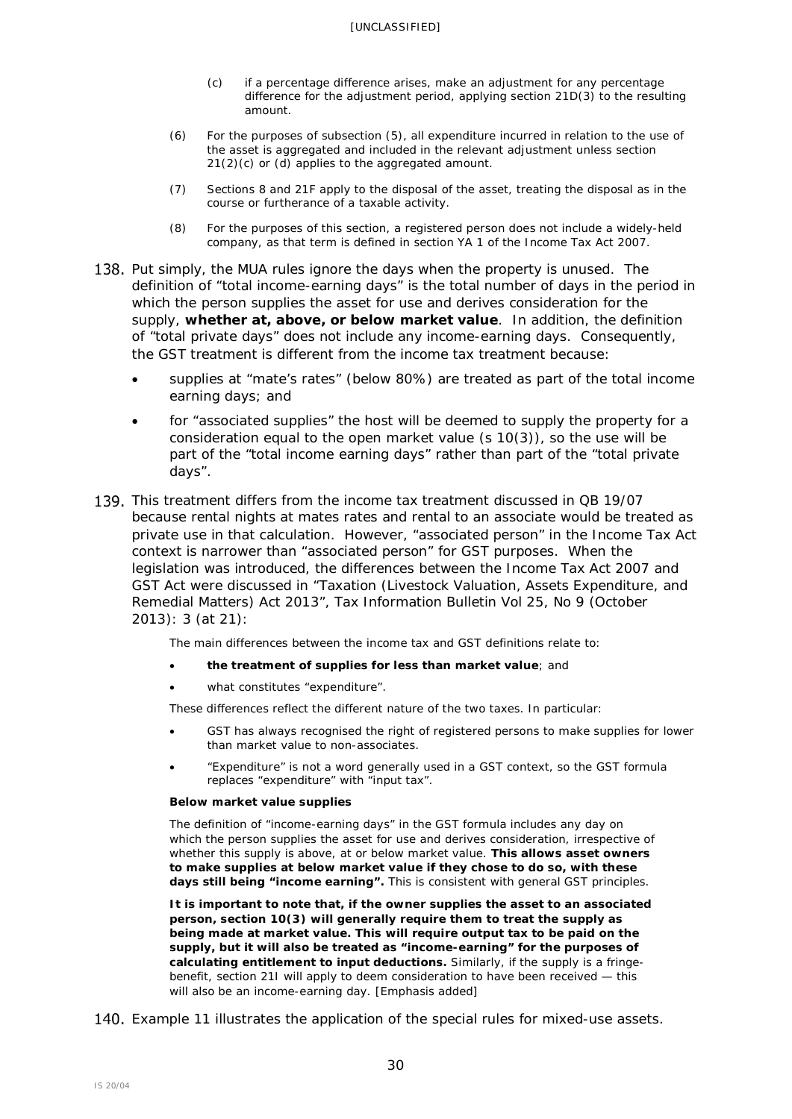- (c) if a percentage difference arises, make an adjustment for any percentage difference for the adjustment period, applying [section 21D\(3\)](http://www.legislation.govt.nz/act/public/1985/0141/latest/link.aspx?id=DLM83936#DLM83936) to the resulting amount.
- (6) For the purposes of subsection (5), all expenditure incurred in relation to the use of the asset is aggregated and included in the relevant adjustment unless [section](http://www.legislation.govt.nz/act/public/1985/0141/latest/link.aspx?id=DLM83898#DLM83898)  [21\(2\)\(c\) or \(d\)](http://www.legislation.govt.nz/act/public/1985/0141/latest/link.aspx?id=DLM83898#DLM83898) applies to the aggregated amount.
- (7) [Sections 8](http://www.legislation.govt.nz/act/public/1985/0141/latest/link.aspx?id=DLM82299#DLM82299) and [21F](http://www.legislation.govt.nz/act/public/1985/0141/latest/link.aspx?id=DLM83944#DLM83944) apply to the disposal of the asset, treating the disposal as in the course or furtherance of a taxable activity.
- (8) For the purposes of this section, a registered person does not include a widely-held company, as that term is defined in [section YA 1](http://www.legislation.govt.nz/act/public/1985/0141/latest/link.aspx?id=DLM1520575#DLM1520575) of the Income Tax Act 2007.
- 138. Put simply, the MUA rules ignore the days when the property is unused. The definition of "total income-earning days" is the total number of days in the period in which the person supplies the asset for use and derives consideration for the supply, **whether at, above, or below market value**. In addition, the definition of "total private days" does not include any income-earning days. Consequently, the GST treatment is different from the income tax treatment because:
	- supplies at "mate's rates" (below 80%) are treated as part of the total income earning days; and
	- for "associated supplies" the host will be deemed to supply the property for a consideration equal to the open market value (s 10(3)), so the use will be part of the "total income earning days" rather than part of the "total private days".
- This treatment differs from the income tax treatment discussed in QB 19/07 because rental nights at mates rates and rental to an associate would be treated as private use in that calculation. However, "associated person" in the Income Tax Act context is narrower than "associated person" for GST purposes. When the legislation was introduced, the differences between the Income Tax Act 2007 and GST Act were discussed in "Taxation (Livestock Valuation, Assets Expenditure, and Remedial Matters) Act 2013", *Tax Information Bulletin* Vol 25, No 9 (October 2013): 3 (at 21):

The main differences between the income tax and GST definitions relate to:

- **the treatment of supplies for less than market value**; and
- what constitutes "expenditure".

These differences reflect the different nature of the two taxes. In particular:

- GST has always recognised the right of registered persons to make supplies for lower than market value to non-associates.
- "Expenditure" is not a word generally used in a GST context, so the GST formula replaces "expenditure" with "input tax".

#### *Below market value supplies*

The definition of "income-earning days" in the GST formula includes any day on which the person supplies the asset for use and derives consideration, irrespective of whether this supply is above, at or below market value. **This allows asset owners to make supplies at below market value if they chose to do so, with these days still being "income earning".** This is consistent with general GST principles.

**It is important to note that, if the owner supplies the asset to an associated person, section [10\(3\)](javascript:void(0)) will generally require them to treat the supply as being made at market value. This will require output tax to be paid on the supply, but it will also be treated as "income-earning" for the purposes of calculating entitlement to input deductions.** Similarly, if the supply is a fringebenefit, section [21I](javascript:void(0)) will apply to deem consideration to have been received — this will also be an income-earning day. [Emphasis added]

140. Example 11 illustrates the application of the special rules for mixed-use assets.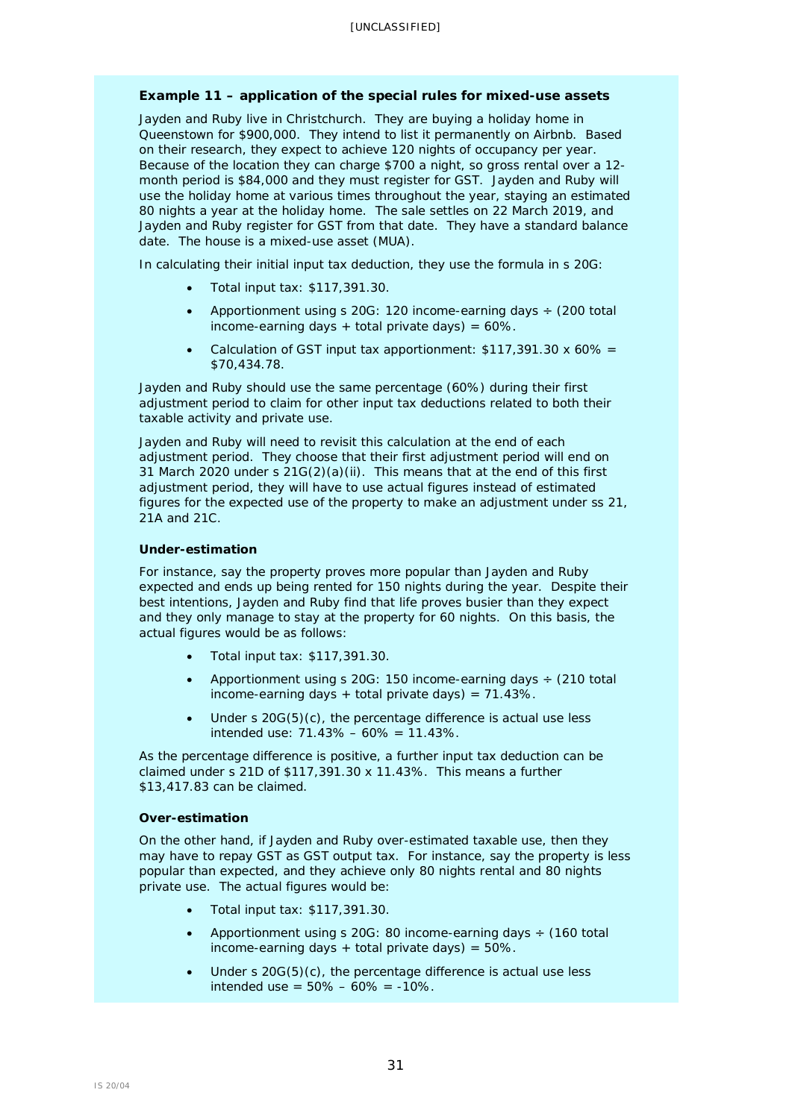### **Example 11 – application of the special rules for mixed-use assets**

Jayden and Ruby live in Christchurch. They are buying a holiday home in Queenstown for \$900,000. They intend to list it permanently on Airbnb. Based on their research, they expect to achieve 120 nights of occupancy per year. Because of the location they can charge \$700 a night, so gross rental over a 12 month period is \$84,000 and they must register for GST. Jayden and Ruby will use the holiday home at various times throughout the year, staying an estimated 80 nights a year at the holiday home. The sale settles on 22 March 2019, and Jayden and Ruby register for GST from that date. They have a standard balance date. The house is a mixed-use asset (MUA).

In calculating their initial input tax deduction, they use the formula in s 20G:

- Total input tax: \$117,391.30.
- Apportionment using s 20G: 120 income-earning days ÷ (200 total income-earning days  $+$  total private days) = 60%.
- Calculation of GST input tax apportionment: \$117,391.30 x 60% = \$70,434.78.

Jayden and Ruby should use the same percentage (60%) during their first adjustment period to claim for other input tax deductions related to both their taxable activity and private use.

Jayden and Ruby will need to revisit this calculation at the end of each adjustment period. They choose that their first adjustment period will end on 31 March 2020 under s 21G(2)(a)(ii). This means that at the end of this first adjustment period, they will have to use actual figures instead of estimated figures for the expected use of the property to make an adjustment under ss 21, 21A and 21C.

### *Under-estimation*

For instance, say the property proves more popular than Jayden and Ruby expected and ends up being rented for 150 nights during the year. Despite their best intentions, Jayden and Ruby find that life proves busier than they expect and they only manage to stay at the property for 60 nights. On this basis, the actual figures would be as follows:

- Total input tax: \$117,391.30.
- Apportionment using s 20G: 150 income-earning days  $\div$  (210 total income-earning days + total private days) =  $71.43\%$ .
- Under s 20G(5)(c), the percentage difference is actual use less intended use: 71.43% – 60% = 11.43%.

As the percentage difference is positive, a further input tax deduction can be claimed under s 21D of \$117,391.30 x 11.43%. This means a further \$13,417.83 can be claimed.

#### *Over-estimation*

On the other hand, if Jayden and Ruby over-estimated taxable use, then they may have to repay GST as GST output tax. For instance, say the property is less popular than expected, and they achieve only 80 nights rental and 80 nights private use. The actual figures would be:

- Total input tax: \$117,391.30.
- Apportionment using s 20G: 80 income-earning days  $\div$  (160 total income-earning days  $+$  total private days) = 50%.
- Under s 20G(5)(c), the percentage difference is actual use less intended use =  $50\% - 60\% = -10\%$ .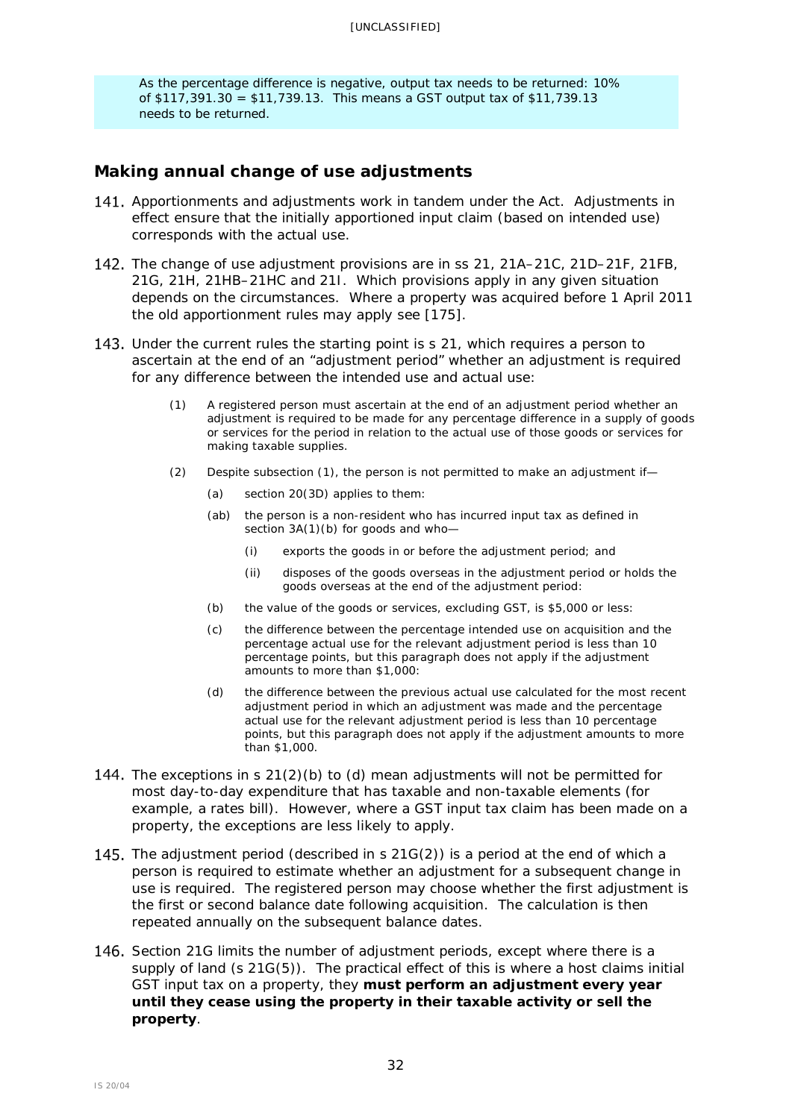As the percentage difference is negative, output tax needs to be returned: 10% of \$117,391.30 = \$11,739.13. This means a GST output tax of \$11,739.13 needs to be returned.

## <span id="page-31-0"></span>**Making annual change of use adjustments**

- <span id="page-31-1"></span>141. Apportionments and adjustments work in tandem under the Act. Adjustments in effect ensure that the initially apportioned input claim (based on intended use) corresponds with the actual use.
- The change of use adjustment provisions are in ss 21, 21A–21C, 21D–21F, 21FB, 21G, 21H, 21HB–21HC and 21I. Which provisions apply in any given situation depends on the circumstances. Where a property was acquired before 1 April 2011 the old apportionment rules may apply see [\[175\]](#page-39-1).
- 143. Under the current rules the starting point is s 21, which requires a person to ascertain at the end of an "adjustment period" whether an adjustment is required for any difference between the intended use and actual use:
	- (1) A registered person must ascertain at the end of an adjustment period whether an adjustment is required to be made for any percentage difference in a supply of goods or services for the period in relation to the actual use of those goods or services for making taxable supplies.
	- (2) Despite subsection (1), the person is not permitted to make an adjustment if—
		- (a) [section 20\(3D\)](http://www.legislation.govt.nz/act/public/1985/0141/latest/link.aspx?id=DLM83479#DLM83479) applies to them:
		- (ab) the person is a non-resident who has incurred input tax as defined in section  $3A(1)(b)$  for goods and who-
			- (i) exports the goods in or before the adjustment period; and
			- (ii) disposes of the goods overseas in the adjustment period or holds the goods overseas at the end of the adjustment period:
		- (b) the value of the goods or services, excluding GST, is \$5,000 or less:
		- (c) the difference between the percentage intended use on acquisition and the percentage actual use for the relevant adjustment period is less than 10 percentage points, but this paragraph does not apply if the adjustment amounts to more than \$1,000:
		- (d) the difference between the previous actual use calculated for the most recent adjustment period in which an adjustment was made and the percentage actual use for the relevant adjustment period is less than 10 percentage points, but this paragraph does not apply if the adjustment amounts to more than \$1,000.
- 144. The exceptions in  $s$  21(2)(b) to (d) mean adjustments will not be permitted for most day-to-day expenditure that has taxable and non-taxable elements (for example, a rates bill). However, where a GST input tax claim has been made on a property, the exceptions are less likely to apply.
- 145. The adjustment period (described in s  $21G(2)$ ) is a period at the end of which a person is required to estimate whether an adjustment for a subsequent change in use is required. The registered person may choose whether the first adjustment is the first or second balance date following acquisition. The calculation is then repeated annually on the subsequent balance dates.
- 146. Section 21G limits the number of adjustment periods, except where there is a supply of land (s 21G(5)). The practical effect of this is where a host claims initial GST input tax on a property, they **must perform an adjustment every year until they cease using the property in their taxable activity or sell the property**.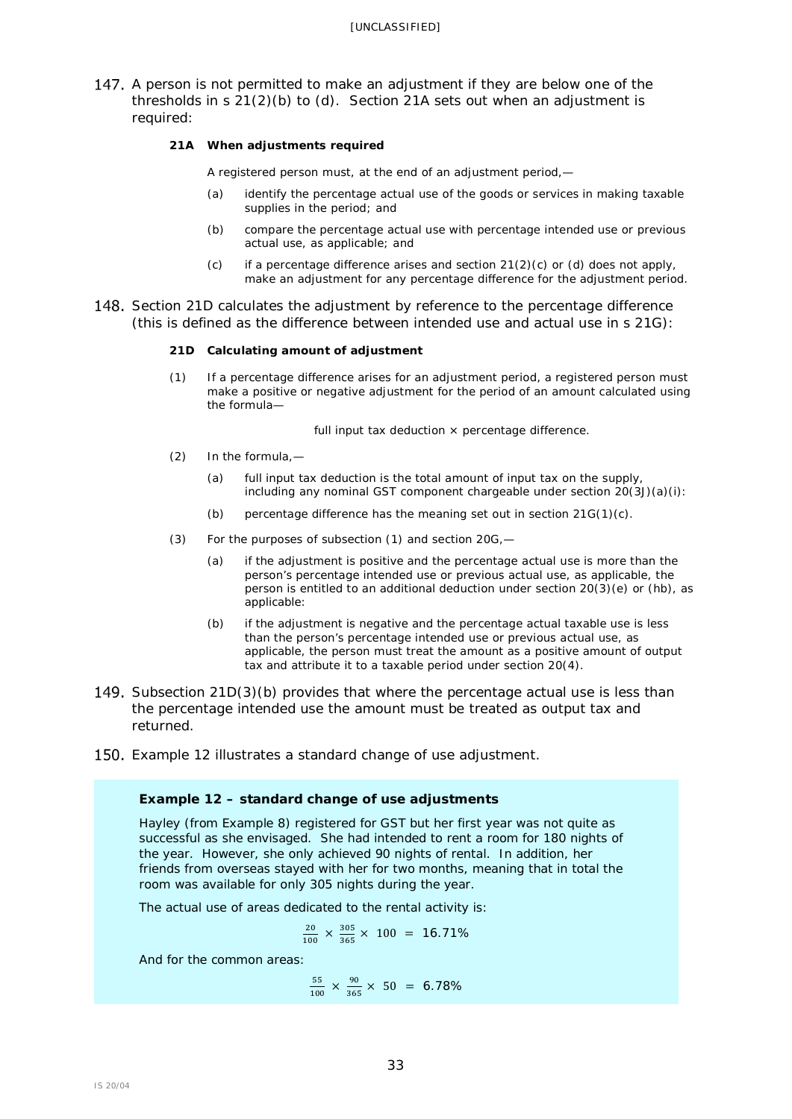147. A person is not permitted to make an adjustment if they are below one of the thresholds in  $s$  21(2)(b) to (d). Section 21A sets out when an adjustment is required:

#### **21A When adjustments required**

A registered person must, at the end of an adjustment period,—

- (a) identify the percentage actual use of the goods or services in making taxable supplies in the period; and
- (b) compare the percentage actual use with percentage intended use or previous actual use, as applicable; and
- (c) if a percentage difference arises and section  $21(2)(c)$  or (d) does not apply, make an adjustment for any percentage difference for the adjustment period.
- 148. Section 21D calculates the adjustment by reference to the percentage difference (this is defined as the difference between intended use and actual use in s 21G):

#### **21D Calculating amount of adjustment**

(1) If a percentage difference arises for an adjustment period, a registered person must make a positive or negative adjustment for the period of an amount calculated using the formula—

full input tax deduction  $\times$  percentage difference.

- (2) In the formula,—
	- (a) full input tax deduction is the total amount of input tax on the supply, including any nominal GST component chargeable under section  $20(3J)(a)(i)$ :
	- (b) percentage difference has the meaning set out in section 21G(1)(c).
- (3) For the purposes of subsection (1) and section 20G,—
	- (a) if the adjustment is positive and the percentage actual use is more than the person's percentage intended use or previous actual use, as applicable, the person is entitled to an additional deduction under section 20(3)(e) or (hb), as applicable:
	- (b) if the adjustment is negative and the percentage actual taxable use is less than the person's percentage intended use or previous actual use, as applicable, the person must treat the amount as a positive amount of output tax and attribute it to a taxable period under section 20(4).
- 149. Subsection 21D(3)(b) provides that where the percentage actual use is less than the percentage intended use the amount must be treated as output tax and returned.
- 150. Example 12 illustrates a standard change of use adjustment.

### **Example 12 – standard change of use adjustments**

Hayley (from Example 8) registered for GST but her first year was not quite as successful as she envisaged. She had intended to rent a room for 180 nights of the year. However, she only achieved 90 nights of rental. In addition, her friends from overseas stayed with her for two months, meaning that in total the room was available for only 305 nights during the year.

The actual use of areas dedicated to the rental activity is:

$$
\frac{20}{100} \times \frac{305}{365} \times 100 = 16.71\%
$$

And for the common areas:

 $\frac{55}{100} \times \frac{90}{365} \times 50 = 6.78\%$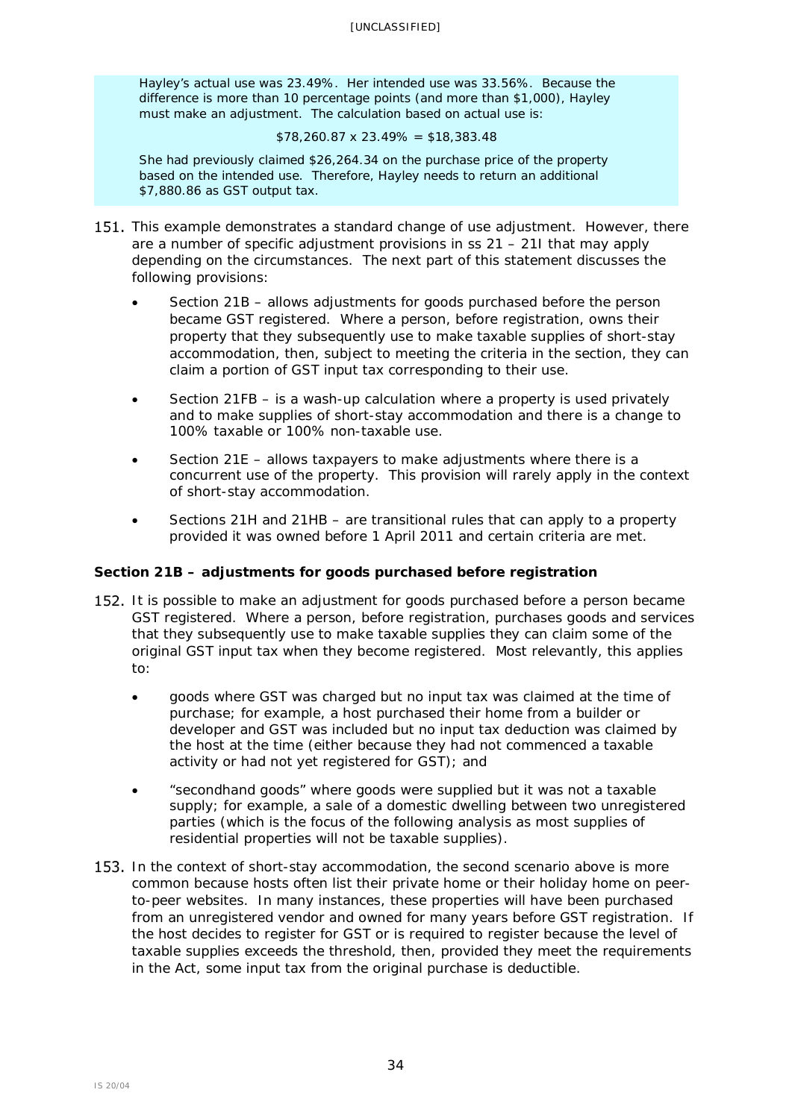Hayley's actual use was 23.49%. Her intended use was 33.56%. Because the difference is more than 10 percentage points (and more than \$1,000), Hayley must make an adjustment. The calculation based on actual use is:

#### $$78,260.87 \times 23.49\% = $18,383.48$

She had previously claimed \$26,264.34 on the purchase price of the property based on the intended use. Therefore, Hayley needs to return an additional \$7,880.86 as GST output tax.

- 151. This example demonstrates a standard change of use adjustment. However, there are a number of specific adjustment provisions in ss 21 – 21I that may apply depending on the circumstances. The next part of this statement discusses the following provisions:
	- Section 21B allows adjustments for goods purchased before the person became GST registered. Where a person, before registration, owns their property that they subsequently use to make taxable supplies of short-stay accommodation, then, subject to meeting the criteria in the section, they can claim a portion of GST input tax corresponding to their use.
	- Section 21FB is a wash-up calculation where a property is used privately and to make supplies of short-stay accommodation and there is a change to 100% taxable or 100% non-taxable use.
	- Section 21E allows taxpayers to make adjustments where there is a concurrent use of the property. This provision will rarely apply in the context of short-stay accommodation.
	- Sections 21H and 21HB are transitional rules that can apply to a property provided it was owned before 1 April 2011 and certain criteria are met.

## <span id="page-33-0"></span>**Section 21B – adjustments for goods purchased before registration**

- 152. It is possible to make an adjustment for goods purchased before a person became GST registered. Where a person, before registration, purchases goods and services that they subsequently use to make taxable supplies they can claim some of the original GST input tax when they become registered. Most relevantly, this applies to:
	- goods where GST was charged but no input tax was claimed at the time of purchase; for example, a host purchased their home from a builder or developer and GST was included but no input tax deduction was claimed by the host at the time (either because they had not commenced a taxable activity or had not yet registered for GST); and
	- "secondhand goods" where goods were supplied but it was not a taxable supply; for example, a sale of a domestic dwelling between two unregistered parties (which is the focus of the following analysis as most supplies of residential properties will not be taxable supplies).
- 153. In the context of short-stay accommodation, the second scenario above is more common because hosts often list their private home or their holiday home on peerto-peer websites. In many instances, these properties will have been purchased from an unregistered vendor and owned for many years before GST registration. If the host decides to register for GST or is required to register because the level of taxable supplies exceeds the threshold, then, provided they meet the requirements in the Act, some input tax from the original purchase is deductible.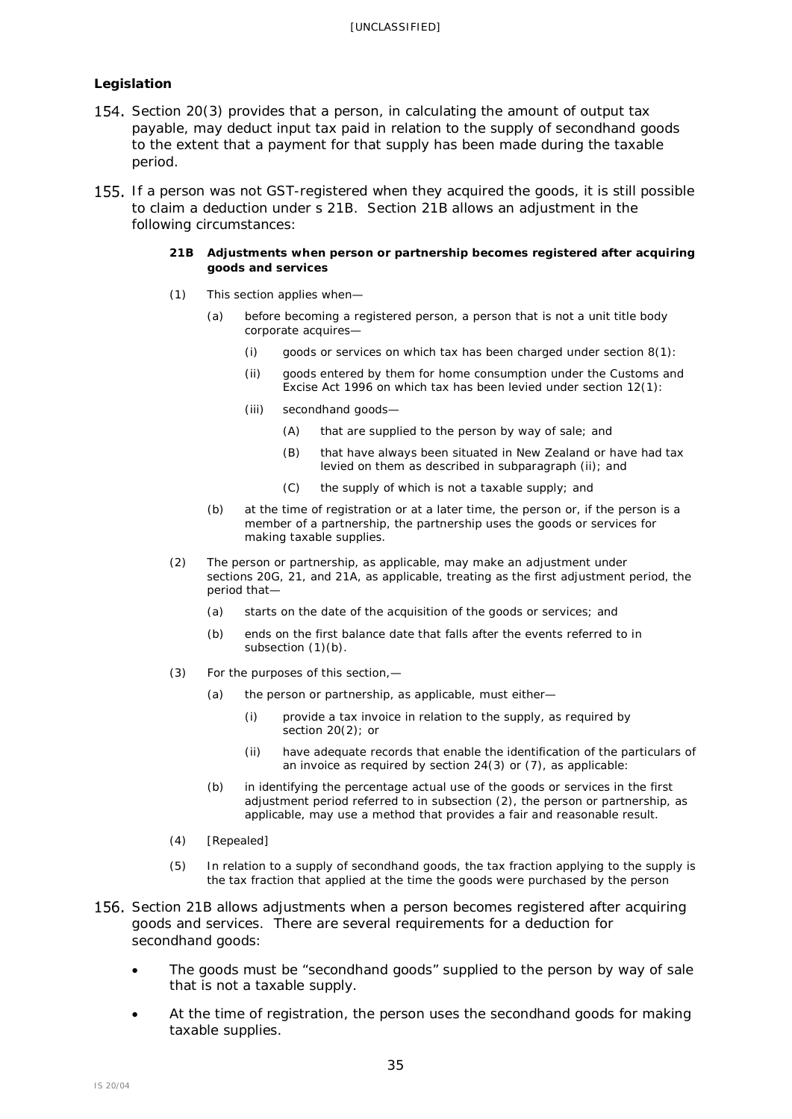## *Legislation*

- 154. Section [20\(3\)](javascript:void(0)) provides that a person, in calculating the amount of output tax payable, may deduct input tax paid in relation to the supply of secondhand goods to the extent that a payment for that supply has been made during the taxable period.
- 155. If a person was not GST-registered when they acquired the goods, it is still possible to claim a deduction under s 21B. Section 21B allows an adjustment in the following circumstances:

#### **21B Adjustments when person or partnership becomes registered after acquiring goods and services**

- (1) This section applies when—
	- (a) before becoming a registered person, a person that is not a unit title body corporate acquires—
		- (i) goods or services on which tax has been charged under section  $8(1)$ :
		- (ii) goods entered by them for home consumption under the [Customs and](http://www.legislation.govt.nz/act/public/1985/0141/latest/link.aspx?id=DLM377336)  [Excise Act 1996](http://www.legislation.govt.nz/act/public/1985/0141/latest/link.aspx?id=DLM377336) on which tax has been levied under [section 12\(1\):](http://www.legislation.govt.nz/act/public/1985/0141/latest/link.aspx?id=DLM83048#DLM83048)
		- (iii) secondhand goods—
			- (A) that are supplied to the person by way of sale; and
			- (B) that have always been situated in New Zealand or have had tax levied on them as described in subparagraph (ii); and
			- (C) the supply of which is not a taxable supply; and
	- (b) at the time of registration or at a later time, the person or, if the person is a member of a partnership, the partnership uses the goods or services for making taxable supplies.
- (2) The person or partnership, as applicable, may make an adjustment under [sections](http://www.legislation.govt.nz/act/public/1985/0141/latest/link.aspx?id=DLM5499529#DLM5499529) 20G, [21,](http://www.legislation.govt.nz/act/public/1985/0141/latest/link.aspx?id=DLM83898#DLM83898) and [21A,](http://www.legislation.govt.nz/act/public/1985/0141/latest/link.aspx?id=DLM83924#DLM83924) as applicable, treating as the first adjustment period, the period that—
	- (a) starts on the date of the acquisition of the goods or services; and
	- (b) ends on the first balance date that falls after the events referred to in subsection  $(1)(b)$ .
- (3) For the purposes of this section,—
	- (a) the person or partnership, as applicable, must either—
		- (i) provide a tax invoice in relation to the supply, as required by [section](http://www.legislation.govt.nz/act/public/1985/0141/latest/link.aspx?id=DLM83479#DLM83479) 20(2); or
		- (ii) have adequate records that enable the identification of the particulars of an invoice as required by [section 24\(3\) or \(7\),](http://www.legislation.govt.nz/act/public/1985/0141/latest/link.aspx?id=DLM83975#DLM83975) as applicable:
	- (b) in identifying the percentage actual use of the goods or services in the first adjustment period referred to in subsection (2), the person or partnership, as applicable, may use a method that provides a fair and reasonable result.
- (4) *[Repealed]*
- (5) In relation to a supply of secondhand goods, the tax fraction applying to the supply is the tax fraction that applied at the time the goods were purchased by the person
- 156. Section 21B allows adjustments when a person becomes registered after acquiring goods and services. There are several requirements for a deduction for secondhand goods:
	- The goods must be "secondhand goods" supplied to the person by way of sale that is not a taxable supply.
	- At the time of registration, the person uses the secondhand goods for making taxable supplies.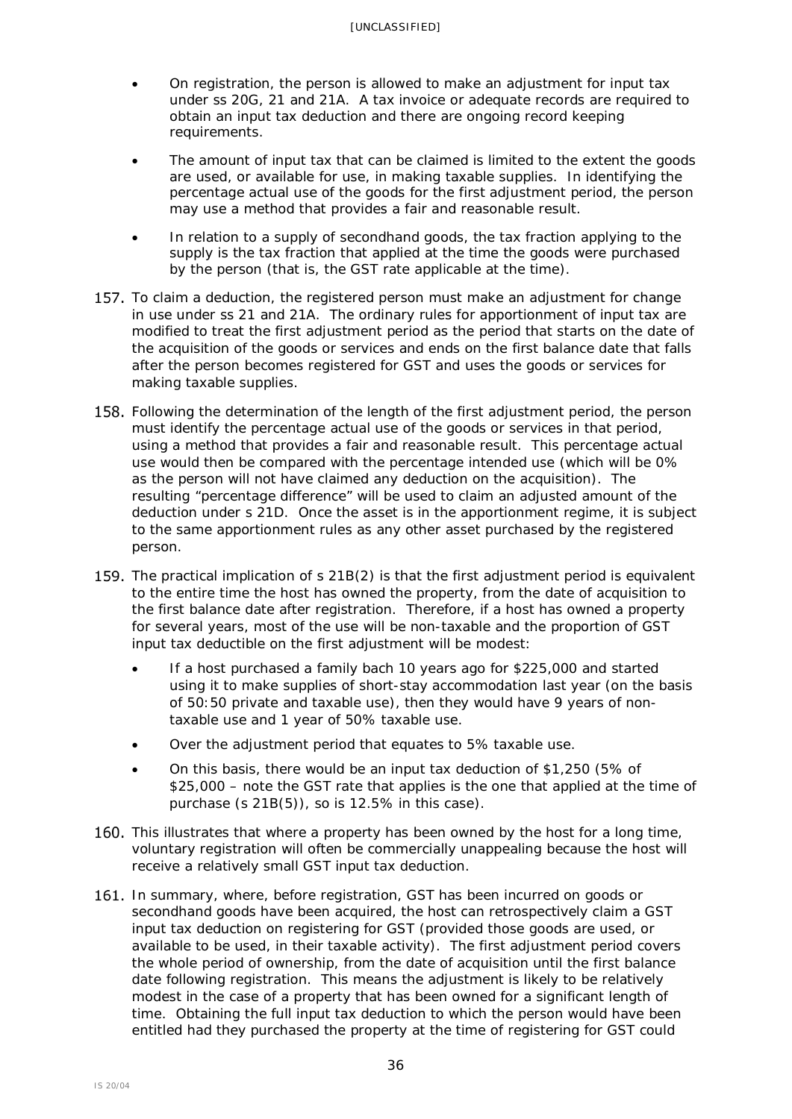- On registration, the person is allowed to make an adjustment for input tax under ss [20G,](http://www.legislation.govt.nz/act/public/1985/0141/latest/link.aspx?id=DLM5499529#DLM5499529) [21](http://www.legislation.govt.nz/act/public/1985/0141/latest/link.aspx?id=DLM83898#DLM83898) and [21A.](http://www.legislation.govt.nz/act/public/1985/0141/latest/link.aspx?id=DLM83924#DLM83924) A tax invoice or adequate records are required to obtain an input tax deduction and there are ongoing record keeping requirements.
- The amount of input tax that can be claimed is limited to the extent the goods are used, or available for use, in making taxable supplies. In identifying the percentage actual use of the goods for the first adjustment period, the person may use a method that provides a fair and reasonable result.
- In relation to a supply of secondhand goods, the tax fraction applying to the supply is the tax fraction that applied at the time the goods were purchased by the person (that is, the GST rate applicable at the time).
- 157. To claim a deduction, the registered person must make an adjustment for change in use under ss 21 and 21A. The ordinary rules for apportionment of input tax are modified to treat the first adjustment period as the period that starts on the date of the acquisition of the goods or services and ends on the first balance date that falls after the person becomes registered for GST and uses the goods or services for making taxable supplies.
- 158. Following the determination of the length of the first adjustment period, the person must identify the percentage actual use of the goods or services in that period, using a method that provides a fair and reasonable result. This percentage actual use would then be compared with the percentage intended use (which will be 0% as the person will not have claimed any deduction on the acquisition). The resulting "percentage difference" will be used to claim an adjusted amount of the deduction under s 21D. Once the asset is in the apportionment regime, it is subject to the same apportionment rules as any other asset purchased by the registered person.
- 159. The practical implication of s 21B(2) is that the first adjustment period is equivalent to the entire time the host has owned the property, from the date of acquisition to the first balance date after registration. Therefore, if a host has owned a property for several years, most of the use will be non-taxable and the proportion of GST input tax deductible on the first adjustment will be modest:
	- If a host purchased a family bach 10 years ago for \$225,000 and started using it to make supplies of short-stay accommodation last year (on the basis of 50:50 private and taxable use), then they would have 9 years of nontaxable use and 1 year of 50% taxable use.
	- Over the adjustment period that equates to 5% taxable use.
	- On this basis, there would be an input tax deduction of \$1,250 (5% of \$25,000 – note the GST rate that applies is the one that applied at the time of purchase (s 21B(5)), so is 12.5% in this case).
- 160. This illustrates that where a property has been owned by the host for a long time, voluntary registration will often be commercially unappealing because the host will receive a relatively small GST input tax deduction.
- 161. In summary, where, before registration, GST has been incurred on goods or secondhand goods have been acquired, the host can retrospectively claim a GST input tax deduction on registering for GST (provided those goods are used, or available to be used, in their taxable activity). The first adjustment period covers the whole period of ownership, from the date of acquisition until the first balance date following registration. This means the adjustment is likely to be relatively modest in the case of a property that has been owned for a significant length of time. Obtaining the full input tax deduction to which the person would have been entitled had they purchased the property at the time of registering for GST could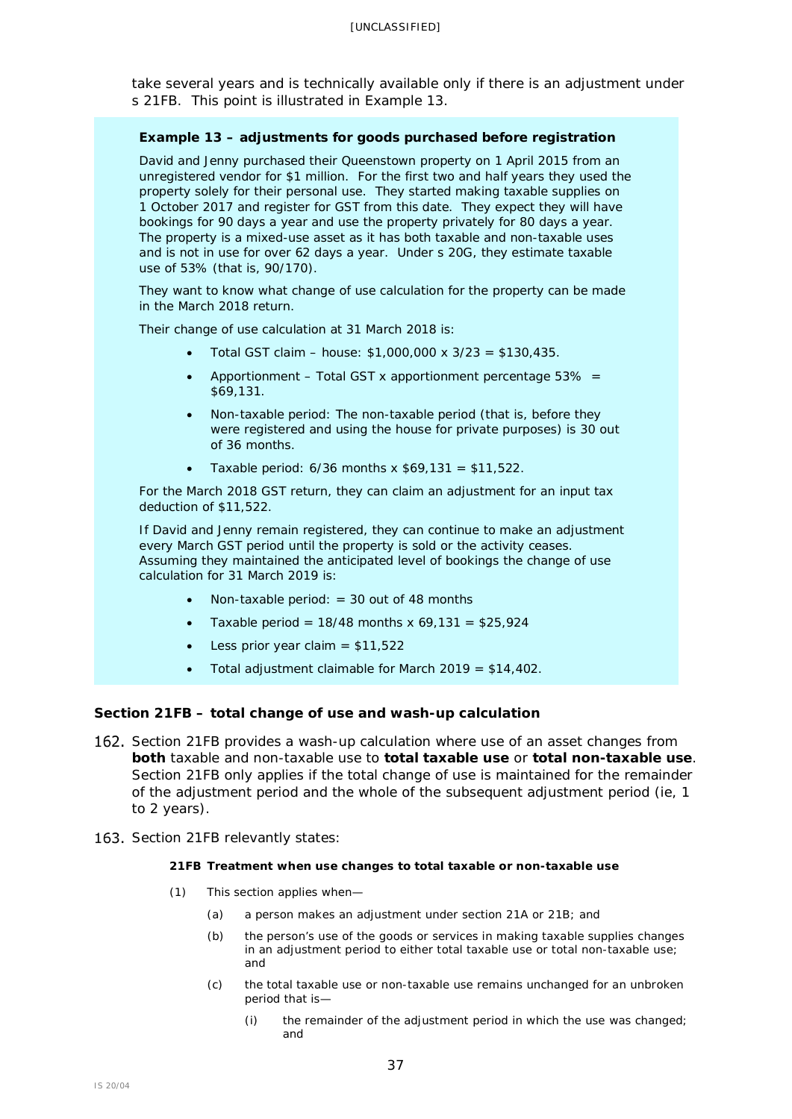take several years and is technically available only if there is an adjustment under s 21FB. This point is illustrated in Example 13.

### **Example 13 – adjustments for goods purchased before registration**

David and Jenny purchased their Queenstown property on 1 April 2015 from an unregistered vendor for \$1 million. For the first two and half years they used the property solely for their personal use. They started making taxable supplies on 1 October 2017 and register for GST from this date. They expect they will have bookings for 90 days a year and use the property privately for 80 days a year. The property is a mixed-use asset as it has both taxable and non-taxable uses and is not in use for over 62 days a year. Under s 20G, they estimate taxable use of 53% (that is, 90/170).

They want to know what change of use calculation for the property can be made in the March 2018 return.

Their change of use calculation at 31 March 2018 is:

- Total GST claim house: \$1,000,000 x 3/23 = \$130,435.
- Apportionment Total GST x apportionment percentage  $53\%$  = \$69,131.
- Non-taxable period: The non-taxable period (that is, before they were registered and using the house for private purposes) is 30 out of 36 months.
- Taxable period:  $6/36$  months x  $$69,131 = $11,522$ .

For the March 2018 GST return, they can claim an adjustment for an input tax deduction of \$11,522.

If David and Jenny remain registered, they can continue to make an adjustment every March GST period until the property is sold or the activity ceases. Assuming they maintained the anticipated level of bookings the change of use calculation for 31 March 2019 is:

- Non-taxable period:  $= 30$  out of 48 months
- Taxable period =  $18/48$  months x 69,131 = \$25,924
- Less prior year claim =  $$11,522$
- Total adjustment claimable for March 2019 = \$14,402.

#### <span id="page-36-0"></span>**Section 21FB – total change of use and wash-up calculation**

- <span id="page-36-1"></span>162. Section 21FB provides a wash-up calculation where use of an asset changes from **both** taxable and non-taxable use to **total taxable use** or **total non-taxable use**. Section 21FB only applies if the total change of use is maintained for the remainder of the adjustment period and the whole of the subsequent adjustment period (ie, 1 to 2 years).
- 163. Section 21FB relevantly states:

#### **21FB Treatment when use changes to total taxable or non-taxable use**

- (1) This section applies when—
	- (a) a person makes an adjustment under section 21A or 21B; and
	- (b) the person's use of the goods or services in making taxable supplies changes in an adjustment period to either total taxable use or total non-taxable use; and
	- (c) the total taxable use or non-taxable use remains unchanged for an unbroken period that is—
		- (i) the remainder of the adjustment period in which the use was changed; and

37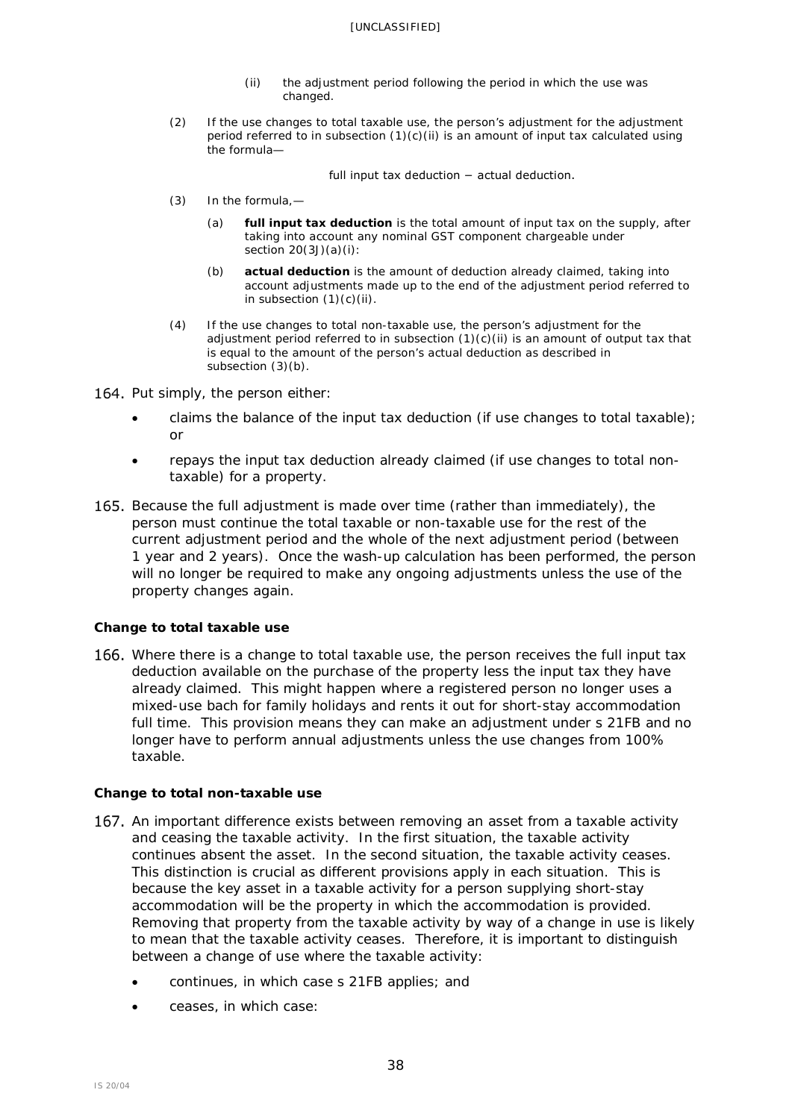- (ii) the adjustment period following the period in which the use was changed.
- (2) If the use changes to total taxable use, the person's adjustment for the adjustment period referred to in subsection  $(1)(c)(ii)$  is an amount of input tax calculated using the formula—

full input tax deduction − actual deduction.

- (3) In the formula,—
	- (a) **full input tax deduction** is the total amount of input tax on the supply, after taking into account any nominal GST component chargeable under section 20(3J)(a)(i):
	- (b) **actual deduction** is the amount of deduction already claimed, taking into account adjustments made up to the end of the adjustment period referred to in subsection  $(1)(c)(ii)$ .
- (4) If the use changes to total non-taxable use, the person's adjustment for the adjustment period referred to in subsection  $(1)(c)(ii)$  is an amount of output tax that is equal to the amount of the person's actual deduction as described in subsection (3)(b).
- 164. Put simply, the person either:
	- claims the balance of the input tax deduction (if use changes to total taxable); or
	- repays the input tax deduction already claimed (if use changes to total nontaxable) for a property.
- 165. Because the full adjustment is made over time (rather than immediately), the person must continue the total taxable or non-taxable use for the rest of the current adjustment period and the whole of the next adjustment period (between 1 year and 2 years). Once the wash-up calculation has been performed, the person will no longer be required to make any ongoing adjustments unless the use of the property changes again.

## *Change to total taxable use*

166. Where there is a change to total taxable use, the person receives the full input tax deduction available on the purchase of the property less the input tax they have already claimed. This might happen where a registered person no longer uses a mixed-use bach for family holidays and rents it out for short-stay accommodation full time. This provision means they can make an adjustment under s 21FB and no longer have to perform annual adjustments unless the use changes from 100% taxable.

## *Change to total non-taxable use*

- 167. An important difference exists between removing an asset from a taxable activity and ceasing the taxable activity. In the first situation, the taxable activity continues absent the asset. In the second situation, the taxable activity ceases. This distinction is crucial as different provisions apply in each situation. This is because the key asset in a taxable activity for a person supplying short-stay accommodation will be the property in which the accommodation is provided. Removing that property from the taxable activity by way of a change in use is likely to mean that the taxable activity ceases. Therefore, it is important to distinguish between a change of use where the taxable activity:
	- continues, in which case s 21FB applies; and
	- ceases, in which case: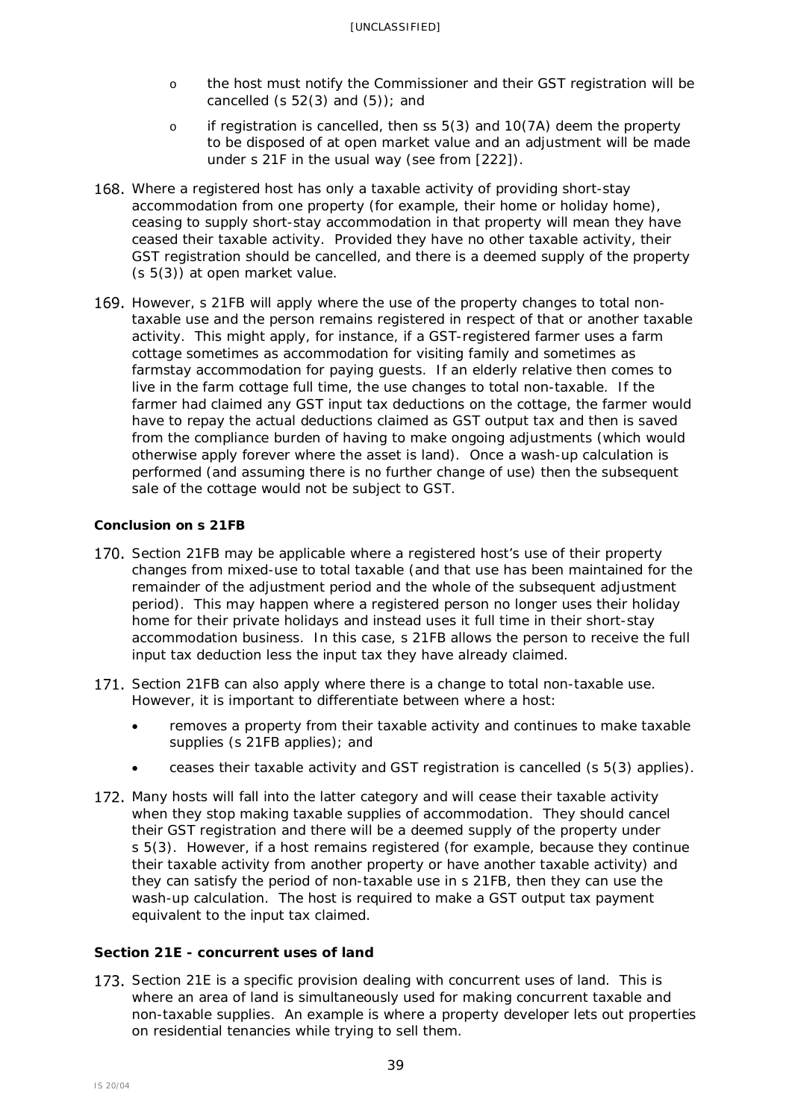- o the host must notify the Commissioner and their GST registration will be cancelled (s  $52(3)$  and  $(5)$ ); and
- o if registration is cancelled, then ss 5(3) and 10(7A) deem the property to be disposed of at open market value and an adjustment will be made under s 21F in the usual way (see from [\[222\]](#page-48-0)).
- 168. Where a registered host has only a taxable activity of providing short-stay accommodation from one property (for example, their home or holiday home), ceasing to supply short-stay accommodation in that property will mean they have ceased their taxable activity. Provided they have no other taxable activity, their GST registration should be cancelled, and there is a deemed supply of the property (s 5(3)) at open market value.
- 169. However, s 21FB will apply where the use of the property changes to total nontaxable use and the person remains registered in respect of that or another taxable activity. This might apply, for instance, if a GST-registered farmer uses a farm cottage sometimes as accommodation for visiting family and sometimes as farmstay accommodation for paying guests. If an elderly relative then comes to live in the farm cottage full time, the use changes to total non-taxable. If the farmer had claimed any GST input tax deductions on the cottage, the farmer would have to repay the actual deductions claimed as GST output tax and then is saved from the compliance burden of having to make ongoing adjustments (which would otherwise apply forever where the asset is land). Once a wash-up calculation is performed (and assuming there is no further change of use) then the subsequent sale of the cottage would not be subject to GST.

## *Conclusion on s 21FB*

- 170. Section 21FB may be applicable where a registered host's use of their property changes from mixed-use to total taxable (and that use has been maintained for the remainder of the adjustment period and the whole of the subsequent adjustment period). This may happen where a registered person no longer uses their holiday home for their private holidays and instead uses it full time in their short-stay accommodation business. In this case, s 21FB allows the person to receive the full input tax deduction less the input tax they have already claimed.
- 171. Section 21FB can also apply where there is a change to total non-taxable use. However, it is important to differentiate between where a host:
	- removes a property from their taxable activity and continues to make taxable supplies (s 21FB applies); and
	- ceases their taxable activity and GST registration is cancelled (s 5(3) applies).
- 172. Many hosts will fall into the latter category and will cease their taxable activity when they stop making taxable supplies of accommodation. They should cancel their GST registration and there will be a deemed supply of the property under s 5(3). However, if a host remains registered (for example, because they continue their taxable activity from another property or have another taxable activity) and they can satisfy the period of non-taxable use in s 21FB, then they can use the wash-up calculation. The host is required to make a GST output tax payment equivalent to the input tax claimed.

## <span id="page-38-0"></span>**Section 21E - concurrent uses of land**

173. Section 21E is a specific provision dealing with concurrent uses of land. This is where an area of land is simultaneously used for making concurrent taxable and non-taxable supplies. An example is where a property developer lets out properties on residential tenancies while trying to sell them.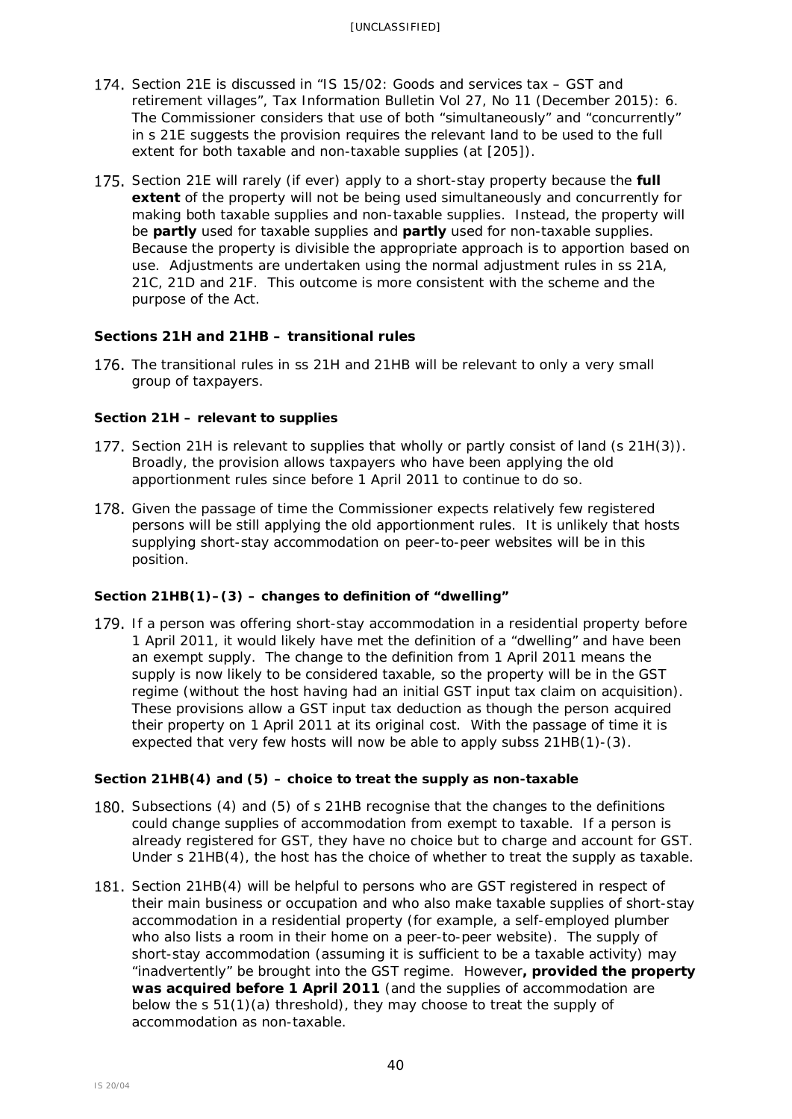- 174. Section 21E is discussed in "IS 15/02: Goods and services tax GST and retirement villages"*, Tax Information Bulletin* Vol 27, No 11 (December 2015): 6. The Commissioner considers that use of both "simultaneously" and "concurrently" in s 21E suggests the provision requires the relevant land to be used to the full extent for both taxable and non-taxable supplies (at [205]).
- 175. Section 21E will rarely (if ever) apply to a short-stay property because the **full extent** of the property will not be being used simultaneously and concurrently for making both taxable supplies and non-taxable supplies. Instead, the property will be **partly** used for taxable supplies and **partly** used for non-taxable supplies. Because the property is divisible the appropriate approach is to apportion based on use. Adjustments are undertaken using the normal adjustment rules in ss 21A, 21C, 21D and 21F. This outcome is more consistent with the scheme and the purpose of the Act.

## <span id="page-39-0"></span>**Sections 21H and 21HB – transitional rules**

<span id="page-39-1"></span>176. The transitional rules in ss 21H and 21HB will be relevant to only a very small group of taxpayers.

## *Section 21H – relevant to supplies*

- 177. Section 21H is relevant to supplies that wholly or partly consist of land (s 21H(3)). Broadly, the provision allows taxpayers who have been applying the old apportionment rules since before 1 April 2011 to continue to do so.
- 178. Given the passage of time the Commissioner expects relatively few registered persons will be still applying the old apportionment rules. It is unlikely that hosts supplying short-stay accommodation on peer-to-peer websites will be in this position.

## *Section 21HB(1)–(3) – changes to definition of "dwelling"*

179. If a person was offering short-stay accommodation in a residential property before 1 April 2011, it would likely have met the definition of a "dwelling" and have been an exempt supply. The change to the definition from 1 April 2011 means the supply is now likely to be considered taxable, so the property will be in the GST regime (without the host having had an initial GST input tax claim on acquisition). These provisions allow a GST input tax deduction as though the person acquired their property on 1 April 2011 at its original cost. With the passage of time it is expected that very few hosts will now be able to apply subss 21HB(1)-(3).

## *Section 21HB(4) and (5) – choice to treat the supply as non-taxable*

- 180. Subsections (4) and (5) of s 21HB recognise that the changes to the definitions could change supplies of accommodation from exempt to taxable. If a person is already registered for GST, they have no choice but to charge and account for GST. Under s 21HB(4), the host has the choice of whether to treat the supply as taxable.
- 181. Section 21HB(4) will be helpful to persons who are GST registered in respect of their main business or occupation and who also make taxable supplies of short-stay accommodation in a residential property (for example, a self-employed plumber who also lists a room in their home on a peer-to-peer website). The supply of short-stay accommodation (assuming it is sufficient to be a taxable activity) may "inadvertently" be brought into the GST regime. However**, provided the property was acquired before 1 April 2011** (and the supplies of accommodation are below the s 51(1)(a) threshold), they may choose to treat the supply of accommodation as non-taxable.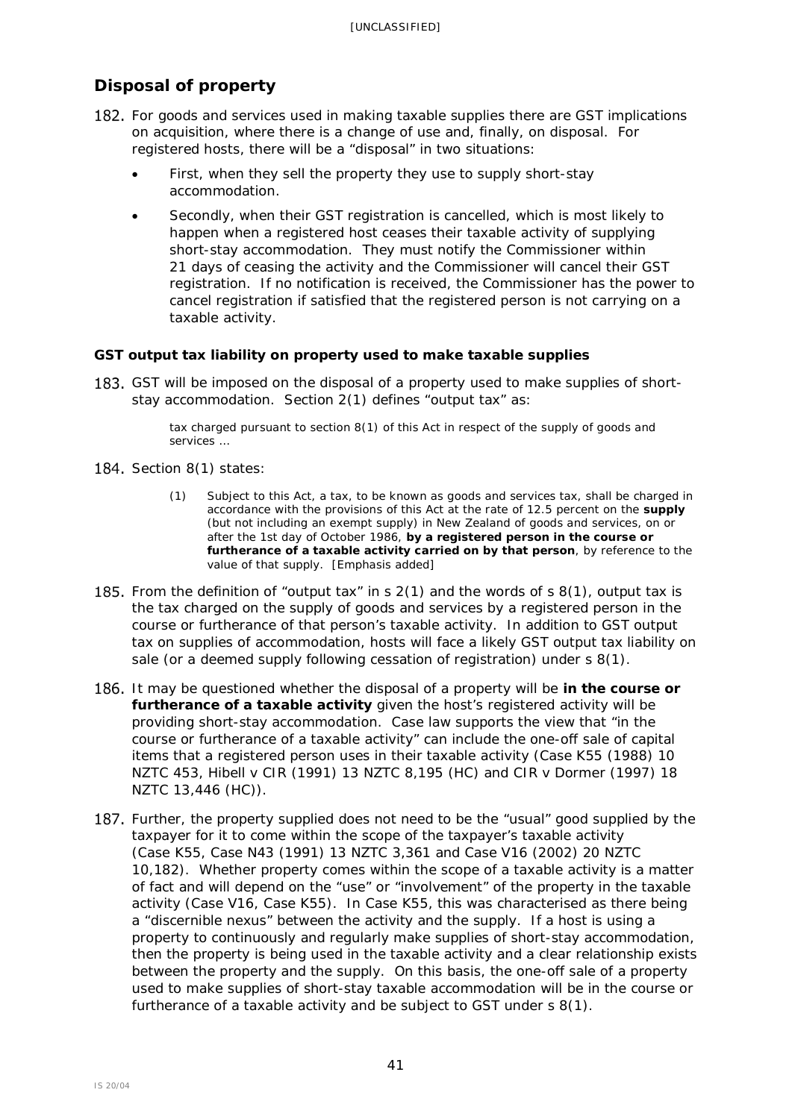# <span id="page-40-0"></span>**Disposal of property**

- <span id="page-40-2"></span>182. For goods and services used in making taxable supplies there are GST implications on acquisition, where there is a change of use and, finally, on disposal. For registered hosts, there will be a "disposal" in two situations:
	- First, when they sell the property they use to supply short-stay accommodation.
	- Secondly, when their GST registration is cancelled, which is most likely to happen when a registered host ceases their taxable activity of supplying short-stay accommodation. They must notify the Commissioner within 21 days of ceasing the activity and the Commissioner will cancel their GST registration. If no notification is received, the Commissioner has the power to cancel registration if satisfied that the registered person is not carrying on a taxable activity.

## <span id="page-40-1"></span>**GST output tax liability on property used to make taxable supplies**

<span id="page-40-3"></span>183. GST will be imposed on the disposal of a property used to make supplies of shortstay accommodation. Section 2(1) defines "output tax" as:

> tax charged pursuant to section 8(1) of this Act in respect of the supply of goods and services …

- 184. Section 8(1) states:
	- (1) Subject to this Act, a tax, to be known as goods and services tax, shall be charged in accordance with the provisions of this Act at the rate of 12.5 percent on the **supply** (but not including an exempt supply) in New Zealand of goods and services, on or after the 1st day of October 1986, **by a registered person in the course or furtherance of a taxable activity carried on by that person**, by reference to the value of that supply. [Emphasis added]
- 185. From the definition of "output tax" in s  $2(1)$  and the words of s  $8(1)$ , output tax is the tax charged on the supply of goods and services by a registered person in the course or furtherance of that person's taxable activity. In addition to GST output tax on supplies of accommodation, hosts will face a likely GST output tax liability on sale (or a deemed supply following cessation of registration) under s 8(1).
- 186. It may be questioned whether the disposal of a property will be in the course or **furtherance of a taxable activity** given the host's registered activity will be providing short-stay accommodation. Case law supports the view that "in the course or furtherance of a taxable activity" can include the one-off sale of capital items that a registered person uses in their taxable activity (*Case K55* (1988) 10 NZTC 453, *Hibell v CIR* (1991) 13 NZTC 8,195 (HC) and *CIR v Dormer* (1997) 18 NZTC 13,446 (HC)).
- 187. Further, the property supplied does not need to be the "usual" good supplied by the taxpayer for it to come within the scope of the taxpayer's taxable activity (*Case K55*, *Case N43* (1991) 13 NZTC 3,361 and *Case V16* (2002) 20 NZTC 10,182). Whether property comes within the scope of a taxable activity is a matter of fact and will depend on the "use" or "involvement" of the property in the taxable activity (*Case V16, Case K55*). In *Case K55,* this was characterised as there being a "discernible nexus" between the activity and the supply. If a host is using a property to continuously and regularly make supplies of short-stay accommodation, then the property is being used in the taxable activity and a clear relationship exists between the property and the supply. On this basis, the one-off sale of a property used to make supplies of short-stay taxable accommodation will be in the course or furtherance of a taxable activity and be subject to GST under s 8(1).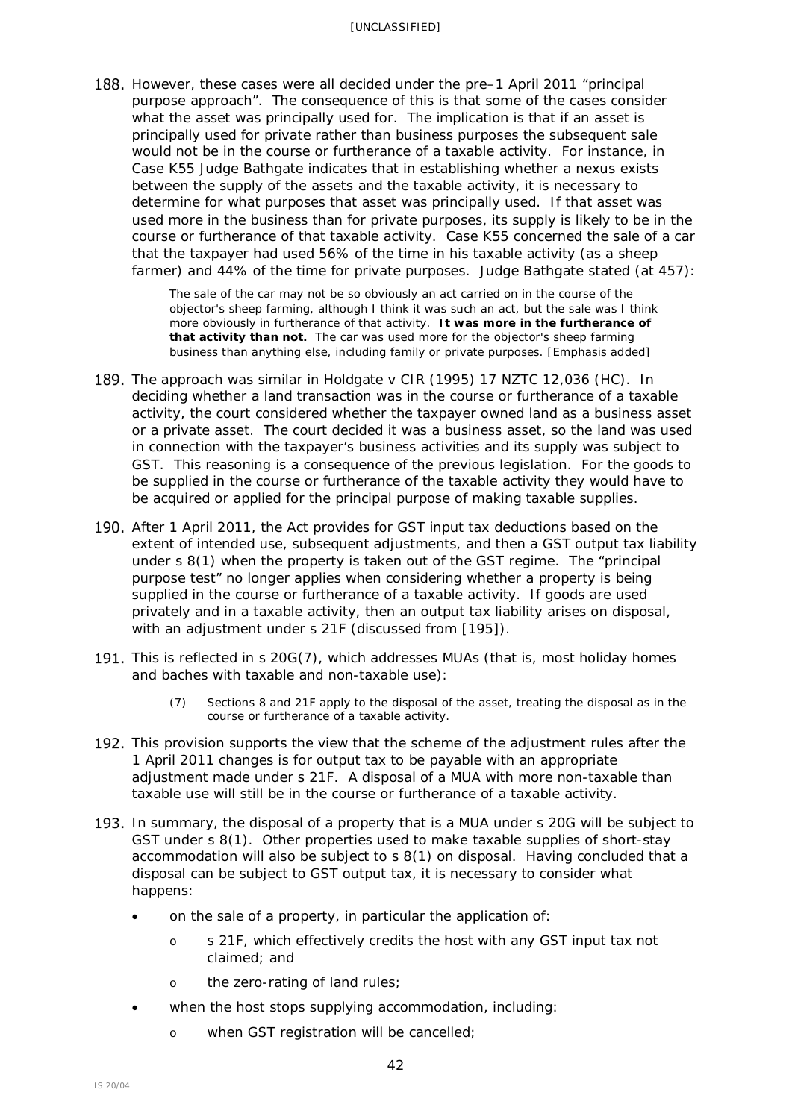188. However, these cases were all decided under the pre–1 April 2011 "principal purpose approach". The consequence of this is that some of the cases consider what the asset was principally used for. The implication is that if an asset is principally used for private rather than business purposes the subsequent sale would not be in the course or furtherance of a taxable activity. For instance, in *Case K55* Judge Bathgate indicates that in establishing whether a nexus exists between the supply of the assets and the taxable activity, it is necessary to determine for what purposes that asset was principally used. If that asset was used more in the business than for private purposes, its supply is likely to be in the course or furtherance of that taxable activity. *Case K55* concerned the sale of a car that the taxpayer had used 56% of the time in his taxable activity (as a sheep farmer) and 44% of the time for private purposes. Judge Bathgate stated (at 457):

> The sale of the car may not be so obviously an act carried on in the course of the objector's sheep farming, although I think it was such an act, but the sale was I think more obviously in furtherance of that activity. **It was more in the furtherance of that activity than not.** The car was used more for the objector's sheep farming business than anything else, including family or private purposes. [Emphasis added]

- The approach was similar in *Holdgate v CIR* (1995) 17 NZTC 12,036 (HC). In deciding whether a land transaction was in the course or furtherance of a taxable activity, the court considered whether the taxpayer owned land as a business asset or a private asset. The court decided it was a business asset, so the land was used in connection with the taxpayer's business activities and its supply was subject to GST. This reasoning is a consequence of the previous legislation. For the goods to be supplied in the course or furtherance of the taxable activity they would have to be acquired or applied for the principal purpose of making taxable supplies.
- 190. After 1 April 2011, the Act provides for GST input tax deductions based on the extent of intended use, subsequent adjustments, and then a GST output tax liability under s 8(1) when the property is taken out of the GST regime. The "principal purpose test" no longer applies when considering whether a property is being supplied in the course or furtherance of a taxable activity. If goods are used privately and in a taxable activity, then an output tax liability arises on disposal, with an adjustment under s 21F (discussed from [\[195\]](#page-42-1)).
- 191. This is reflected in s 20G(7), which addresses MUAs (that is, most holiday homes and baches with taxable and non-taxable use):
	- (7) Sections 8 and 21F apply to the disposal of the asset, treating the disposal as in the course or furtherance of a taxable activity.
- 192. This provision supports the view that the scheme of the adjustment rules after the 1 April 2011 changes is for output tax to be payable with an appropriate adjustment made under s 21F. A disposal of a MUA with more non-taxable than taxable use will still be in the course or furtherance of a taxable activity.
- 193. In summary, the disposal of a property that is a MUA under s 20G will be subject to GST under s 8(1). Other properties used to make taxable supplies of short-stay accommodation will also be subject to s 8(1) on disposal. Having concluded that a disposal can be subject to GST output tax, it is necessary to consider what happens:
	- on the sale of a property, in particular the application of:
		- o s 21F, which effectively credits the host with any GST input tax not claimed; and
		- o the zero-rating of land rules;
	- when the host stops supplying accommodation, including:
		- o when GST registration will be cancelled;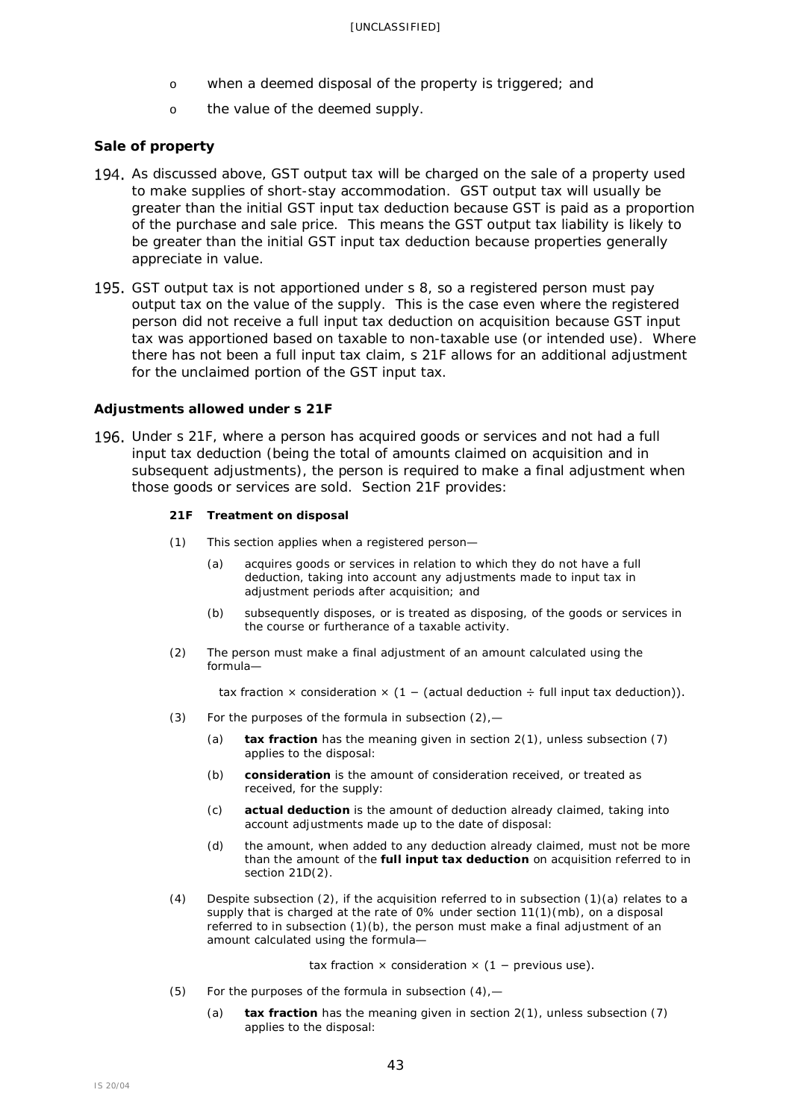- o when a deemed disposal of the property is triggered; and
- o the value of the deemed supply.

### <span id="page-42-0"></span>**Sale of property**

- 194. As discussed above, GST output tax will be charged on the sale of a property used to make supplies of short-stay accommodation. GST output tax will usually be greater than the initial GST input tax deduction because GST is paid as a proportion of the purchase and sale price. This means the GST output tax liability is likely to be greater than the initial GST input tax deduction because properties generally appreciate in value.
- 195. GST output tax is not apportioned under s 8, so a registered person must pay output tax on the value of the supply. This is the case even where the registered person did not receive a full input tax deduction on acquisition because GST input tax was apportioned based on taxable to non-taxable use (or intended use). Where there has not been a full input tax claim, s 21F allows for an additional adjustment for the unclaimed portion of the GST input tax.

#### *Adjustments allowed under s 21F*

<span id="page-42-1"></span>Under s 21F, where a person has acquired goods or services and not had a full input tax deduction (being the total of amounts claimed on acquisition and in subsequent adjustments), the person is required to make a final adjustment when those goods or services are sold. Section 21F provides:

#### **21F Treatment on disposal**

- (1) This section applies when a registered person—
	- (a) acquires goods or services in relation to which they do not have a full deduction, taking into account any adjustments made to input tax in adjustment periods after acquisition; and
	- (b) subsequently disposes, or is treated as disposing, of the goods or services in the course or furtherance of a taxable activity.
- (2) The person must make a final adjustment of an amount calculated using the formula—

tax fraction  $\times$  consideration  $\times$  (1 – (actual deduction ÷ full input tax deduction)).

- (3) For the purposes of the formula in subsection  $(2)$ ,
	- (a) **tax fraction** has the meaning given in section 2(1), unless subsection (7) applies to the disposal:
	- (b) **consideration** is the amount of consideration received, or treated as received, for the supply:
	- (c) **actual deduction** is the amount of deduction already claimed, taking into account adjustments made up to the date of disposal:
	- (d) the amount, when added to any deduction already claimed, must not be more than the amount of the **full input tax deduction** on acquisition referred to in section 21D(2).
- (4) Despite subsection (2), if the acquisition referred to in subsection (1)(a) relates to a supply that is charged at the rate of 0% under section 11(1)(mb), on a disposal referred to in subsection (1)(b), the person must make a final adjustment of an amount calculated using the formula—

tax fraction  $\times$  consideration  $\times$  (1 – previous use).

- (5) For the purposes of the formula in subsection  $(4)$ , -
	- (a) **tax fraction** has the meaning given in section 2(1), unless subsection (7) applies to the disposal: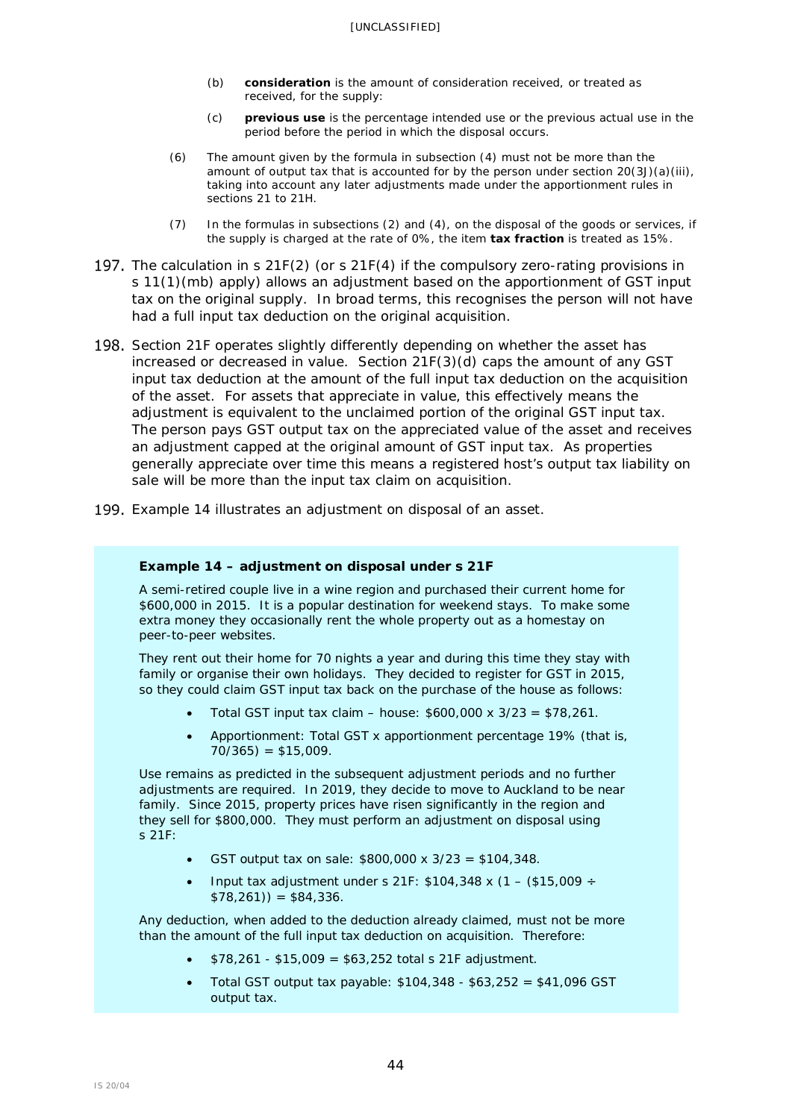- (b) **consideration** is the amount of consideration received, or treated as received, for the supply:
- (c) **previous use** is the percentage intended use or the previous actual use in the period before the period in which the disposal occurs.
- $(6)$  The amount given by the formula in subsection  $(4)$  must not be more than the amount of output tax that is accounted for by the person under section  $20(3J)(a)(iii)$ , taking into account any later adjustments made under the apportionment rules in sections 21 to 21H.
- (7) In the formulas in subsections (2) and (4), on the disposal of the goods or services, if the supply is charged at the rate of 0%, the item **tax fraction** is treated as 15%.
- 197. The calculation in s 21F(2) (or s 21F(4) if the compulsory zero-rating provisions in s 11(1)(mb) apply) allows an adjustment based on the apportionment of GST input tax on the original supply. In broad terms, this recognises the person will not have had a full input tax deduction on the original acquisition.
- 198. Section 21F operates slightly differently depending on whether the asset has increased or decreased in value. Section 21F(3)(d) caps the amount of any GST input tax deduction at the amount of the full input tax deduction on the acquisition of the asset. For assets that appreciate in value, this effectively means the adjustment is equivalent to the unclaimed portion of the original GST input tax. The person pays GST output tax on the appreciated value of the asset and receives an adjustment capped at the original amount of GST input tax. As properties generally appreciate over time this means a registered host's output tax liability on sale will be more than the input tax claim on acquisition.
- 199. Example 14 illustrates an adjustment on disposal of an asset.

#### **Example 14 – adjustment on disposal under s 21F**

A semi-retired couple live in a wine region and purchased their current home for \$600,000 in 2015. It is a popular destination for weekend stays. To make some extra money they occasionally rent the whole property out as a homestay on peer-to-peer websites.

They rent out their home for 70 nights a year and during this time they stay with family or organise their own holidays. They decided to register for GST in 2015, so they could claim GST input tax back on the purchase of the house as follows:

- Total GST input tax claim house: \$600,000 x 3/23 = \$78,261.
- Apportionment: Total GST x apportionment percentage 19% (that is,  $70/365$ ) = \$15,009.

Use remains as predicted in the subsequent adjustment periods and no further adjustments are required. In 2019, they decide to move to Auckland to be near family. Since 2015, property prices have risen significantly in the region and they sell for \$800,000. They must perform an adjustment on disposal using s 21F:

- GST output tax on sale:  $$800,000 \times 3/23 = $104,348$ .
- Input tax adjustment under s 21F: \$104,348 x (1 (\$15,009 ÷  $$78,261)$ ) = \$84,336.

Any deduction, when added to the deduction already claimed, must not be more than the amount of the full input tax deduction on acquisition. Therefore:

- $$78,261 $15,009 = $63,252$  total s 21F adjustment.
- Total GST output tax payable: \$104,348 \$63,252 = \$41,096 GST output tax.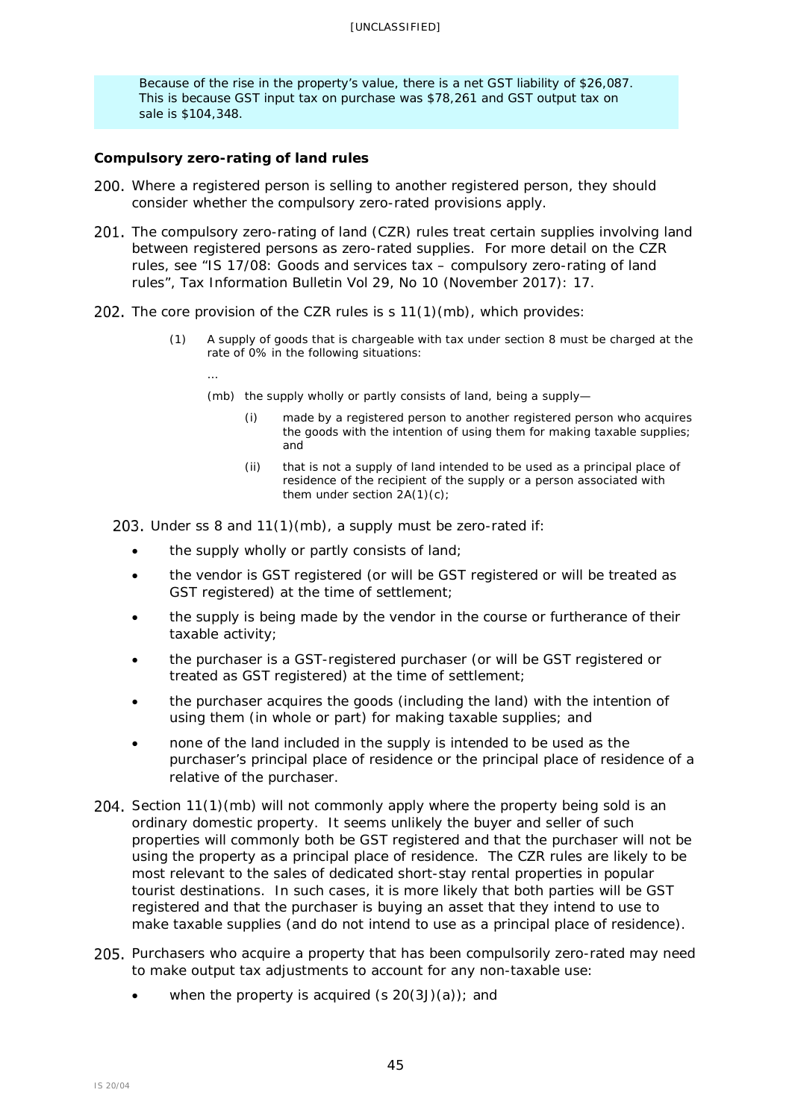Because of the rise in the property's value, there is a net GST liability of \$26,087. This is because GST input tax on purchase was \$78,261 and GST output tax on sale is \$104,348.

## <span id="page-44-0"></span>**Compulsory zero-rating of land rules**

- 200. Where a registered person is selling to another registered person, they should consider whether the compulsory zero-rated provisions apply.
- 201. The compulsory zero-rating of land (CZR) rules treat certain supplies involving land between registered persons as zero-rated supplies. For more detail on the CZR rules, see "IS 17/08: Goods and services tax – compulsory zero-rating of land rules", *Tax Information Bulletin* Vol 29, No 10 (November 2017): 17.
- 202. The core provision of the CZR rules is  $s$  11(1)(mb), which provides:
	- (1) A supply of goods that is chargeable with tax under section 8 must be charged at the rate of 0% in the following situations:
		- …
			- (mb) the supply wholly or partly consists of land, being a supply—
				- (i) made by a registered person to another registered person who acquires the goods with the intention of using them for making taxable supplies; and
				- (ii) that is not a supply of land intended to be used as a principal place of residence of the recipient of the supply or a person associated with them under section 2A(1)(c);

203. Under ss 8 and  $11(1)(mb)$ , a supply must be zero-rated if:

- the supply wholly or partly consists of land;
- the vendor is GST registered (or will be GST registered or will be treated as GST registered) at the time of settlement;
- the supply is being made by the vendor in the course or furtherance of their taxable activity;
- the purchaser is a GST-registered purchaser (or will be GST registered or treated as GST registered) at the time of settlement;
- the purchaser acquires the goods (including the land) with the intention of using them (in whole or part) for making taxable supplies; and
- none of the land included in the supply is intended to be used as the purchaser's principal place of residence or the principal place of residence of a relative of the purchaser.
- 204. Section 11(1)(mb) will not commonly apply where the property being sold is an ordinary domestic property. It seems unlikely the buyer and seller of such properties will commonly both be GST registered and that the purchaser will not be using the property as a principal place of residence. The CZR rules are likely to be most relevant to the sales of dedicated short-stay rental properties in popular tourist destinations. In such cases, it is more likely that both parties will be GST registered and that the purchaser is buying an asset that they intend to use to make taxable supplies (and do not intend to use as a principal place of residence).
- 205. Purchasers who acquire a property that has been compulsorily zero-rated may need to make output tax adjustments to account for any non-taxable use:
	- when the property is acquired  $(s 20(3J)(a))$ ; and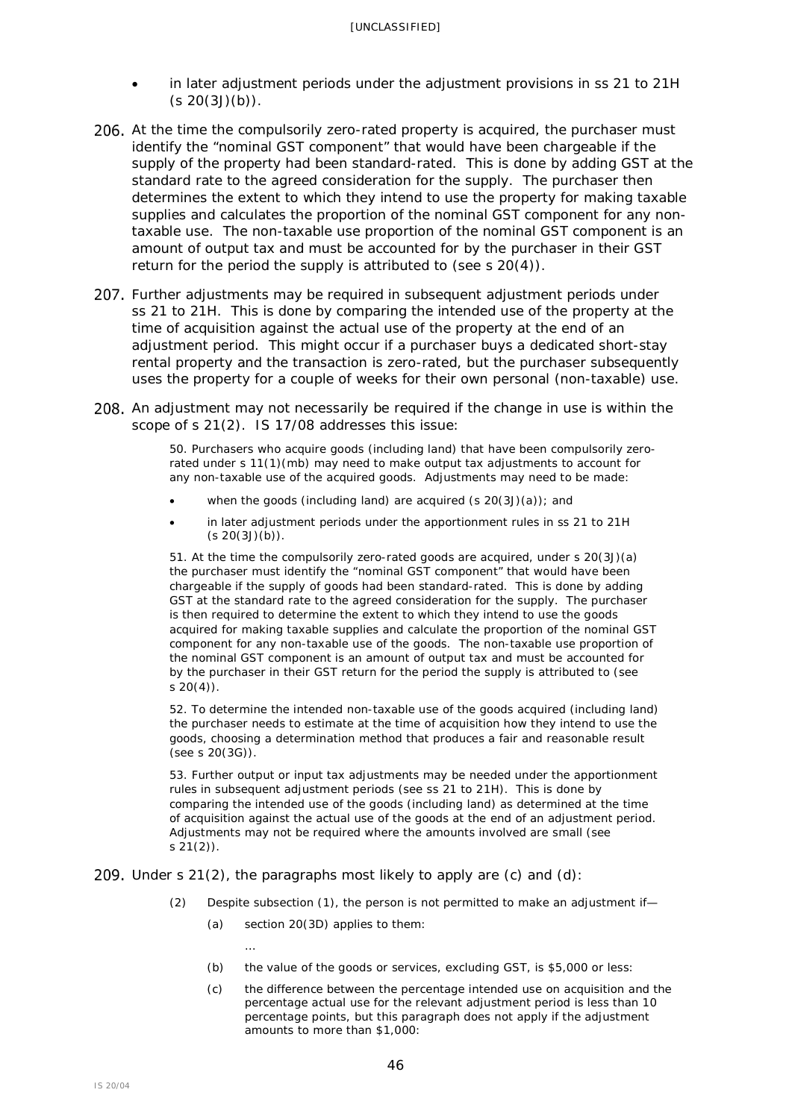- in later adjustment periods under the adjustment provisions in ss 21 to 21H  $(s 20(3J)(b))$ .
- 206. At the time the compulsorily zero-rated property is acquired, the purchaser must identify the "nominal GST component" that would have been chargeable if the supply of the property had been standard-rated. This is done by adding GST at the standard rate to the agreed consideration for the supply. The purchaser then determines the extent to which they intend to use the property for making taxable supplies and calculates the proportion of the nominal GST component for any nontaxable use. The non-taxable use proportion of the nominal GST component is an amount of output tax and must be accounted for by the purchaser in their GST return for the period the supply is attributed to (see s 20(4)).
- 207. Further adjustments may be required in subsequent adjustment periods under ss 21 to 21H. This is done by comparing the intended use of the property at the time of acquisition against the actual use of the property at the end of an adjustment period. This might occur if a purchaser buys a dedicated short-stay rental property and the transaction is zero-rated, but the purchaser subsequently uses the property for a couple of weeks for their own personal (non-taxable) use.
- 208. An adjustment may not necessarily be required if the change in use is within the scope of s 21(2). IS 17/08 addresses this issue:

50. Purchasers who acquire goods (including land) that have been compulsorily zerorated under s 11(1)(mb) may need to make output tax adjustments to account for any non-taxable use of the acquired goods. Adjustments may need to be made:

- when the goods (including land) are acquired  $(s 20(3J)(a))$ ; and
- in later adjustment periods under the apportionment rules in ss 21 to 21H  $(s 20(3J)(b)).$

51. At the time the compulsorily zero-rated goods are acquired, under s 20(3J)(a) the purchaser must identify the "nominal GST component" that would have been chargeable if the supply of goods had been standard-rated. This is done by adding GST at the standard rate to the agreed consideration for the supply. The purchaser is then required to determine the extent to which they intend to use the goods acquired for making taxable supplies and calculate the proportion of the nominal GST component for any non-taxable use of the goods. The non-taxable use proportion of the nominal GST component is an amount of output tax and must be accounted for by the purchaser in their GST return for the period the supply is attributed to (see  $s$  20(4)).

52. To determine the intended non-taxable use of the goods acquired (including land) the purchaser needs to estimate at the time of acquisition how they intend to use the goods, choosing a determination method that produces a fair and reasonable result (see s 20(3G)).

53. Further output or input tax adjustments may be needed under the apportionment rules in subsequent adjustment periods (see ss 21 to 21H). This is done by comparing the intended use of the goods (including land) as determined at the time of acquisition against the actual use of the goods at the end of an adjustment period. Adjustments may not be required where the amounts involved are small (see s 21(2)).

#### 209. Under s  $21(2)$ , the paragraphs most likely to apply are (c) and (d):

- (2) Despite subsection (1), the person is not permitted to make an adjustment if—
	- (a) [section 20\(3D\)](http://www.legislation.govt.nz/act/public/1985/0141/latest/link.aspx?id=DLM83479#DLM83479) applies to them:

…

- (b) the value of the goods or services, excluding GST, is \$5,000 or less:
- (c) the difference between the percentage intended use on acquisition and the percentage actual use for the relevant adjustment period is less than 10 percentage points, but this paragraph does not apply if the adjustment amounts to more than \$1,000: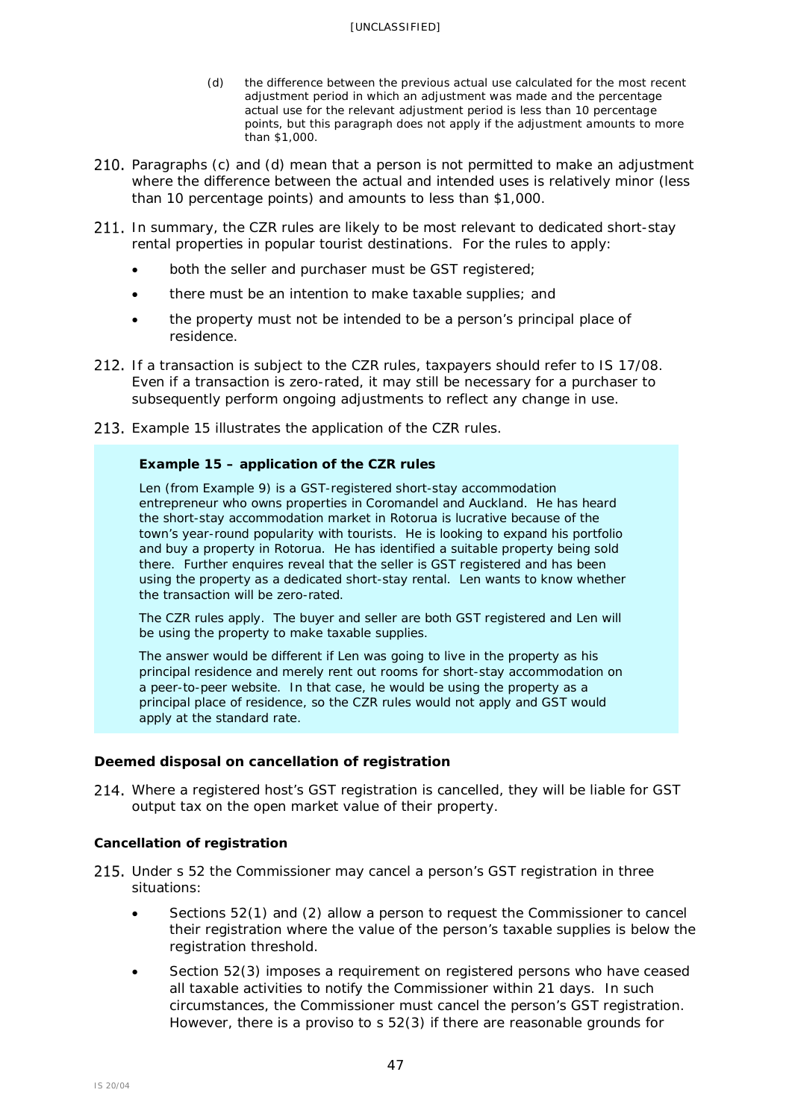- (d) the difference between the previous actual use calculated for the most recent adjustment period in which an adjustment was made and the percentage actual use for the relevant adjustment period is less than 10 percentage points, but this paragraph does not apply if the adjustment amounts to more than \$1,000.
- 210. Paragraphs (c) and (d) mean that a person is not permitted to make an adjustment where the difference between the actual and intended uses is relatively minor (less than 10 percentage points) and amounts to less than \$1,000.
- 211. In summary, the CZR rules are likely to be most relevant to dedicated short-stay rental properties in popular tourist destinations. For the rules to apply:
	- both the seller and purchaser must be GST registered;
	- there must be an intention to make taxable supplies; and
	- the property must not be intended to be a person's principal place of residence.
- 212. If a transaction is subject to the CZR rules, taxpayers should refer to IS 17/08. Even if a transaction is zero-rated, it may still be necessary for a purchaser to subsequently perform ongoing adjustments to reflect any change in use.
- 213. Example 15 illustrates the application of the CZR rules.

## **Example 15 – application of the CZR rules**

Len (from Example 9) is a GST-registered short-stay accommodation entrepreneur who owns properties in Coromandel and Auckland. He has heard the short-stay accommodation market in Rotorua is lucrative because of the town's year-round popularity with tourists. He is looking to expand his portfolio and buy a property in Rotorua. He has identified a suitable property being sold there. Further enquires reveal that the seller is GST registered and has been using the property as a dedicated short-stay rental. Len wants to know whether the transaction will be zero-rated.

The CZR rules apply. The buyer and seller are both GST registered and Len will be using the property to make taxable supplies.

The answer would be different if Len was going to live in the property as his principal residence and merely rent out rooms for short-stay accommodation on a peer-to-peer website. In that case, he would be using the property as a principal place of residence, so the CZR rules would not apply and GST would apply at the standard rate.

## <span id="page-46-0"></span>**Deemed disposal on cancellation of registration**

214. Where a registered host's GST registration is cancelled, they will be liable for GST output tax on the open market value of their property.

## *Cancellation of registration*

- 215. Under s 52 the Commissioner may cancel a person's GST registration in three situations:
	- Sections 52(1) and (2) allow a person to request the Commissioner to cancel their registration where the value of the person's taxable supplies is below the registration threshold.
	- Section 52(3) imposes a requirement on registered persons who have ceased all taxable activities to notify the Commissioner within 21 days. In such circumstances, the Commissioner must cancel the person's GST registration. However, there is a proviso to s 52(3) if there are reasonable grounds for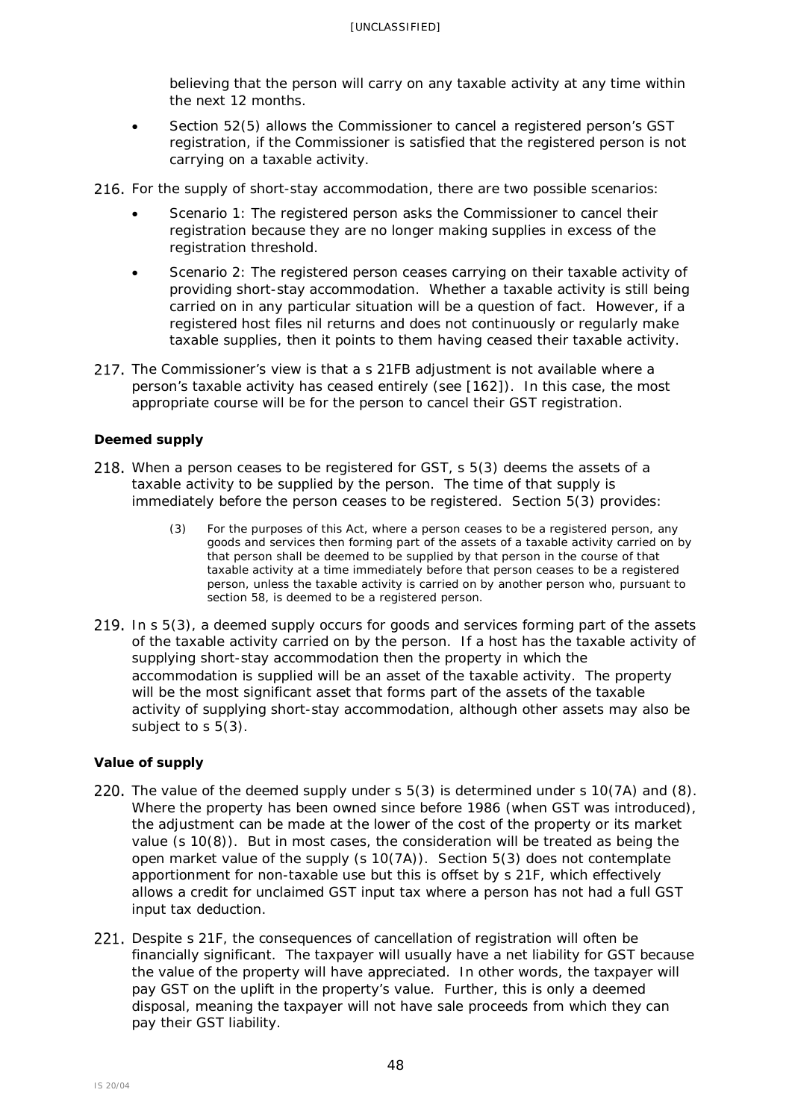believing that the person will carry on any taxable activity at any time within the next 12 months.

- Section 52(5) allows the Commissioner to cancel a registered person's GST registration, if the Commissioner is satisfied that the registered person is not carrying on a taxable activity.
- 216. For the supply of short-stay accommodation, there are two possible scenarios:
	- Scenario 1: The registered person asks the Commissioner to cancel their registration because they are no longer making supplies in excess of the registration threshold.
	- Scenario 2: The registered person ceases carrying on their taxable activity of providing short-stay accommodation. Whether a taxable activity is still being carried on in any particular situation will be a question of fact. However, if a registered host files nil returns and does not continuously or regularly make taxable supplies, then it points to them having ceased their taxable activity.
- 217. The Commissioner's view is that a s 21FB adjustment is not available where a person's taxable activity has ceased entirely (see [\[162\]](#page-36-1)). In this case, the most appropriate course will be for the person to cancel their GST registration.

## *Deemed supply*

- 218. When a person ceases to be registered for GST,  $s$  5(3) deems the assets of a taxable activity to be supplied by the person. The time of that supply is immediately before the person ceases to be registered. Section 5(3) provides:
	- (3) For the purposes of this Act, where a person ceases to be a registered person, any goods and services then forming part of the assets of a taxable activity carried on by that person shall be deemed to be supplied by that person in the course of that taxable activity at a time immediately before that person ceases to be a registered person, unless the taxable activity is carried on by another person who, pursuant to section 58, is deemed to be a registered person.
- 219. In s 5(3), a deemed supply occurs for goods and services forming part of the assets of the taxable activity carried on by the person. If a host has the taxable activity of supplying short-stay accommodation then the property in which the accommodation is supplied will be an asset of the taxable activity. The property will be the most significant asset that forms part of the assets of the taxable activity of supplying short-stay accommodation, although other assets may also be subject to s 5(3).

## *Value of supply*

- 220. The value of the deemed supply under  $s$  5(3) is determined under s 10(7A) and (8). Where the property has been owned since before 1986 (when GST was introduced), the adjustment can be made at the lower of the cost of the property or its market value (s 10(8)). But in most cases, the consideration will be treated as being the open market value of the supply  $(s 10(7A))$ . Section 5(3) does not contemplate apportionment for non-taxable use but this is offset by s 21F, which effectively allows a credit for unclaimed GST input tax where a person has not had a full GST input tax deduction.
- 221. Despite s 21F, the consequences of cancellation of registration will often be financially significant. The taxpayer will usually have a net liability for GST because the value of the property will have appreciated. In other words, the taxpayer will pay GST on the uplift in the property's value. Further, this is only a deemed disposal, meaning the taxpayer will not have sale proceeds from which they can pay their GST liability.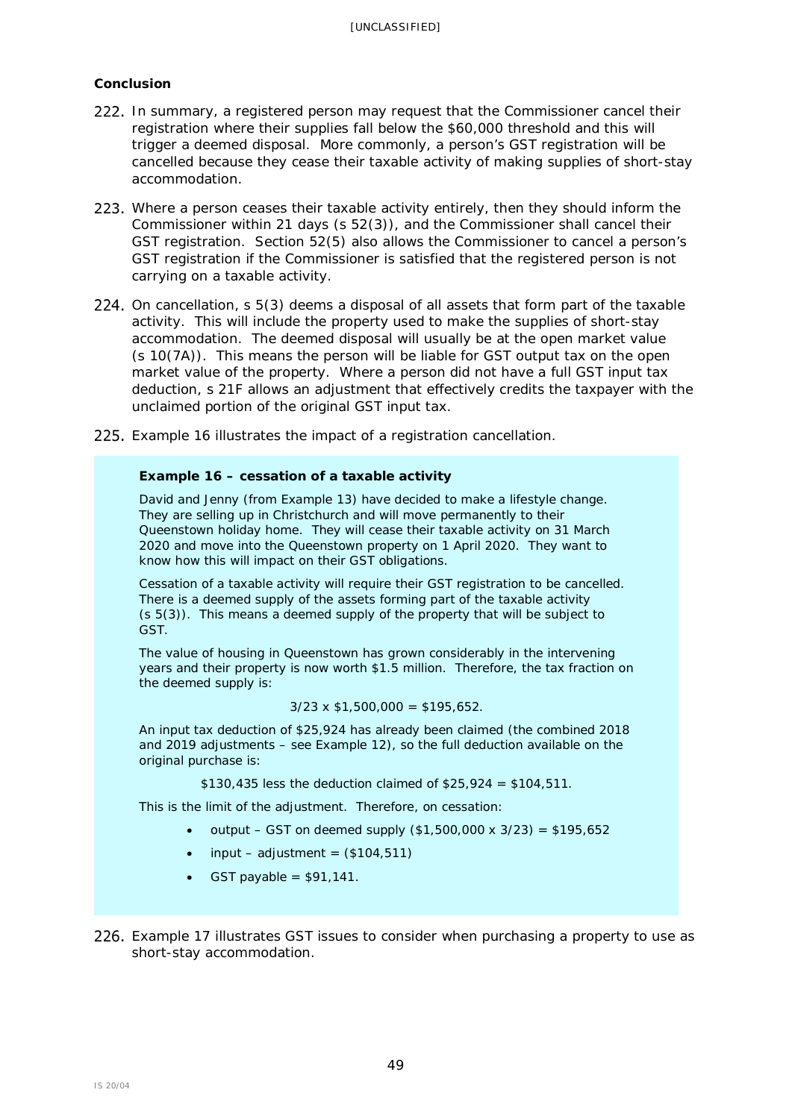## *Conclusion*

- 222. In summary, a registered person may request that the Commissioner cancel their registration where their supplies fall below the \$60,000 threshold and this will trigger a deemed disposal. More commonly, a person's GST registration will be cancelled because they cease their taxable activity of making supplies of short-stay accommodation.
- <span id="page-48-0"></span>223. Where a person ceases their taxable activity entirely, then they should inform the Commissioner within 21 days (s 52(3)), and the Commissioner shall cancel their GST registration. Section 52(5) also allows the Commissioner to cancel a person's GST registration if the Commissioner is satisfied that the registered person is not carrying on a taxable activity.
- 224. On cancellation, s 5(3) deems a disposal of all assets that form part of the taxable activity. This will include the property used to make the supplies of short-stay accommodation. The deemed disposal will usually be at the open market value (s 10(7A)). This means the person will be liable for GST output tax on the open market value of the property. Where a person did not have a full GST input tax deduction, s 21F allows an adjustment that effectively credits the taxpayer with the unclaimed portion of the original GST input tax.
- Example 16 illustrates the impact of a registration cancellation.

## **Example 16 – cessation of a taxable activity**

David and Jenny (from Example 13) have decided to make a lifestyle change. They are selling up in Christchurch and will move permanently to their Queenstown holiday home. They will cease their taxable activity on 31 March 2020 and move into the Queenstown property on 1 April 2020. They want to know how this will impact on their GST obligations.

Cessation of a taxable activity will require their GST registration to be cancelled. There is a deemed supply of the assets forming part of the taxable activity (s 5(3)). This means a deemed supply of the property that will be subject to GST.

The value of housing in Queenstown has grown considerably in the intervening years and their property is now worth \$1.5 million. Therefore, the tax fraction on the deemed supply is:

#### $3/23 \times $1,500,000 = $195,652$ .

An input tax deduction of \$25,924 has already been claimed (the combined 2018 and 2019 adjustments – see Example 12), so the full deduction available on the original purchase is:

\$130,435 less the deduction claimed of  $$25,924 = $104,511$ .

This is the limit of the adjustment. Therefore, on cessation:

- output GST on deemed supply  $(\$1,500,000 \times 3/23) = \$195,652$
- input adjustment =  $($104,511)$
- GST payable =  $$91,141$ .
- Example 17 illustrates GST issues to consider when purchasing a property to use as short-stay accommodation.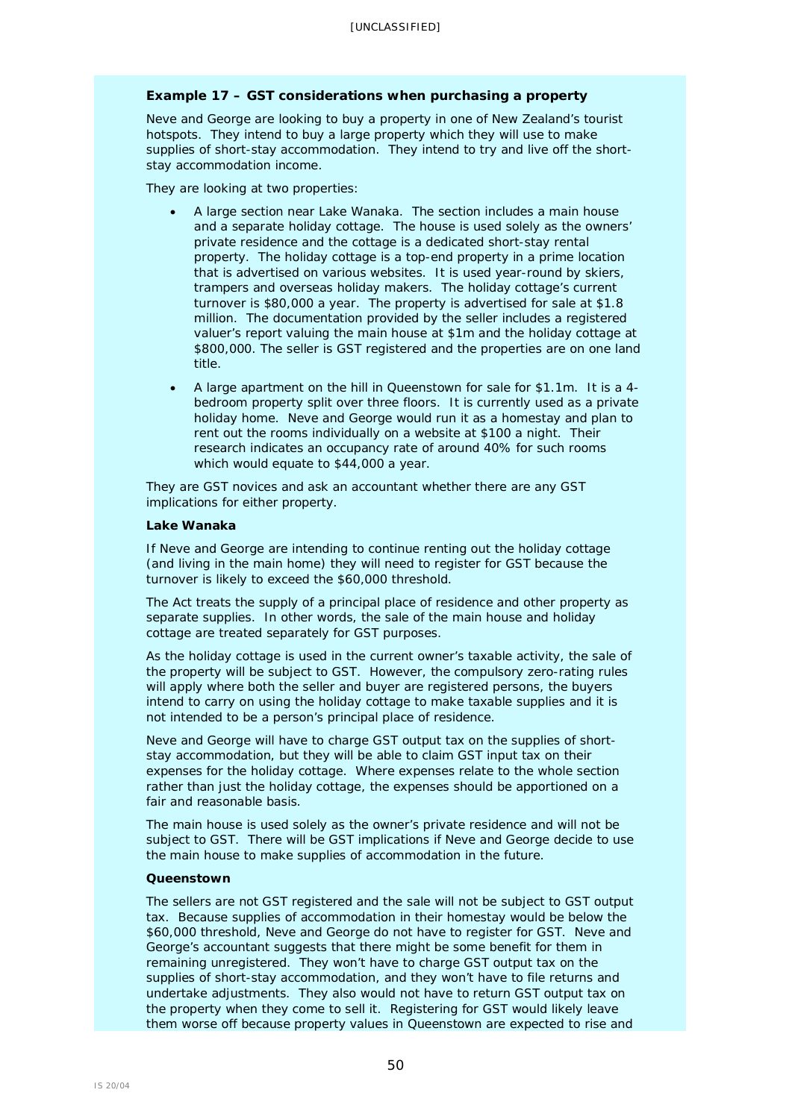### **Example 17 – GST considerations when purchasing a property**

Neve and George are looking to buy a property in one of New Zealand's tourist hotspots. They intend to buy a large property which they will use to make supplies of short-stay accommodation. They intend to try and live off the shortstay accommodation income.

They are looking at two properties:

- A large section near Lake Wanaka. The section includes a main house and a separate holiday cottage. The house is used solely as the owners' private residence and the cottage is a dedicated short-stay rental property. The holiday cottage is a top-end property in a prime location that is advertised on various websites. It is used year-round by skiers, trampers and overseas holiday makers. The holiday cottage's current turnover is \$80,000 a year. The property is advertised for sale at \$1.8 million. The documentation provided by the seller includes a registered valuer's report valuing the main house at \$1m and the holiday cottage at \$800,000. The seller is GST registered and the properties are on one land title.
- A large apartment on the hill in Queenstown for sale for \$1.1m. It is a 4 bedroom property split over three floors. It is currently used as a private holiday home. Neve and George would run it as a homestay and plan to rent out the rooms individually on a website at \$100 a night. Their research indicates an occupancy rate of around 40% for such rooms which would equate to \$44,000 a year.

They are GST novices and ask an accountant whether there are any GST implications for either property.

#### *Lake Wanaka*

If Neve and George are intending to continue renting out the holiday cottage (and living in the main home) they will need to register for GST because the turnover is likely to exceed the \$60,000 threshold.

The Act treats the supply of a principal place of residence and other property as separate supplies. In other words, the sale of the main house and holiday cottage are treated separately for GST purposes.

As the holiday cottage is used in the current owner's taxable activity, the sale of the property will be subject to GST. However, the compulsory zero-rating rules will apply where both the seller and buyer are registered persons, the buyers intend to carry on using the holiday cottage to make taxable supplies and it is not intended to be a person's principal place of residence.

Neve and George will have to charge GST output tax on the supplies of shortstay accommodation, but they will be able to claim GST input tax on their expenses for the holiday cottage. Where expenses relate to the whole section rather than just the holiday cottage, the expenses should be apportioned on a fair and reasonable basis.

The main house is used solely as the owner's private residence and will not be subject to GST. There will be GST implications if Neve and George decide to use the main house to make supplies of accommodation in the future.

#### *Queenstown*

The sellers are not GST registered and the sale will not be subject to GST output tax. Because supplies of accommodation in their homestay would be below the \$60,000 threshold, Neve and George do not have to register for GST. Neve and George's accountant suggests that there might be some benefit for them in remaining unregistered. They won't have to charge GST output tax on the supplies of short-stay accommodation, and they won't have to file returns and undertake adjustments. They also would not have to return GST output tax on the property when they come to sell it. Registering for GST would likely leave them worse off because property values in Queenstown are expected to rise and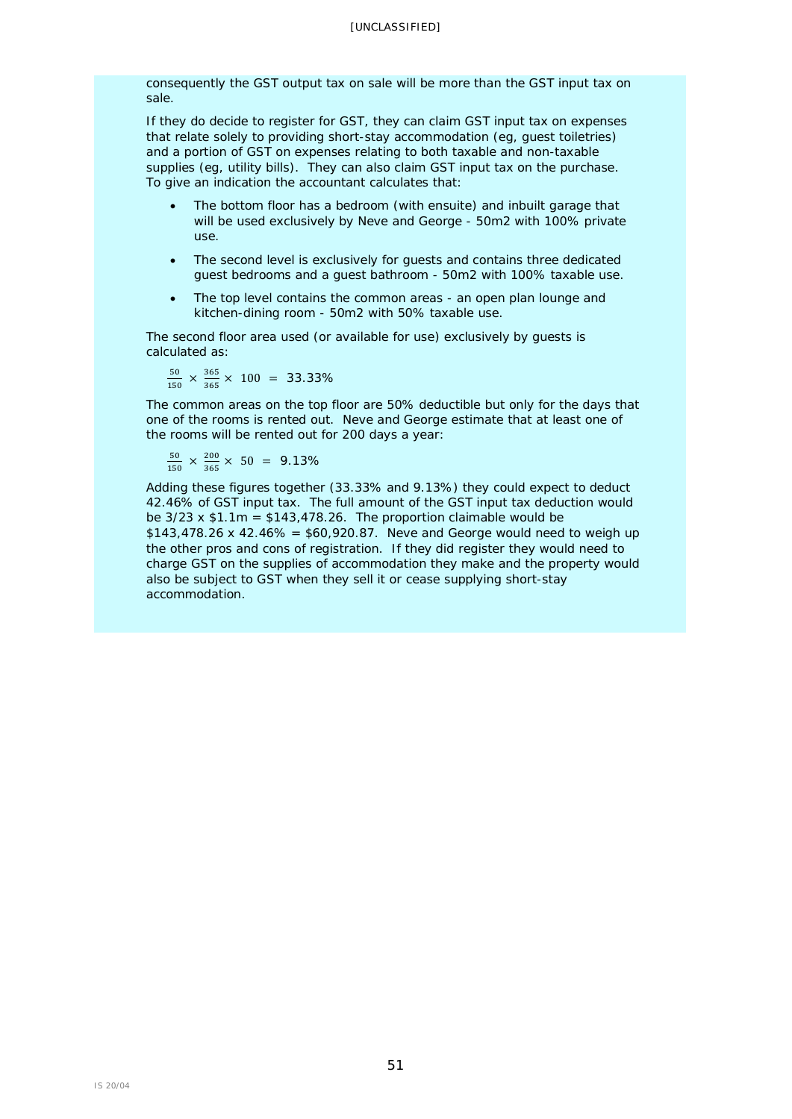consequently the GST output tax on sale will be more than the GST input tax on sale.

If they do decide to register for GST, they can claim GST input tax on expenses that relate solely to providing short-stay accommodation (eg, guest toiletries) and a portion of GST on expenses relating to both taxable and non-taxable supplies (eg, utility bills). They can also claim GST input tax on the purchase. To give an indication the accountant calculates that:

- The bottom floor has a bedroom (with ensuite) and inbuilt garage that will be used exclusively by Neve and George - 50m2 with 100% private use.
- The second level is exclusively for guests and contains three dedicated guest bedrooms and a guest bathroom - 50m2 with 100% taxable use.
- The top level contains the common areas an open plan lounge and kitchen-dining room - 50m2 with 50% taxable use.

The second floor area used (or available for use) exclusively by guests is calculated as:

 $\frac{50}{150} \times \frac{365}{365} \times 100 = 33.33\%$ 

The common areas on the top floor are 50% deductible but only for the days that one of the rooms is rented out. Neve and George estimate that at least one of the rooms will be rented out for 200 days a year:

$$
\frac{50}{150} \times \frac{200}{365} \times 50 = 9.13\%
$$

Adding these figures together (33.33% and 9.13%) they could expect to deduct 42.46% of GST input tax. The full amount of the GST input tax deduction would be  $3/23 \times $1.1$ m =  $$143,478.26$ . The proportion claimable would be  $$143,478,26 \times 42.46\% = $60,920.87$ . Neve and George would need to weigh up the other pros and cons of registration. If they did register they would need to charge GST on the supplies of accommodation they make and the property would also be subject to GST when they sell it or cease supplying short-stay accommodation.